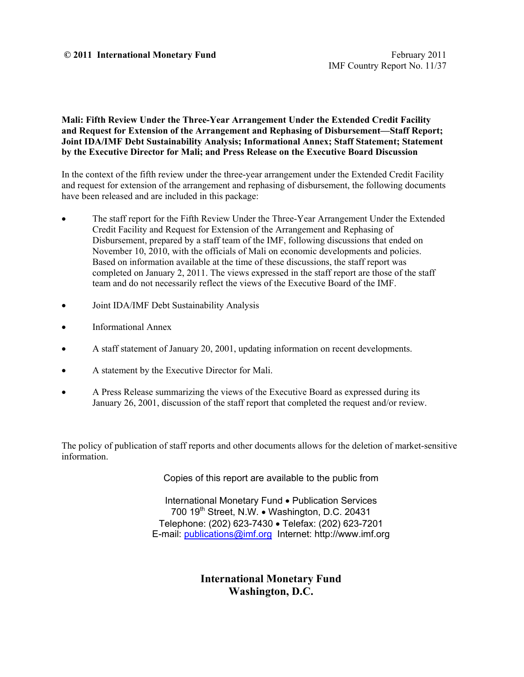#### **© 2011 International Monetary Fund** February 2011

#### **Mali: Fifth Review Under the Three-Year Arrangement Under the Extended Credit Facility and Request for Extension of the Arrangement and Rephasing of Disbursement—Staff Report; Joint IDA/IMF Debt Sustainability Analysis; Informational Annex; Staff Statement; Statement by the Executive Director for Mali; and Press Release on the Executive Board Discussion**

In the context of the fifth review under the three-year arrangement under the Extended Credit Facility and request for extension of the arrangement and rephasing of disbursement, the following documents have been released and are included in this package:

- The staff report for the Fifth Review Under the Three-Year Arrangement Under the Extended Credit Facility and Request for Extension of the Arrangement and Rephasing of Disbursement, prepared by a staff team of the IMF, following discussions that ended on November 10, 2010, with the officials of Mali on economic developments and policies. Based on information available at the time of these discussions, the staff report was completed on January 2, 2011. The views expressed in the staff report are those of the staff team and do not necessarily reflect the views of the Executive Board of the IMF.
- Joint IDA/IMF Debt Sustainability Analysis
- Informational Annex
- A staff statement of January 20, 2001, updating information on recent developments.
- A statement by the Executive Director for Mali.
- A Press Release summarizing the views of the Executive Board as expressed during its January 26, 2001, discussion of the staff report that completed the request and/or review.

The policy of publication of staff reports and other documents allows for the deletion of market-sensitive information.

Copies of this report are available to the public from

International Monetary Fund • Publication Services 700 19<sup>th</sup> Street, N.W. • Washington, D.C. 20431 Telephone: (202) 623-7430 Telefax: (202) 623-7201 E-mail: publications@imf.org Internet: http://www.imf.org

> **International Monetary Fund Washington, D.C.**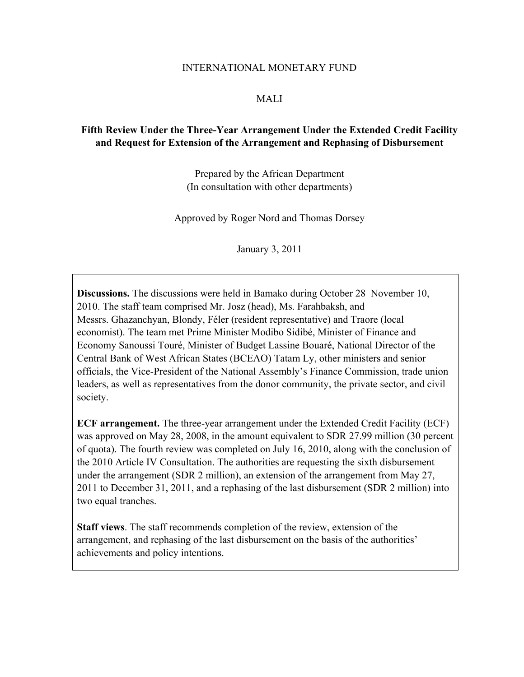#### INTERNATIONAL MONETARY FUND

#### MALI

## **Fifth Review Under the Three-Year Arrangement Under the Extended Credit Facility and Request for Extension of the Arrangement and Rephasing of Disbursement**

Prepared by the African Department (In consultation with other departments)

Approved by Roger Nord and Thomas Dorsey

January 3, 2011

**Discussions.** The discussions were held in Bamako during October 28–November 10, 2010. The staff team comprised Mr. Josz (head), Ms. Farahbaksh, and Messrs. Ghazanchyan, Blondy, Féler (resident representative) and Traore (local economist). The team met Prime Minister Modibo Sidibé, Minister of Finance and Economy Sanoussi Touré, Minister of Budget Lassine Bouaré, National Director of the Central Bank of West African States (BCEAO) Tatam Ly, other ministers and senior officials, the Vice-President of the National Assembly's Finance Commission, trade union leaders, as well as representatives from the donor community, the private sector, and civil society.

**ECF arrangement.** The three-year arrangement under the Extended Credit Facility (ECF) was approved on May 28, 2008, in the amount equivalent to SDR 27.99 million (30 percent of quota). The fourth review was completed on July 16, 2010, along with the conclusion of the 2010 Article IV Consultation. The authorities are requesting the sixth disbursement under the arrangement (SDR 2 million), an extension of the arrangement from May 27, 2011 to December 31, 2011, and a rephasing of the last disbursement (SDR 2 million) into two equal tranches.

**Staff views**. The staff recommends completion of the review, extension of the arrangement, and rephasing of the last disbursement on the basis of the authorities' achievements and policy intentions.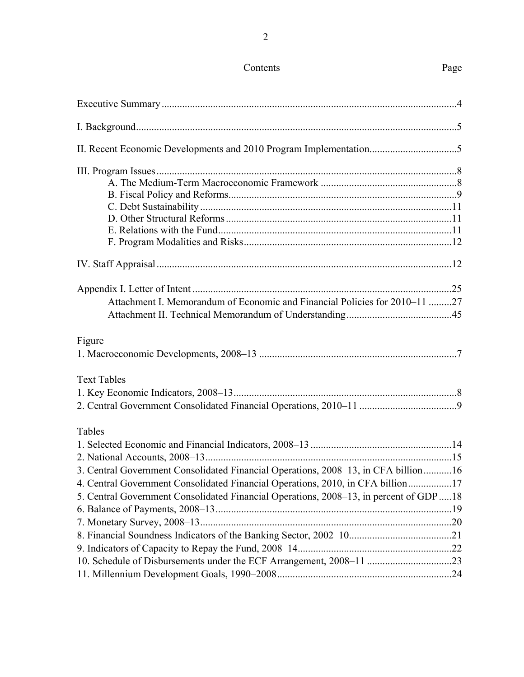#### Contents Page

# Executive Summary ...................................................................................................................4 I. Background .............................................................................................................................5 II. Recent Economic Developments and 2010 Program Implementation..................................5 III. Program Issues .....................................................................................................................8 A. The Medium-Term Macroeconomic Framework .....................................................8 B. Fiscal Policy and Reforms .........................................................................................9 C. Debt Sustainability ..................................................................................................11 D. Other Structural Reforms ........................................................................................11 E. Relations with the Fund ...........................................................................................11 F. Program Modalities and Risks .................................................................................12 IV. Staff Appraisal ...................................................................................................................12 Appendix I. Letter of Intent .....................................................................................................25 Attachment I. Memorandum of Economic and Financial Policies for 2010–11 .........27 Attachment II. Technical Memorandum of Understanding .........................................45 1. Macroeconomic Developments, 2008–13 .............................................................................7

#### Text Tables

Figure

# Tables

| 3. Central Government Consolidated Financial Operations, 2008–13, in CFA billion16     |  |
|----------------------------------------------------------------------------------------|--|
| 4. Central Government Consolidated Financial Operations, 2010, in CFA billion17        |  |
| 5. Central Government Consolidated Financial Operations, 2008–13, in percent of GDP 18 |  |
|                                                                                        |  |
|                                                                                        |  |
|                                                                                        |  |
|                                                                                        |  |
|                                                                                        |  |
|                                                                                        |  |
|                                                                                        |  |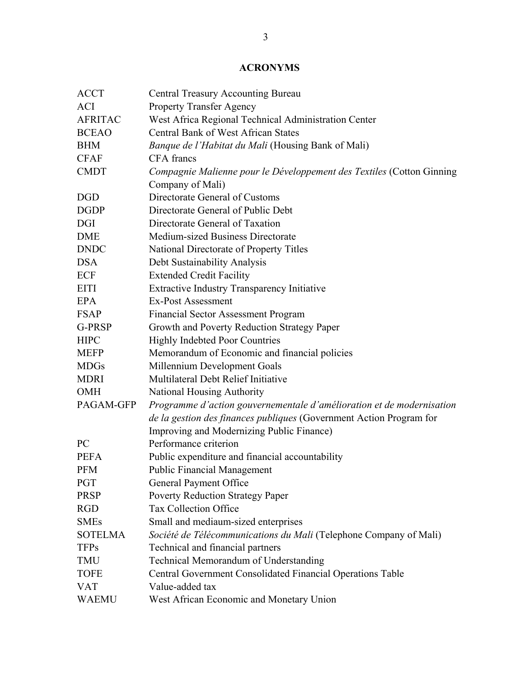# **ACRONYMS**

| <b>ACCT</b>    | <b>Central Treasury Accounting Bureau</b>                             |
|----------------|-----------------------------------------------------------------------|
| <b>ACI</b>     | <b>Property Transfer Agency</b>                                       |
| <b>AFRITAC</b> | West Africa Regional Technical Administration Center                  |
| <b>BCEAO</b>   | <b>Central Bank of West African States</b>                            |
| <b>BHM</b>     | <i>Banque de l'Habitat du Mali</i> (Housing Bank of Mali)             |
| <b>CFAF</b>    | CFA francs                                                            |
| <b>CMDT</b>    | Compagnie Malienne pour le Développement des Textiles (Cotton Ginning |
|                | Company of Mali)                                                      |
| <b>DGD</b>     | Directorate General of Customs                                        |
| <b>DGDP</b>    | Directorate General of Public Debt                                    |
| <b>DGI</b>     | Directorate General of Taxation                                       |
| <b>DME</b>     | Medium-sized Business Directorate                                     |
| <b>DNDC</b>    | National Directorate of Property Titles                               |
| <b>DSA</b>     | Debt Sustainability Analysis                                          |
| ECF            | <b>Extended Credit Facility</b>                                       |
| <b>EITI</b>    | <b>Extractive Industry Transparency Initiative</b>                    |
| EPA            | <b>Ex-Post Assessment</b>                                             |
| <b>FSAP</b>    | <b>Financial Sector Assessment Program</b>                            |
| G-PRSP         | Growth and Poverty Reduction Strategy Paper                           |
| <b>HIPC</b>    | <b>Highly Indebted Poor Countries</b>                                 |
| <b>MEFP</b>    | Memorandum of Economic and financial policies                         |
| <b>MDGs</b>    | Millennium Development Goals                                          |
| <b>MDRI</b>    | Multilateral Debt Relief Initiative                                   |
| <b>OMH</b>     | <b>National Housing Authority</b>                                     |
| PAGAM-GFP      | Programme d'action gouvernementale d'amélioration et de modernisation |
|                | de la gestion des finances publiques (Government Action Program for   |
|                | Improving and Modernizing Public Finance)                             |
| PC             | Performance criterion                                                 |
| <b>PEFA</b>    | Public expenditure and financial accountability                       |
| <b>PFM</b>     | <b>Public Financial Management</b>                                    |
| <b>PGT</b>     | General Payment Office                                                |
| <b>PRSP</b>    | <b>Poverty Reduction Strategy Paper</b>                               |
| <b>RGD</b>     | <b>Tax Collection Office</b>                                          |
| <b>SMEs</b>    | Small and mediaum-sized enterprises                                   |
| <b>SOTELMA</b> | Société de Télécommunications du Mali (Telephone Company of Mali)     |
| <b>TFPs</b>    | Technical and financial partners                                      |
| <b>TMU</b>     | Technical Memorandum of Understanding                                 |
| <b>TOFE</b>    | Central Government Consolidated Financial Operations Table            |
| <b>VAT</b>     | Value-added tax                                                       |
| <b>WAEMU</b>   | West African Economic and Monetary Union                              |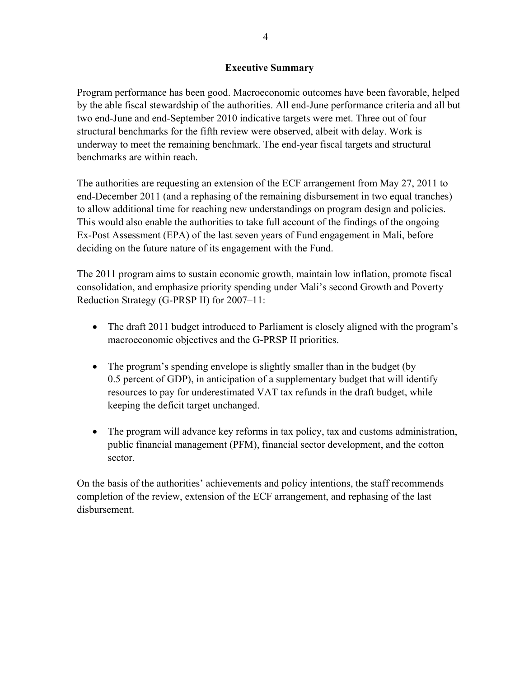#### **Executive Summary**

Program performance has been good. Macroeconomic outcomes have been favorable, helped by the able fiscal stewardship of the authorities. All end-June performance criteria and all but two end-June and end-September 2010 indicative targets were met. Three out of four structural benchmarks for the fifth review were observed, albeit with delay. Work is underway to meet the remaining benchmark. The end-year fiscal targets and structural benchmarks are within reach.

The authorities are requesting an extension of the ECF arrangement from May 27, 2011 to end-December 2011 (and a rephasing of the remaining disbursement in two equal tranches) to allow additional time for reaching new understandings on program design and policies. This would also enable the authorities to take full account of the findings of the ongoing Ex-Post Assessment (EPA) of the last seven years of Fund engagement in Mali, before deciding on the future nature of its engagement with the Fund.

The 2011 program aims to sustain economic growth, maintain low inflation, promote fiscal consolidation, and emphasize priority spending under Mali's second Growth and Poverty Reduction Strategy (G-PRSP II) for 2007–11:

- The draft 2011 budget introduced to Parliament is closely aligned with the program's macroeconomic objectives and the G-PRSP II priorities.
- The program's spending envelope is slightly smaller than in the budget (by 0.5 percent of GDP), in anticipation of a supplementary budget that will identify resources to pay for underestimated VAT tax refunds in the draft budget, while keeping the deficit target unchanged.
- The program will advance key reforms in tax policy, tax and customs administration, public financial management (PFM), financial sector development, and the cotton sector.

On the basis of the authorities' achievements and policy intentions, the staff recommends completion of the review, extension of the ECF arrangement, and rephasing of the last disbursement.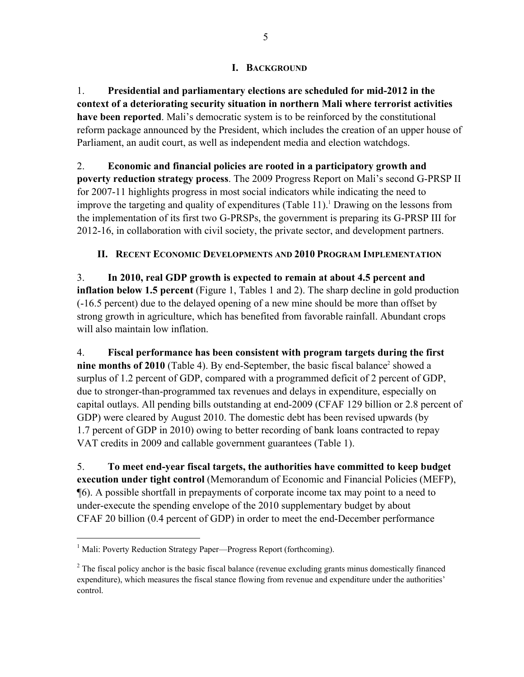## **I. BACKGROUND**

1. **Presidential and parliamentary elections are scheduled for mid-2012 in the context of a deteriorating security situation in northern Mali where terrorist activities have been reported**. Mali's democratic system is to be reinforced by the constitutional reform package announced by the President, which includes the creation of an upper house of Parliament, an audit court, as well as independent media and election watchdogs.

2. **Economic and financial policies are rooted in a participatory growth and poverty reduction strategy process**. The 2009 Progress Report on Mali's second G-PRSP II for 2007-11 highlights progress in most social indicators while indicating the need to improve the targeting and quality of expenditures (Table 11).<sup>1</sup> Drawing on the lessons from the implementation of its first two G-PRSPs, the government is preparing its G-PRSP III for 2012-16, in collaboration with civil society, the private sector, and development partners.

# **II. RECENT ECONOMIC DEVELOPMENTS AND 2010 PROGRAM IMPLEMENTATION**

3. **In 2010, real GDP growth is expected to remain at about 4.5 percent and inflation below 1.5 percent** (Figure 1, Tables 1 and 2). The sharp decline in gold production (-16.5 percent) due to the delayed opening of a new mine should be more than offset by strong growth in agriculture, which has benefited from favorable rainfall. Abundant crops will also maintain low inflation.

4. **Fiscal performance has been consistent with program targets during the first**  nine months of 2010 (Table 4). By end-September, the basic fiscal balance<sup>2</sup> showed a surplus of 1.2 percent of GDP, compared with a programmed deficit of 2 percent of GDP, due to stronger-than-programmed tax revenues and delays in expenditure, especially on capital outlays. All pending bills outstanding at end-2009 (CFAF 129 billion or 2.8 percent of GDP) were cleared by August 2010. The domestic debt has been revised upwards (by 1.7 percent of GDP in 2010) owing to better recording of bank loans contracted to repay VAT credits in 2009 and callable government guarantees (Table 1).

5. **To meet end-year fiscal targets, the authorities have committed to keep budget execution under tight control** (Memorandum of Economic and Financial Policies (MEFP), ¶6). A possible shortfall in prepayments of corporate income tax may point to a need to under-execute the spending envelope of the 2010 supplementary budget by about CFAF 20 billion (0.4 percent of GDP) in order to meet the end-December performance

 $\overline{a}$ 

<sup>&</sup>lt;sup>1</sup> Mali: Poverty Reduction Strategy Paper—Progress Report (forthcoming).

 $2^2$  The fiscal policy anchor is the basic fiscal balance (revenue excluding grants minus domestically financed expenditure), which measures the fiscal stance flowing from revenue and expenditure under the authorities' control.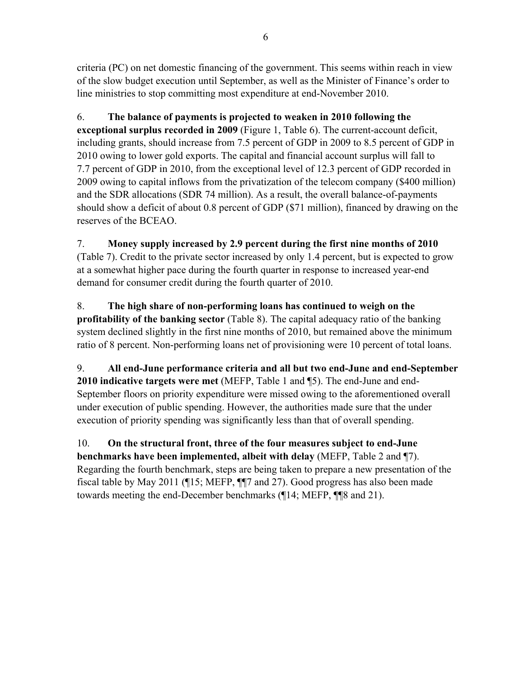criteria (PC) on net domestic financing of the government. This seems within reach in view of the slow budget execution until September, as well as the Minister of Finance's order to line ministries to stop committing most expenditure at end-November 2010.

6. **The balance of payments is projected to weaken in 2010 following the exceptional surplus recorded in 2009** (Figure 1, Table 6). The current-account deficit, including grants, should increase from 7.5 percent of GDP in 2009 to 8.5 percent of GDP in 2010 owing to lower gold exports. The capital and financial account surplus will fall to 7.7 percent of GDP in 2010, from the exceptional level of 12.3 percent of GDP recorded in 2009 owing to capital inflows from the privatization of the telecom company (\$400 million) and the SDR allocations (SDR 74 million). As a result, the overall balance-of-payments should show a deficit of about 0.8 percent of GDP (\$71 million), financed by drawing on the reserves of the BCEAO.

7. **Money supply increased by 2.9 percent during the first nine months of 2010**  (Table 7). Credit to the private sector increased by only 1.4 percent, but is expected to grow at a somewhat higher pace during the fourth quarter in response to increased year-end demand for consumer credit during the fourth quarter of 2010.

8. **The high share of non-performing loans has continued to weigh on the profitability of the banking sector** (Table 8). The capital adequacy ratio of the banking system declined slightly in the first nine months of 2010, but remained above the minimum ratio of 8 percent. Non-performing loans net of provisioning were 10 percent of total loans.

9. **All end-June performance criteria and all but two end-June and end-September 2010 indicative targets were met** (MEFP, Table 1 and ¶5). The end-June and end-September floors on priority expenditure were missed owing to the aforementioned overall under execution of public spending. However, the authorities made sure that the under execution of priority spending was significantly less than that of overall spending.

10. **On the structural front, three of the four measures subject to end-June benchmarks have been implemented, albeit with delay** (MEFP, Table 2 and ¶7). Regarding the fourth benchmark, steps are being taken to prepare a new presentation of the fiscal table by May 2011 (¶15; MEFP, ¶¶7 and 27). Good progress has also been made towards meeting the end-December benchmarks (¶14; MEFP, ¶¶8 and 21).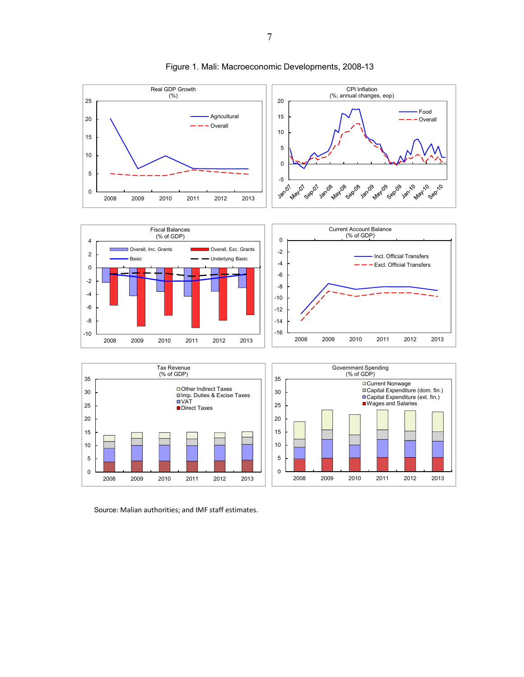

Figure 1. Mali: Macroeconomic Developments, 2008-13

Source: Malian authorities; and IMF staff estimates.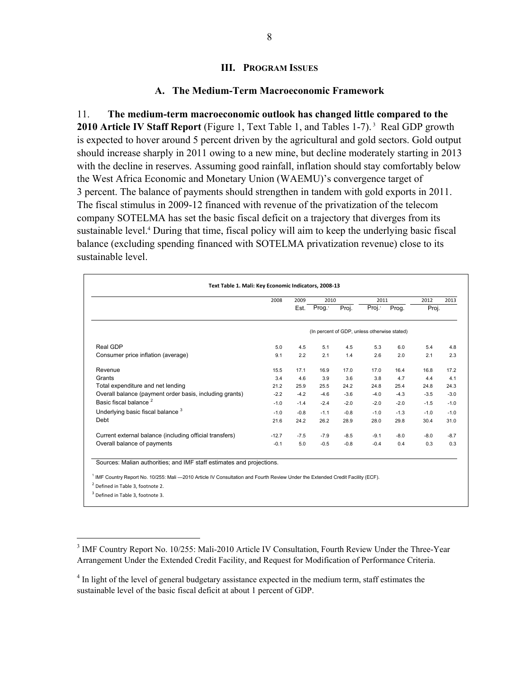#### **III. PROGRAM ISSUES**

#### **A. The Medium-Term Macroeconomic Framework**

11. **The medium-term macroeconomic outlook has changed little compared to the**  2010 Article IV Staff Report *(Figure 1, Text Table 1, and Tables 1-7)*.<sup>3</sup> Real GDP growth is expected to hover around 5 percent driven by the agricultural and gold sectors. Gold output should increase sharply in 2011 owing to a new mine, but decline moderately starting in 2013 with the decline in reserves. Assuming good rainfall, inflation should stay comfortably below the West Africa Economic and Monetary Union (WAEMU)'s convergence target of 3 percent. The balance of payments should strengthen in tandem with gold exports in 2011. The fiscal stimulus in 2009-12 financed with revenue of the privatization of the telecom company SOTELMA has set the basic fiscal deficit on a trajectory that diverges from its sustainable level.<sup>4</sup> During that time, fiscal policy will aim to keep the underlying basic fiscal balance (excluding spending financed with SOTELMA privatization revenue) close to its sustainable level.

|                                                         | 2008    | 2009   | 2010               |        | 2011                                         |        | 2012   | 2013   |
|---------------------------------------------------------|---------|--------|--------------------|--------|----------------------------------------------|--------|--------|--------|
|                                                         |         | Est.   | Prog. <sup>1</sup> | Proj.  | Proj. <sup>1</sup>                           | Prog.  | Proj.  |        |
|                                                         |         |        |                    |        | (In percent of GDP, unless otherwise stated) |        |        |        |
| Real GDP                                                | 5.0     | 4.5    | 5.1                | 4.5    | 5.3                                          | 6.0    | 5.4    | 4.8    |
| Consumer price inflation (average)                      | 9.1     | 2.2    | 2.1                | 1.4    | 2.6                                          | 2.0    | 2.1    | 2.3    |
| Revenue                                                 | 15.5    | 17.1   | 16.9               | 17.0   | 17.0                                         | 16.4   | 16.8   | 17.2   |
| Grants                                                  | 3.4     | 4.6    | 3.9                | 3.6    | 3.8                                          | 4.7    | 4.4    | 4.1    |
| Total expenditure and net lending                       | 21.2    | 25.9   | 25.5               | 24.2   | 24.8                                         | 25.4   | 24.8   | 24.3   |
| Overall balance (payment order basis, including grants) | $-2.2$  | $-4.2$ | $-4.6$             | $-3.6$ | $-4.0$                                       | $-4.3$ | $-3.5$ | $-3.0$ |
| Basic fiscal balance <sup>2</sup>                       | $-1.0$  | $-1.4$ | $-2.4$             | $-2.0$ | $-2.0$                                       | $-2.0$ | $-1.5$ | $-1.0$ |
| Underlying basic fiscal balance <sup>3</sup>            | $-1.0$  | $-0.8$ | $-1.1$             | $-0.8$ | $-1.0$                                       | $-1.3$ | $-1.0$ | $-1.0$ |
| Debt                                                    | 21.6    | 24.2   | 26.2               | 28.9   | 28.0                                         | 29.8   | 30.4   | 31.0   |
| Current external balance (including official transfers) | $-12.7$ | $-7.5$ | $-7.9$             | $-8.5$ | $-9.1$                                       | $-8.0$ | $-8.0$ | $-8.7$ |
| Overall balance of payments                             | $-0.1$  | 5.0    | $-0.5$             | $-0.8$ | $-0.4$                                       | 0.4    | 0.3    | 0.3    |

<sup>2</sup> Defined in Table 3, footnote 2.

<sup>3</sup> Defined in Table 3, footnote 3.

 $\overline{a}$ 

<sup>&</sup>lt;sup>3</sup> IMF Country Report No. 10/255: Mali-2010 Article IV Consultation, Fourth Review Under the Three-Year Arrangement Under the Extended Credit Facility, and Request for Modification of Performance Criteria.

<sup>&</sup>lt;sup>4</sup> In light of the level of general budgetary assistance expected in the medium term, staff estimates the sustainable level of the basic fiscal deficit at about 1 percent of GDP.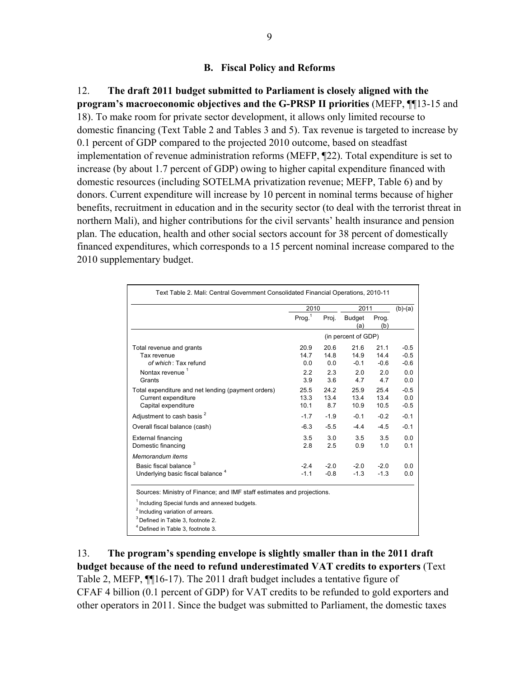#### **B. Fiscal Policy and Reforms**

12. **The draft 2011 budget submitted to Parliament is closely aligned with the program's macroeconomic objectives and the G-PRSP II priorities** (MEFP, ¶¶13-15 and 18). To make room for private sector development, it allows only limited recourse to domestic financing (Text Table 2 and Tables 3 and 5). Tax revenue is targeted to increase by 0.1 percent of GDP compared to the projected 2010 outcome, based on steadfast implementation of revenue administration reforms (MEFP, ¶22). Total expenditure is set to increase (by about 1.7 percent of GDP) owing to higher capital expenditure financed with domestic resources (including SOTELMA privatization revenue; MEFP, Table 6) and by donors. Current expenditure will increase by 10 percent in nominal terms because of higher benefits, recruitment in education and in the security sector (to deal with the terrorist threat in northern Mali), and higher contributions for the civil servants' health insurance and pension plan. The education, health and other social sectors account for 38 percent of domestically financed expenditures, which corresponds to a 15 percent nominal increase compared to the 2010 supplementary budget.

|                                                                                                                                                                                                                                     | 2010                 |                     | 2011                   |                        | $(b)-(a)$                  |
|-------------------------------------------------------------------------------------------------------------------------------------------------------------------------------------------------------------------------------------|----------------------|---------------------|------------------------|------------------------|----------------------------|
|                                                                                                                                                                                                                                     | Prog. <sup>1</sup>   | Proj.               | <b>Budget</b><br>(a)   | Prog.<br>(b)           |                            |
|                                                                                                                                                                                                                                     |                      |                     | (in percent of GDP)    |                        |                            |
| Total revenue and grants<br>Tax revenue<br>of which: Tax refund                                                                                                                                                                     | 20.9<br>14.7<br>0.0  | 20.6<br>14.8<br>0.0 | 21.6<br>14.9<br>$-0.1$ | 21.1<br>14.4<br>$-0.6$ | $-0.5$<br>$-0.5$<br>$-0.6$ |
| Nontax revenue <sup>1</sup><br>Grants                                                                                                                                                                                               | 2.2<br>3.9           | 2.3<br>3.6          | 2.0<br>4.7             | 2.0<br>4.7             | 0.0<br>0.0                 |
| Total expenditure and net lending (payment orders)<br>Current expenditure<br>Capital expenditure                                                                                                                                    | 25.5<br>13.3<br>10.1 | 24.2<br>13.4<br>8.7 | 25.9<br>13.4<br>10.9   | 25.4<br>13.4<br>10.5   | $-0.5$<br>0.0<br>$-0.5$    |
| Adjustment to cash basis <sup>2</sup>                                                                                                                                                                                               | $-1.7$               | $-1.9$              | $-0.1$                 | $-0.2$                 | $-0.1$                     |
| Overall fiscal balance (cash)                                                                                                                                                                                                       | $-6.3$               | $-5.5$              | $-4.4$                 | $-4.5$                 | $-0.1$                     |
| External financing<br>Domestic financing                                                                                                                                                                                            | 3.5<br>2.8           | 3.0<br>2.5          | 3.5<br>0.9             | 3.5<br>1.0             | 0.0<br>0.1                 |
| Memorandum items<br>Basic fiscal balance <sup>3</sup><br>Underlying basic fiscal balance <sup>4</sup>                                                                                                                               | $-2.4$<br>$-1.1$     | $-2.0$<br>$-0.8$    | $-2.0$<br>$-1.3$       | $-2.0$<br>$-1.3$       | 0.0<br>0.0                 |
| Sources: Ministry of Finance; and IMF staff estimates and projections.<br><sup>1</sup> Including Special funds and annexed budgets.<br><sup>2</sup> Including variation of arrears.<br><sup>3</sup> Defined in Table 3, footnote 2. |                      |                     |                        |                        |                            |

13. **The program's spending envelope is slightly smaller than in the 2011 draft budget because of the need to refund underestimated VAT credits to exporters** (Text Table 2, MEFP, ¶¶16-17). The 2011 draft budget includes a tentative figure of CFAF 4 billion (0.1 percent of GDP) for VAT credits to be refunded to gold exporters and other operators in 2011. Since the budget was submitted to Parliament, the domestic taxes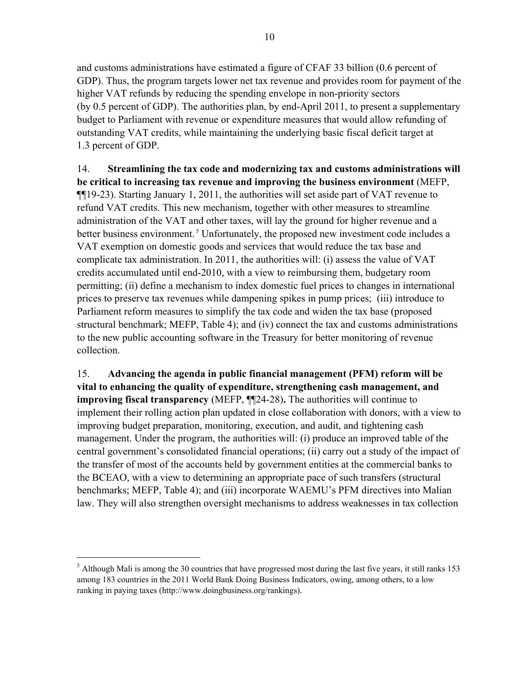and customs administrations have estimated a figure of CFAF 33 billion (0.6 percent of GDP). Thus, the program targets lower net tax revenue and provides room for payment of the higher VAT refunds by reducing the spending envelope in non-priority sectors (by 0.5 percent of GDP). The authorities plan, by end-April 2011, to present a supplementary budget to Parliament with revenue or expenditure measures that would allow refunding of outstanding VAT credits, while maintaining the underlying basic fiscal deficit target at 1.3 percent of GDP.

14. **Streamlining the tax code and modernizing tax and customs administrations will be critical to increasing tax revenue and improving the business environment** (MEFP, ¶¶19-23). Starting January 1, 2011, the authorities will set aside part of VAT revenue to refund VAT credits. This new mechanism, together with other measures to streamline administration of the VAT and other taxes, will lay the ground for higher revenue and a better business environment.<sup>5</sup> Unfortunately, the proposed new investment code includes a VAT exemption on domestic goods and services that would reduce the tax base and complicate tax administration. In 2011, the authorities will: (i) assess the value of VAT credits accumulated until end-2010, with a view to reimbursing them, budgetary room permitting; (ii) define a mechanism to index domestic fuel prices to changes in international prices to preserve tax revenues while dampening spikes in pump prices; (iii) introduce to Parliament reform measures to simplify the tax code and widen the tax base (proposed structural benchmark; MEFP, Table 4); and (iv) connect the tax and customs administrations to the new public accounting software in the Treasury for better monitoring of revenue collection.

15. **Advancing the agenda in public financial management (PFM) reform will be vital to enhancing the quality of expenditure, strengthening cash management, and improving fiscal transparency** (MEFP, ¶¶24-28)**.** The authorities will continue to implement their rolling action plan updated in close collaboration with donors, with a view to improving budget preparation, monitoring, execution, and audit, and tightening cash management. Under the program, the authorities will: (i) produce an improved table of the central government's consolidated financial operations; (ii) carry out a study of the impact of the transfer of most of the accounts held by government entities at the commercial banks to the BCEAO, with a view to determining an appropriate pace of such transfers (structural benchmarks; MEFP, Table 4); and (iii) incorporate WAEMU's PFM directives into Malian law. They will also strengthen oversight mechanisms to address weaknesses in tax collection

 $\overline{a}$ 

 $<sup>5</sup>$  Although Mali is among the 30 countries that have progressed most during the last five years, it still ranks 153</sup> among 183 countries in the 2011 World Bank Doing Business Indicators, owing, among others, to a low ranking in paying taxes (http://www.doingbusiness.org/rankings).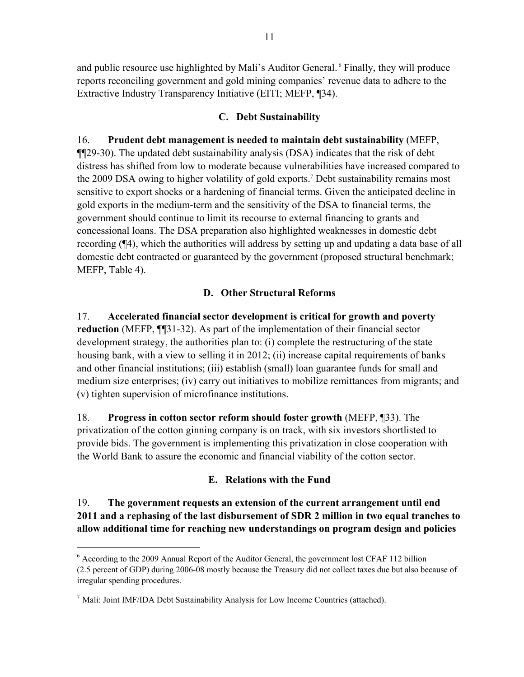and public resource use highlighted by Mali's Auditor General. 6 Finally, they will produce reports reconciling government and gold mining companies' revenue data to adhere to the Extractive Industry Transparency Initiative (EITI; MEFP, ¶34).

## **C. Debt Sustainability**

# 16. **Prudent debt management is needed to maintain debt sustainability** (MEFP,

¶¶29-30). The updated debt sustainability analysis (DSA) indicates that the risk of debt distress has shifted from low to moderate because vulnerabilities have increased compared to the 2009 DSA owing to higher volatility of gold exports.<sup>7</sup> Debt sustainability remains most sensitive to export shocks or a hardening of financial terms. Given the anticipated decline in gold exports in the medium-term and the sensitivity of the DSA to financial terms, the government should continue to limit its recourse to external financing to grants and concessional loans. The DSA preparation also highlighted weaknesses in domestic debt recording (¶4), which the authorities will address by setting up and updating a data base of all domestic debt contracted or guaranteed by the government (proposed structural benchmark; MEFP, Table 4).

## **D. Other Structural Reforms**

17. **Accelerated financial sector development is critical for growth and poverty reduction** (MEFP, ¶¶31-32). As part of the implementation of their financial sector development strategy, the authorities plan to: (i) complete the restructuring of the state housing bank, with a view to selling it in 2012; (ii) increase capital requirements of banks and other financial institutions; (iii) establish (small) loan guarantee funds for small and medium size enterprises; (iv) carry out initiatives to mobilize remittances from migrants; and (v) tighten supervision of microfinance institutions.

18. **Progress in cotton sector reform should foster growth** (MEFP, ¶33). The privatization of the cotton ginning company is on track, with six investors shortlisted to provide bids. The government is implementing this privatization in close cooperation with the World Bank to assure the economic and financial viability of the cotton sector.

# **E. Relations with the Fund**

19. **The government requests an extension of the current arrangement until end 2011 and a rephasing of the last disbursement of SDR 2 million in two equal tranches to allow additional time for reaching new understandings on program design and policies**

1

<sup>&</sup>lt;sup>6</sup> According to the 2009 Annual Report of the Auditor General, the government lost CFAF 112 billion (2.5 percent of GDP) during 2006-08 mostly because the Treasury did not collect taxes due but also because of irregular spending procedures.

 $<sup>7</sup>$  Mali: Joint IMF/IDA Debt Sustainability Analysis for Low Income Countries (attached).</sup>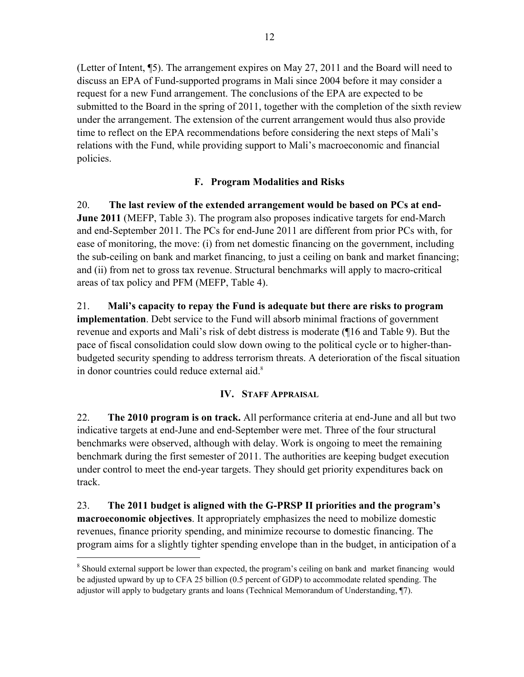(Letter of Intent, ¶5). The arrangement expires on May 27, 2011 and the Board will need to discuss an EPA of Fund-supported programs in Mali since 2004 before it may consider a request for a new Fund arrangement. The conclusions of the EPA are expected to be submitted to the Board in the spring of 2011, together with the completion of the sixth review under the arrangement. The extension of the current arrangement would thus also provide time to reflect on the EPA recommendations before considering the next steps of Mali's relations with the Fund, while providing support to Mali's macroeconomic and financial policies.

# **F. Program Modalities and Risks**

20. **The last review of the extended arrangement would be based on PCs at end-June 2011** (MEFP, Table 3). The program also proposes indicative targets for end-March and end-September 2011. The PCs for end-June 2011 are different from prior PCs with, for ease of monitoring, the move: (i) from net domestic financing on the government, including the sub-ceiling on bank and market financing, to just a ceiling on bank and market financing; and (ii) from net to gross tax revenue. Structural benchmarks will apply to macro-critical areas of tax policy and PFM (MEFP, Table 4).

21. **Mali's capacity to repay the Fund is adequate but there are risks to program implementation**. Debt service to the Fund will absorb minimal fractions of government revenue and exports and Mali's risk of debt distress is moderate (¶16 and Table 9). But the pace of fiscal consolidation could slow down owing to the political cycle or to higher-thanbudgeted security spending to address terrorism threats. A deterioration of the fiscal situation in donor countries could reduce external aid.<sup>8</sup>

# **IV. STAFF APPRAISAL**

22. **The 2010 program is on track.** All performance criteria at end-June and all but two indicative targets at end-June and end-September were met. Three of the four structural benchmarks were observed, although with delay. Work is ongoing to meet the remaining benchmark during the first semester of 2011. The authorities are keeping budget execution under control to meet the end-year targets. They should get priority expenditures back on track.

23. **The 2011 budget is aligned with the G-PRSP II priorities and the program's macroeconomic objectives**. It appropriately emphasizes the need to mobilize domestic revenues, finance priority spending, and minimize recourse to domestic financing. The program aims for a slightly tighter spending envelope than in the budget, in anticipation of a

 $\overline{a}$ 

<sup>&</sup>lt;sup>8</sup> Should external support be lower than expected, the program's ceiling on bank and market financing would be adjusted upward by up to CFA 25 billion (0.5 percent of GDP) to accommodate related spending. The adjustor will apply to budgetary grants and loans (Technical Memorandum of Understanding, ¶7).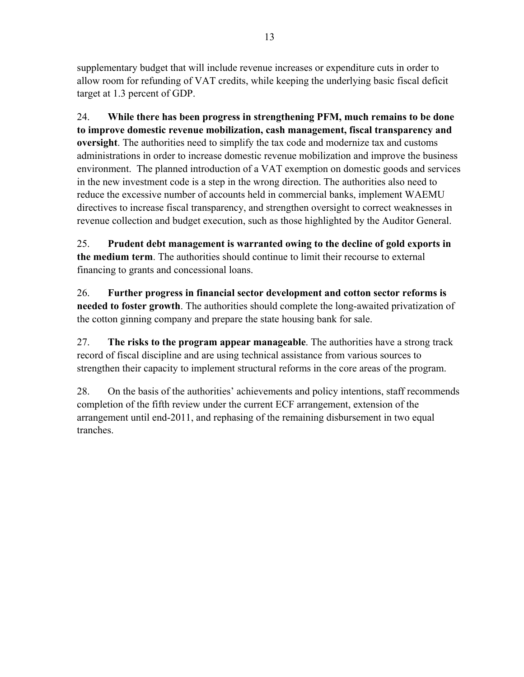supplementary budget that will include revenue increases or expenditure cuts in order to allow room for refunding of VAT credits, while keeping the underlying basic fiscal deficit target at 1.3 percent of GDP.

24. **While there has been progress in strengthening PFM, much remains to be done to improve domestic revenue mobilization, cash management, fiscal transparency and oversight**. The authorities need to simplify the tax code and modernize tax and customs administrations in order to increase domestic revenue mobilization and improve the business environment.The planned introduction of a VAT exemption on domestic goods and services in the new investment code is a step in the wrong direction. The authorities also need to reduce the excessive number of accounts held in commercial banks, implement WAEMU directives to increase fiscal transparency, and strengthen oversight to correct weaknesses in revenue collection and budget execution, such as those highlighted by the Auditor General.

25. **Prudent debt management is warranted owing to the decline of gold exports in the medium term**. The authorities should continue to limit their recourse to external financing to grants and concessional loans.

26. **Further progress in financial sector development and cotton sector reforms is needed to foster growth**. The authorities should complete the long-awaited privatization of the cotton ginning company and prepare the state housing bank for sale.

27. **The risks to the program appear manageable**. The authorities have a strong track record of fiscal discipline and are using technical assistance from various sources to strengthen their capacity to implement structural reforms in the core areas of the program.

28. On the basis of the authorities' achievements and policy intentions, staff recommends completion of the fifth review under the current ECF arrangement, extension of the arrangement until end-2011, and rephasing of the remaining disbursement in two equal tranches.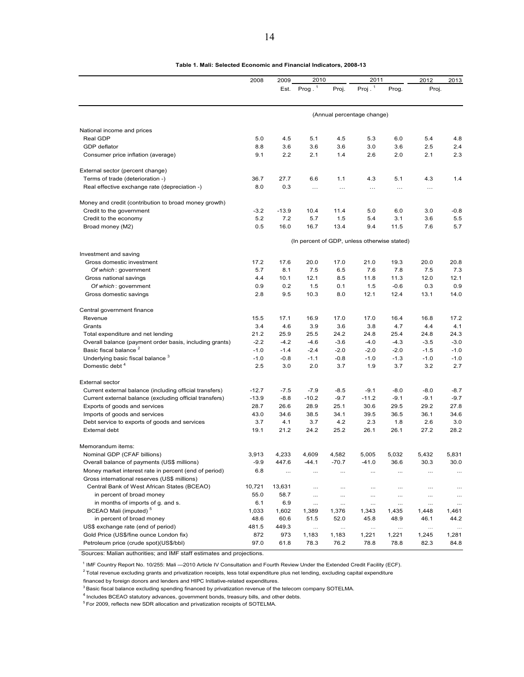|                                                         | 2008    | 2009     | 2010      |          | 2011                                         |          | 2012     | 2013     |
|---------------------------------------------------------|---------|----------|-----------|----------|----------------------------------------------|----------|----------|----------|
|                                                         |         | Est.     | Prog. $1$ | Proj.    | Proj $.$ <sup>1</sup>                        | Prog.    | Proj.    |          |
|                                                         |         |          |           |          | (Annual percentage change)                   |          |          |          |
|                                                         |         |          |           |          |                                              |          |          |          |
| National income and prices                              |         |          |           |          |                                              |          |          |          |
| Real GDP                                                | 5.0     | 4.5      | 5.1       | 4.5      | 5.3                                          | 6.0      | 5.4      | 4.8      |
| GDP deflator                                            | 8.8     | 3.6      | 3.6       | 3.6      | 3.0                                          | 3.6      | 2.5      | 2.4      |
| Consumer price inflation (average)                      | 9.1     | 2.2      | 2.1       | 1.4      | 2.6                                          | 2.0      | 2.1      | 2.3      |
| External sector (percent change)                        |         |          |           |          |                                              |          |          |          |
| Terms of trade (deterioration -)                        | 36.7    | 27.7     | 6.6       | 1.1      | 4.3                                          | 5.1      | 4.3      | 1.4      |
| Real effective exchange rate (depreciation -)           | 8.0     | 0.3      | $\cdots$  | $\cdots$ | $\cdots$                                     | $\cdots$ | $\cdots$ |          |
| Money and credit (contribution to broad money growth)   |         |          |           |          |                                              |          |          |          |
| Credit to the government                                | $-3.2$  | $-13.9$  | 10.4      | 11.4     | 5.0                                          | 6.0      | 3.0      | $-0.8$   |
| Credit to the economy                                   | 5.2     | 7.2      | 5.7       | 1.5      | 5.4                                          | 3.1      | 3.6      | 5.5      |
| Broad money (M2)                                        | 0.5     | 16.0     | 16.7      | 13.4     | 9.4                                          | 11.5     | 7.6      | 5.7      |
|                                                         |         |          |           |          | (In percent of GDP, unless otherwise stated) |          |          |          |
| Investment and saving                                   |         |          |           |          |                                              |          |          |          |
| Gross domestic investment                               | 17.2    | 17.6     | 20.0      | 17.0     | 21.0                                         | 19.3     | 20.0     | 20.8     |
| Of which: government                                    | 5.7     | 8.1      | 7.5       | 6.5      | 7.6                                          | 7.8      | 7.5      | 7.3      |
| Gross national savings                                  | 4.4     | 10.1     | 12.1      | 8.5      | 11.8                                         | 11.3     | 12.0     | 12.1     |
| Of which: government                                    | 0.9     | 0.2      | 1.5       | 0.1      | 1.5                                          | $-0.6$   | 0.3      | 0.9      |
| Gross domestic savings                                  | 2.8     | 9.5      | 10.3      | 8.0      | 12.1                                         | 12.4     | 13.1     | 14.0     |
| Central government finance                              |         |          |           |          |                                              |          |          |          |
| Revenue                                                 | 15.5    | 17.1     | 16.9      | 17.0     | 17.0                                         | 16.4     | 16.8     | 17.2     |
| Grants                                                  | 3.4     | 4.6      | 3.9       | 3.6      | 3.8                                          | 4.7      | 4.4      | 4.1      |
| Total expenditure and net lending                       | 21.2    | 25.9     | 25.5      | 24.2     | 24.8                                         | 25.4     | 24.8     | 24.3     |
| Overall balance (payment order basis, including grants) | $-2.2$  | $-4.2$   | -4.6      | $-3.6$   | $-4.0$                                       | $-4.3$   | $-3.5$   | $-3.0$   |
| Basic fiscal balance <sup>2</sup>                       | $-1.0$  | $-1.4$   | $-2.4$    | $-2.0$   | $-2.0$                                       | $-2.0$   | $-1.5$   | $-1.0$   |
| Underlying basic fiscal balance <sup>3</sup>            | $-1.0$  | $-0.8$   | $-1.1$    | $-0.8$   | $-1.0$                                       | $-1.3$   | $-1.0$   | $-1.0$   |
| Domestic debt <sup>4</sup>                              | 2.5     | 3.0      | 2.0       | 3.7      | 1.9                                          | 3.7      | 3.2      | 2.7      |
| <b>External sector</b>                                  |         |          |           |          |                                              |          |          |          |
| Current external balance (including official transfers) | $-12.7$ | $-7.5$   | $-7.9$    | $-8.5$   | $-9.1$                                       | $-8.0$   | $-8.0$   | $-8.7$   |
| Current external balance (excluding official transfers) | $-13.9$ | $-8.8$   | $-10.2$   | $-9.7$   | $-11.2$                                      | $-9.1$   | $-9.1$   | $-9.7$   |
| Exports of goods and services                           | 28.7    | 26.6     | 28.9      | 25.1     | 30.6                                         | 29.5     | 29.2     | 27.8     |
| Imports of goods and services                           | 43.0    | 34.6     | 38.5      | 34.1     | 39.5                                         | 36.5     | 36.1     | 34.6     |
| Debt service to exports of goods and services           | 3.7     | 4.1      | 3.7       | 4.2      | 2.3                                          | 1.8      | 2.6      | 3.0      |
| External debt                                           | 19.1    | 21.2     | 24.2      | 25.2     | 26.1                                         | 26.1     | 27.2     | 28.2     |
| Memorandum items:                                       |         |          |           |          |                                              |          |          |          |
| Nominal GDP (CFAF billions)                             | 3,913   | 4,233    | 4,609     | 4,582    | 5,005                                        | 5,032    | 5.432    | 5,831    |
| Overall balance of payments (US\$ millions)             | -9.9    | 447.6    | $-44.1$   | -70.7    | -41.0                                        | 36.6     | 30.3     | 30.0     |
| Money market interest rate in percent (end of period)   | 6.8     | $\cdots$ | $\cdots$  | $\cdots$ |                                              |          |          | $\ldots$ |
| Gross international reserves (US\$ millions)            |         |          |           |          |                                              |          |          |          |
| Central Bank of West African States (BCEAO)             | 10,721  | 13,631   | $\cdots$  | $\cdots$ | $\cdots$                                     | $\ldots$ | $\cdots$ | $\cdots$ |
| in percent of broad money                               | 55.0    | 58.7     | $\cdots$  | $\cdots$ | $\cdots$                                     |          |          | $\cdots$ |
| in months of imports of q. and s.                       | 6.1     | 6.9      | $\cdots$  | $\ldots$ | $\cdots$                                     |          | $\cdots$ | $\cdots$ |
| BCEAO Mali (imputed) <sup>5</sup>                       | 1,033   | 1,602    | 1,389     | 1,376    | 1,343                                        | 1,435    | 1,448    | 1,461    |
| in percent of broad money                               | 48.6    | 60.6     | 51.5      | 52.0     | 45.8                                         | 48.9     | 46.1     | 44.2     |
| US\$ exchange rate (end of period)                      | 481.5   | 449.3    | $\cdots$  | $\cdots$ | $\ldots$                                     | $\cdots$ | $\cdots$ | $\ldots$ |
| Gold Price (US\$/fine ounce London fix)                 | 872     | 973      | 1,183     | 1,183    | 1,221                                        | 1,221    | 1,245    | 1,281    |
| Petroleum price (crude spot)(US\$/bbl)                  | 97.0    | 61.8     | 78.3      | 76.2     | 78.8                                         | 78.8     | 82.3     | 84.8     |

**Table 1. Mali: Selected Economic and Financial Indicators, 2008-13**

Sources: Malian authorities; and IMF staff estimates and projections.

<sup>1</sup> IMF Country Report No. 10/255: Mali -2010 Article IV Consultation and Fourth Review Under the Extended Credit Facility (ECF).

<sup>2</sup> Total revenue excluding grants and privatization receipts, less total expenditure plus net lending, excluding capital expenditure

financed by foreign donors and lenders and HIPC Initiative-related expenditures.

<sup>3</sup> Basic fiscal balance excluding spending financed by privatization revenue of the telecom company SOTELMA.

 $^4$  Includes BCEAO statutory advances, government bonds, treasury bills, and other debts.

5 For 2009, reflects new SDR allocation and privatization receipts of SOTELMA.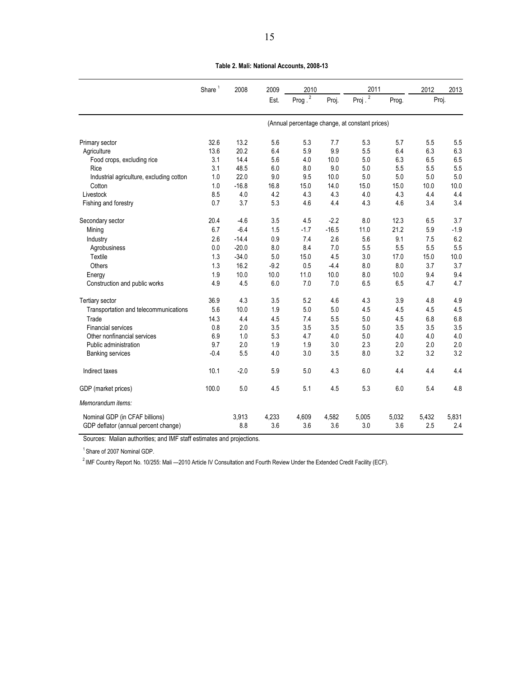|                                                                        | Share $1$ | 2008         | 2009         | 2010         |              | 2011         |              | 2012         | 2013         |
|------------------------------------------------------------------------|-----------|--------------|--------------|--------------|--------------|--------------|--------------|--------------|--------------|
|                                                                        |           |              | Est.         | Prog. $^{2}$ | Proj.        | Proj $^2$    | Prog.        | Proj.        |              |
|                                                                        |           |              |              |              |              |              |              |              |              |
| Primary sector                                                         | 32.6      | 13.2         | 5.6          | 5.3          | 7.7          | 5.3          | 5.7          | 5.5          | 5.5          |
| Agriculture                                                            | 13.6      | 20.2         | 6.4          | 5.9          | 9.9          | 5.5          | 6.4          | 6.3          | 6.3          |
| Food crops, excluding rice                                             | 3.1       | 14.4         | 5.6          | 4.0          | 10.0         | 5.0          | 6.3          | 6.5          | 6.5          |
| Rice                                                                   | 3.1       | 48.5         | 6.0          | 8.0          | 9.0          | 5.0          | 5.5          | 5.5          | 5.5          |
| Industrial agriculture, excluding cotton                               | 1.0       | 22.0         | 9.0          | 9.5          | 10.0         | 5.0          | 5.0          | 5.0          | 5.0          |
| Cotton                                                                 | 1.0       | $-16.8$      | 16.8         | 15.0         | 14.0         | 15.0         | 15.0         | 10.0         | 10.0         |
| Livestock                                                              | 8.5       | 4.0          | 4.2          | 4.3          | 4.3          | 4.0          | 4.3          | 4.4          | 4.4          |
| Fishing and forestry                                                   | 0.7       | 3.7          | 5.3          | 4.6          | 4.4          | 4.3          | 4.6          | 3.4          | 3.4          |
| Secondary sector                                                       | 20.4      | $-4.6$       | 3.5          | 4.5          | $-2.2$       | 8.0          | 12.3         | 6.5          | 3.7          |
| Mining                                                                 | 6.7       | $-6.4$       | 1.5          | $-1.7$       | $-16.5$      | 11.0         | 21.2         | 5.9          | $-1.9$       |
| Industry                                                               | 2.6       | $-14.4$      | 0.9          | 7.4          | 2.6          | 5.6          | 9.1          | 7.5          | 6.2          |
| Agrobusiness                                                           | 0.0       | $-20.0$      | 8.0          | 8.4          | 7.0          | 5.5          | 5.5          | 5.5          | 5.5          |
| Textile                                                                | 1.3       | $-34.0$      | 5.0          | 15.0         | 4.5          | 3.0          | 17.0         | 15.0         | 10.0         |
| Others                                                                 | 1.3       | 16.2         | $-9.2$       | 0.5          | $-4.4$       | 8.0          | 8.0          | 3.7          | 3.7          |
| Energy                                                                 | 1.9       | 10.0         | 10.0         | 11.0         | 10.0         | 8.0          | 10.0         | 9.4          | 9.4          |
| Construction and public works                                          | 4.9       | 4.5          | 6.0          | 7.0          | 7.0          | 6.5          | 6.5          | 4.7          | 4.7          |
| Tertiary sector                                                        | 36.9      | 4.3          | 3.5          | 5.2          | 4.6          | 4.3          | 3.9          | 4.8          | 4.9          |
| Transportation and telecommunications                                  | 5.6       | 10.0         | 1.9          | 5.0          | 5.0          | 4.5          | 4.5          | 4.5          | 4.5          |
| Trade                                                                  | 14.3      | 4.4          | 4.5          | 7.4          | 5.5          | 5.0          | 4.5          | 6.8          | 6.8          |
| <b>Financial services</b>                                              | 0.8       | 2.0          | 3.5          | 3.5          | 3.5          | 5.0          | 3.5          | 3.5          | 3.5          |
| Other nonfinancial services                                            | 6.9       | 1.0          | 5.3          | 4.7          | 4.0          | 5.0          | 4.0          | 4.0          | 4.0          |
| Public administration                                                  | 9.7       | 2.0          | 1.9          | 1.9          | 3.0          | 2.3          | 2.0          | 2.0          | 2.0          |
| <b>Banking services</b>                                                | $-0.4$    | 5.5          | 4.0          | 3.0          | 3.5          | 8.0          | 3.2          | 3.2          | 3.2          |
| Indirect taxes                                                         | 10.1      | $-2.0$       | 5.9          | 5.0          | 4.3          | 6.0          | 4.4          | 4.4          | 4.4          |
| GDP (market prices)                                                    | 100.0     | 5.0          | 4.5          | 5.1          | 4.5          | 5.3          | 6.0          | 5.4          | 4.8          |
| Memorandum items:                                                      |           |              |              |              |              |              |              |              |              |
| Nominal GDP (in CFAF billions)<br>GDP deflator (annual percent change) |           | 3,913<br>8.8 | 4,233<br>3.6 | 4,609<br>3.6 | 4,582<br>3.6 | 5,005<br>3.0 | 5,032<br>3.6 | 5,432<br>2.5 | 5,831<br>2.4 |

**Table 2. Mali: National Accounts, 2008-13**

Sources: Malian authorities; and IMF staff estimates and projections.

<sup>1</sup> Share of 2007 Nominal GDP.

<sup>2</sup> IMF Country Report No. 10/255: Mali -2010 Article IV Consultation and Fourth Review Under the Extended Credit Facility (ECF).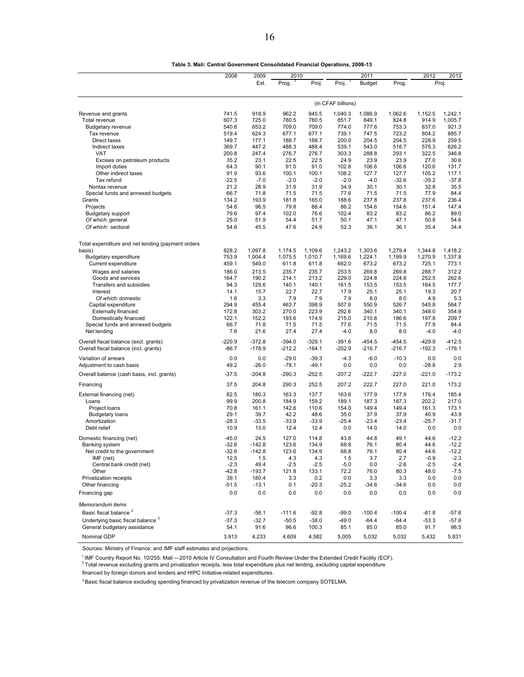|                                                                                | 2008           | 2009           | 2010           |                |                    | 2011           | 2012           | 2013           |                |
|--------------------------------------------------------------------------------|----------------|----------------|----------------|----------------|--------------------|----------------|----------------|----------------|----------------|
|                                                                                |                | Est.           | Prog.          | Proj.          | Proj.              | <b>Budget</b>  | Prog.          |                | Proj.          |
|                                                                                |                |                |                |                |                    |                |                |                |                |
|                                                                                |                |                |                |                | (in CFAF billions) |                |                |                |                |
| Revenue and grants                                                             | 741.5          | 918.9          | 962.2          | 945.5          | 1,040.3            | 1,086.9        | 1,062.6        | 1,152.5        | 1,242.1        |
| Total revenue                                                                  | 607.3          | 725.0<br>653.2 | 780.5<br>709.0 | 780.5<br>709.0 | 851.7<br>774.0     | 849.1<br>777.6 | 824.8<br>753.3 | 914.9<br>837.0 | 1,005.7        |
| <b>Budgetary revenue</b><br>Tax revenue                                        | 540.6<br>519.4 | 624.3          | 677.1          | 677.1          | 739.1              | 747.5          | 723.2          | 804.2          | 921.3<br>885.7 |
| Direct taxes                                                                   | 149.7          | 177.1          | 188.7          | 188.7          | 200.0              | 204.5          | 204.5          | 228.9          | 259.5          |
| Indirect taxes                                                                 | 369.7          | 447.2          | 488.3          | 488.4          | 539.1              | 543.0          | 518.7          | 575.3          | 626.2          |
| VAT                                                                            | 200.8          | 247.4          | 276.7          | 276.7          | 303.3              | 288.8          | 293.1          | 322.5          | 346.8          |
| Excises on petroleum products                                                  | 35.2           | 23.1           | 22.5           | 22.5           | 24.9               | 23.9           | 23.9           | 27.0           | 30.6           |
| Import duties                                                                  | 64.3           | 90.1           | 91.0           | 91.0           | 102.8              | 106.6          | 106.6          | 120.6          | 131.7          |
| Other indirect taxes                                                           | 91.9           | 93.6           | 100.1          | 100.1          | 108.2              | 127.7          | 127.7          | 105.2          | 117.1          |
| Tax refund                                                                     | $-22.5$        | $-7.0$         | $-2.0$         | $-2.0$         | $-2.0$             | $-4.0$         | $-32.6$        | $-35.2$        | $-37.8$        |
| Nontax revenue                                                                 | 21.2           | 28.9           | 31.9           | 31.9           | 34.9               | 30.1           | 30.1           | 32.8           | 35.5           |
| Special funds and annexed budgets                                              | 66.7           | 71.8           | 71.5           | 71.5           | 77.6               | 71.5           | 71.5           | 77.9           | 84.4           |
| Grants                                                                         | 134.2          | 193.9          | 181.8          | 165.0          | 188.6              | 237.8          | 237.8          | 237.6          | 236.4          |
| Projects                                                                       | 54.6           | 96.5           | 79.8           | 88.4           | 86.2               | 154.6          | 154.6          | 151.4          | 147.4          |
| <b>Budgetary support</b>                                                       | 79.6           | 97.4           | 102.0          | 76.6           | 102.4              | 83.2           | 83.2           | 86.2           | 89.0           |
| Of which: general                                                              | 25.0           | 51.9           | 54.4           | 51.7           | 50.1               | 47.1           | 47.1           | 50.8           | 54.6           |
| Of which: sectoral                                                             | 54.6           | 45.5           | 47.6           | 24.9           | 52.3               | 36.1           | 36.1           | 35.4           | 34.4           |
| Total expenditure and net lending (payment orders                              |                |                |                |                |                    |                |                |                |                |
| basis)                                                                         | 828.2          | 1,097.8        | 1,174.5        | 1,109.6        | 1,243.2            | 1,303.6        | 1,279.4        | 1,344.8        | 1,418.2        |
| <b>Budgetary expenditure</b>                                                   | 753.9          | 1,004.4        | 1,075.5        | 1,010.7        | 1,169.6            | 1,224.1        | 1,199.9        | 1,270.9        | 1,337.8        |
| Current expenditure                                                            | 459.1          | 549.0          | 611.8          | 611.8          | 662.0              | 673.2          | 673.2          | 725.1          | 773.1          |
| Wages and salaries                                                             | 186.0          | 213.5          | 235.7          | 235.7          | 253.5              | 269.8          | 269.8          | 288.7          | 312.2          |
| Goods and services                                                             | 164.7          | 190.2          | 214.1          | 213.2          | 229.0              | 224.8          | 224.8          | 252.5          | 262.6          |
| Transfers and subsidies                                                        | 94.3           | 129.6          | 140.1          | 140.1          | 161.5              | 153.5          | 153.5          | 164.5          | 177.7          |
| Interest<br>Of which: domestic                                                 | 14.1<br>1.6    | 15.7<br>3.3    | 22.7<br>7.9    | 22.7<br>7.9    | 17.9<br>7.9        | 25.1<br>8.0    | 25.1<br>8.0    | 19.3<br>4.9    | 20.7<br>5.3    |
| Capital expenditure                                                            | 294.9          | 455.4          | 463.7          | 398.9          | 507.6              | 550.9          | 526.7          | 545.8          | 564.7          |
| <b>Externally financed</b>                                                     | 172.8          | 303.2          | 270.0          | 223.9          | 292.6              | 340.1          | 340.1          | 348.0          | 354.9          |
| Domestically financed                                                          | 122.1          | 152.2          | 193.6          | 174.9          | 215.0              | 210.8          | 186.6          | 197.8          | 209.7          |
| Special funds and annexed budgets                                              | 66.7           | 71.8           | 71.5           | 71.5           | 77.6               | 71.5           | 71.5           | 77.9           | 84.4           |
| Net lending                                                                    | 7.6            | 21.6           | 27.4           | 27.4           | $-4.0$             | 8.0            | 8.0            | $-4.0$         | $-4.0$         |
|                                                                                | $-220.9$       | $-372.8$       | $-394.0$       | $-329.1$       | $-391.6$           | $-454.5$       | $-454.5$       | $-429.9$       | $-412.5$       |
| Overall fiscal balance (excl. grants)<br>Overall fiscal balance (incl. grants) | $-86.7$        | $-178.9$       | $-212.2$       | $-164.1$       | $-202.9$           | $-216.7$       | $-216.7$       | $-192.3$       | $-176.1$       |
|                                                                                |                |                |                |                |                    |                |                |                |                |
| Variation of arrears                                                           | 0.0            | 0.0            | $-29.0$        | $-39.3$        | $-4.3$             | $-6.0$         | $-10.3$        | 0.0            | 0.0            |
| Adjustment to cash basis                                                       | 49.2           | $-26.0$        | $-78.1$        | $-49.1$        | 0.0                | 0.0            | 0.0            | $-28.8$        | 2.9            |
| Overall balance (cash basis, incl. grants)                                     | $-37.5$        | $-204.8$       | $-290.3$       | $-252.5$       | $-207.2$           | $-222.7$       | $-227.0$       | $-221.0$       | $-173.2$       |
| Financing                                                                      | 37.5           | 204.8          | 290.3          | 252.5          | 207.2              | 222.7          | 227.0          | 221.0          | 173.2          |
| External financing (net)                                                       | 82.5           | 180.3          | 163.3          | 137.7          | 163.6              | 177.9          | 177.9          | 176.4          | 185.4          |
| Loans                                                                          | 99.9           | 200.8          | 184.9          | 159.2          | 189.1              | 187.3          | 187.3          | 202.2          | 217.0          |
| Project loans                                                                  | 70.8           | 161.1          | 142.6          | 110.6          | 154.0              | 149.4          | 149.4          | 161.3          | 173.1          |
| <b>Budgetary loans</b>                                                         | 29.1           | 39.7           | 42.2           | 48.6           | 35.0               | 37.9           | 37.9           | 40.9           | 43.9           |
| Amortization                                                                   | $-28.3$        | $-33.5$        | $-33.9$        | $-33.9$        | $-25.4$            | $-23.4$        | $-23.4$        | $-25.7$        | $-31.7$        |
| Debt relief                                                                    | 10.9           | 13.0           | 12.4           | 12.4           | 0.0                | 14.0           | 14.0           | 0.0            | 0.0            |
| Domestic financing (net)                                                       | $-45.0$        | 24.5           | 127.0          | 114.8          | 43.6               | 44.8           | 49.1           | 44.6           | $-12.2$        |
| Banking system                                                                 | -32.6          | -142.8         | 123.6          | 134.9          | 68.8               | 76.1           | 80.4           | 44.6           | $-12.2$        |
| Net credit to the government                                                   | $-32.6$        | -142.8         | 123.6          | 134.9          | 68.8               | 76.1           | 80.4           | 44.6           | $-12.2$        |
| IMF (net)                                                                      | 12.5           | 1.5            | 4.3            | 4.3            | 1.5                | 3.7            | 2.7            | $-0.9$         | $-2.3$         |
| Central bank credit (net)                                                      | $-2.3$         | 49.4           | $-2.5$         | $-2.5$         | $-5.0$             | 0.0            | $-2.6$         | $-2.5$         | $-2.4$         |
| Other                                                                          | $-42.8$        | $-193.7$       | 121.8          | 133.1          | 72.2               | 76.0           | 80.3           | 48.0           | $-7.5$         |
| Privatization receipts                                                         | 39.1           | 180.4          | 3.3            | 0.2            | 0.0                | 3.3            | 3.3            | 0.0            | 0.0            |
| Other financing                                                                | $-51.5$        | $-13.1$        | 0.1            | $-20.3$        | $-25.2$            | -34.6          | $-34.6$        | 0.0            | 0.0            |
| Financing gap                                                                  | 0.0            | 0.0            | 0.0            | 0.0            | 0.0                | 0.0            | 0.0            | 0.0            | 0.0            |
| Memorandum items                                                               |                |                |                |                |                    |                |                |                |                |
| Basic fiscal balance <sup>2</sup>                                              | $-37.3$        | $-58.1$        | $-111.6$       | $-92.8$        | $-99.0$            | $-100.4$       | $-100.4$       | $-81.8$        | $-57.6$        |
| Underlying basic fiscal balance <sup>3</sup>                                   | $-37.3$        | $-32.7$        | $-50.5$        | $-38.0$        | $-49.0$            | $-64.4$        | $-64.4$        | $-53.3$        | $-57.6$        |
| General budgetary assistance                                                   | 54.1           | 91.6           | 96.6           | 100.3          | 85.1               | 85.0           | 85.0           | 91.7           | 98.5           |
| Nominal GDP                                                                    | 3,913          | 4,233          | 4,609          | 4,582          | 5,005              | 5,032          | 5,032          | 5,432          | 5,831          |

Sources: Ministry of Finance; and IMF staff estimates and projections.

<sup>1</sup> IMF Country Report No. 10/255: Mali —2010 Article IV Consultation and Fourth Review Under the Extended Credit Facility (ECF).<br><sup>2</sup> Total revenue excluding grants and privatization receipts, less total expenditure plus n

financed by foreign donors and lenders and HIPC Initiative-related expenditures.

<sup>3</sup> Basic fiscal balance excluding spending financed by privatization revenue of the telecom company SOTELMA.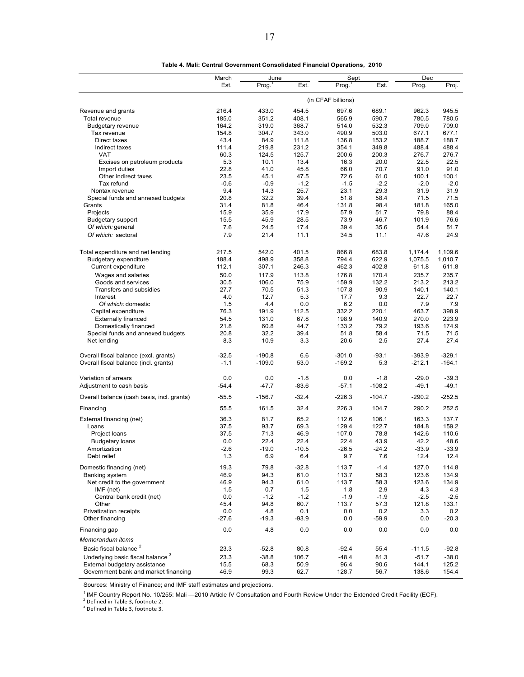|                                              | March<br>Est. | June<br>Prog. | Est.    | Sept<br>Proa. <sup>1</sup> | Est.     | Dec<br>Proof <sup>1</sup> | Proj.    |  |
|----------------------------------------------|---------------|---------------|---------|----------------------------|----------|---------------------------|----------|--|
|                                              |               |               |         |                            |          |                           |          |  |
|                                              |               |               |         | (in CFAF billions)         |          |                           |          |  |
| Revenue and grants                           | 216.4         | 433.0         | 454.5   | 697.6                      | 689.1    | 962.3                     | 945.5    |  |
| Total revenue                                | 185.0         | 351.2         | 408.1   | 565.9                      | 590.7    | 780.5                     | 780.5    |  |
| <b>Budgetary revenue</b>                     | 164.2         | 319.0         | 368.7   | 514.0                      | 532.3    | 709.0                     | 709.0    |  |
| Tax revenue                                  | 154.8         | 304.7         | 343.0   | 490.9                      | 503.0    | 677.1                     | 677.1    |  |
| Direct taxes                                 | 43.4          | 84.9          | 111.8   | 136.8                      | 153.2    | 188.7                     | 188.7    |  |
| Indirect taxes                               | 111.4         | 219.8         | 231.2   | 354.1                      | 349.8    | 488.4                     | 488.4    |  |
| <b>VAT</b>                                   | 60.3          | 124.5         | 125.7   | 200.6                      | 200.3    | 276.7                     | 276.7    |  |
| Excises on petroleum products                | 5.3           | 10.1          | 13.4    | 16.3                       | 20.0     | 22.5                      | 22.5     |  |
| Import duties                                | 22.8          | 41.0          | 45.8    | 66.0                       | 70.7     | 91.0                      | 91.0     |  |
| Other indirect taxes                         | 23.5          | 45.1          | 47.5    | 72.6                       | 61.0     | 100.1                     | 100.1    |  |
| Tax refund                                   | $-0.6$        | $-0.9$        | $-1.2$  | $-1.5$                     | $-2.2$   | $-2.0$                    | $-2.0$   |  |
| Nontax revenue                               | 9.4           | 14.3          | 25.7    | 23.1                       | 29.3     | 31.9                      | 31.9     |  |
| Special funds and annexed budgets            | 20.8          | 32.2          | 39.4    | 51.8                       | 58.4     | 71.5                      | 71.5     |  |
| Grants                                       | 31.4          | 81.8          | 46.4    | 131.8                      | 98.4     | 181.8                     | 165.0    |  |
| Projects                                     | 15.9          | 35.9          | 17.9    | 57.9                       | 51.7     | 79.8                      | 88.4     |  |
| <b>Budgetary support</b>                     | 15.5          | 45.9          | 28.5    | 73.9                       | 46.7     | 101.9                     | 76.6     |  |
| Of which: general                            | 7.6           | 24.5          | 17.4    | 39.4                       | 35.6     | 54.4                      | 51.7     |  |
| Of which: sectoral                           | 7.9           | 21.4          | 11.1    | 34.5                       | 11.1     | 47.6                      | 24.9     |  |
|                                              |               |               |         |                            |          |                           |          |  |
| Total expenditure and net lending            | 217.5         | 542.0         | 401.5   | 866.8                      | 683.8    | 1,174.4                   | 1,109.6  |  |
| <b>Budgetary expenditure</b>                 | 188.4         | 498.9         | 358.8   | 794.4                      | 622.9    | 1,075.5                   | 1.010.7  |  |
| Current expenditure                          | 112.1         | 307.1         | 246.3   | 462.3                      | 402.8    | 611.8                     | 611.8    |  |
| Wages and salaries                           | 50.0          | 117.9         | 113.8   | 176.8                      | 170.4    | 235.7                     | 235.7    |  |
| Goods and services                           | 30.5          | 106.0         | 75.9    | 159.9                      | 132.2    | 213.2                     | 213.2    |  |
| Transfers and subsidies                      | 27.7          | 70.5          | 51.3    | 107.8                      | 90.9     | 140.1                     | 140.1    |  |
| Interest                                     | 4.0           | 12.7          | 5.3     | 17.7                       | 9.3      | 22.7                      | 22.7     |  |
| Of which: domestic                           | 1.5           | 4.4           | 0.0     | 6.2                        | 0.0      | 7.9                       | 7.9      |  |
| Capital expenditure                          | 76.3          | 191.9         | 112.5   | 332.2                      | 220.1    | 463.7                     | 398.9    |  |
| Externally financed                          | 54.5          | 131.0         | 67.8    | 198.9                      | 140.9    | 270.0                     | 223.9    |  |
| Domestically financed                        | 21.8          | 60.8          | 44.7    | 133.2                      | 79.2     | 193.6                     | 174.9    |  |
| Special funds and annexed budgets            | 20.8          | 32.2          | 39.4    | 51.8                       | 58.4     | 71.5                      | 71.5     |  |
| Net lending                                  | 8.3           | 10.9          | 3.3     | 20.6                       | 2.5      | 27.4                      | 27.4     |  |
| Overall fiscal balance (excl. grants)        | $-32.5$       | $-190.8$      | 6.6     | $-301.0$                   | $-93.1$  | $-393.9$                  | $-329.1$ |  |
| Overall fiscal balance (incl. grants)        | $-1.1$        | $-109.0$      | 53.0    | $-169.2$                   | 5.3      | $-212.1$                  | $-164.1$ |  |
| Variation of arrears                         | 0.0           | 0.0           | $-1.8$  | 0.0                        | $-1.8$   | $-29.0$                   | $-39.3$  |  |
|                                              |               |               |         |                            |          |                           |          |  |
| Adjustment to cash basis                     | $-54.4$       | $-47.7$       | $-83.6$ | $-57.1$                    | $-108.2$ | $-49.1$                   | $-49.1$  |  |
| Overall balance (cash basis, incl. grants)   | $-55.5$       | $-156.7$      | $-32.4$ | $-226.3$                   | $-104.7$ | $-290.2$                  | $-252.5$ |  |
| Financing                                    | 55.5          | 161.5         | 32.4    | 226.3                      | 104.7    | 290.2                     | 252.5    |  |
| External financing (net)                     | 36.3          | 81.7          | 65.2    | 112.6                      | 106.1    | 163.3                     | 137.7    |  |
| Loans                                        | 37.5          | 93.7          | 69.3    | 129.4                      | 122.7    | 184.8                     | 159.2    |  |
| Project loans                                | 37.5          | 71.3          | 46.9    | 107.0                      | 78.8     | 142.6                     | 110.6    |  |
| <b>Budgetary loans</b>                       | 0.0           | 22.4          | 22.4    | 22.4                       | 43.9     | 42.2                      | 48.6     |  |
| Amortization                                 | $-2.6$        | $-19.0$       | $-10.5$ | $-26.5$                    | $-24.2$  | $-33.9$                   | $-33.9$  |  |
| Debt relief                                  | $1.3$         | 6.9           | 6.4     | 9.7                        | $7.6$    | 12.4                      | 12.4     |  |
| Domestic financing (net)                     | 19.3          | 79.8          | $-32.8$ | 113.7                      | $-1.4$   | 127.0                     | 114.8    |  |
| Banking system                               | 46.9          | 94.3          | 61.0    | 113.7                      | 58.3     | 123.6                     | 134.9    |  |
| Net credit to the government                 | 46.9          | 94.3          | 61.0    | 113.7                      | 58.3     | 123.6                     | 134.9    |  |
| IMF (net)                                    | 1.5           | 0.7           | 1.5     | 1.8                        | 2.9      | 4.3                       | 4.3      |  |
| Central bank credit (net)                    | 0.0           | $-1.2$        | $-1.2$  | $-1.9$                     | $-1.9$   | $-2.5$                    | $-2.5$   |  |
| Other                                        | 45.4          | 94.8          | 60.7    | 113.7                      | 57.3     | 121.8                     | 133.1    |  |
| Privatization receipts                       | 0.0           | 4.8           | 0.1     | 0.0                        | 0.2      | 3.3                       | 0.2      |  |
| Other financing                              | $-27.6$       | $-19.3$       | $-93.9$ | 0.0                        | $-59.9$  | 0.0                       | $-20.3$  |  |
| Financing gap                                | 0.0           | 4.8           | 0.0     | 0.0                        | 0.0      | 0.0                       | 0.0      |  |
| Memorandum items                             |               |               |         |                            |          |                           |          |  |
| Basic fiscal balance <sup>2</sup>            | 23.3          | $-52.8$       | 80.8    | $-92.4$                    | 55.4     | $-111.5$                  | $-92.8$  |  |
| Underlying basic fiscal balance <sup>3</sup> | 23.3          | $-38.8$       | 106.7   | $-48.4$                    | 81.3     | $-51.7$                   | $-38.0$  |  |
| External budgetary assistance                | 15.5          | 68.3          | 50.9    | 96.4                       | 90.6     | 144.1                     | 125.2    |  |
| Government bank and market financing         | 46.9          | 99.3          | 62.7    | 128.7                      | 56.7     | 138.6                     | 154.4    |  |

| Table 4. Mali: Central Government Consolidated Financial Operations, 2010 |  |
|---------------------------------------------------------------------------|--|
|---------------------------------------------------------------------------|--|

Sources: Ministry of Finance; and IMF staff estimates and projections.

<sup>1</sup> IMF Country Report No. 10/255: Mali —2010 Article IV Consultation and Fourth Review Under the Extended Credit Facility (ECF).<br><sup>2</sup> Defined in Table 3, footnote 2.<br><sup>3</sup> Defined in Table 3, footnote 3.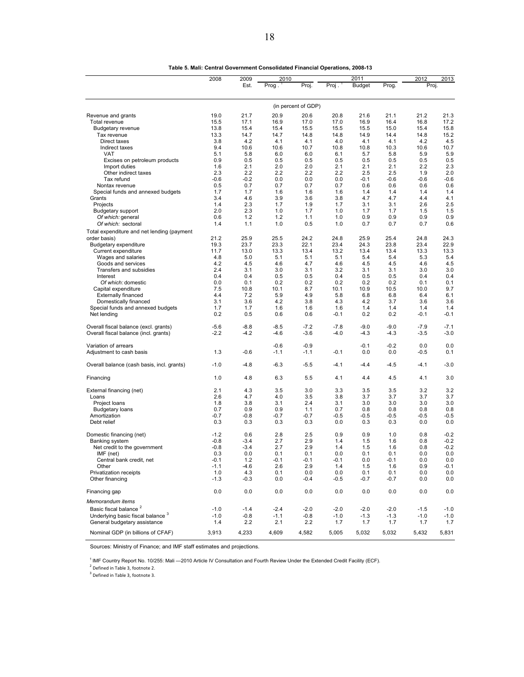|                                                     | 2008          | 2009          | 2010        |                     |             | 2011          |               |               | 2013          |
|-----------------------------------------------------|---------------|---------------|-------------|---------------------|-------------|---------------|---------------|---------------|---------------|
|                                                     |               | Est.          | Prog.       | Proj.               | Proj.       | <b>Budget</b> | Prog.         | 2012<br>Proj. |               |
|                                                     |               |               |             | (in percent of GDP) |             |               |               |               |               |
| Revenue and grants                                  | 19.0          | 21.7          | 20.9        | 20.6                | 20.8        | 21.6          | 21.1          | 21.2          | 21.3          |
| Total revenue                                       | 15.5          | 17.1          | 16.9        | 17.0                | 17.0        | 16.9          | 16.4          | 16.8          | 17.2          |
| <b>Budgetary revenue</b>                            | 13.8          | 15.4          | 15.4        | 15.5                | 15.5        | 15.5          | 15.0          | 15.4          | 15.8          |
| Tax revenue                                         | 13.3          | 14.7          | 14.7        | 14.8                | 14.8        | 14.9          | 14.4          | 14.8          | 15.2          |
| Direct taxes                                        | 3.8           | 4.2           | 4.1         | 4.1                 | 4.0         | 4.1           | 4.1           | 4.2           | 4.5           |
| Indirect taxes                                      | 9.4           | 10.6          | 10.6        | 10.7                | 10.8        | 10.8          | 10.3          | 10.6          | 10.7          |
| VAT                                                 | 5.1           | 5.8           | 6.0         | 6.0                 | 6.1         | 5.7           | 5.8           | 5.9           | 5.9           |
| Excises on petroleum products                       | 0.9           | 0.5           | 0.5         | 0.5                 | 0.5         | 0.5           | 0.5           | 0.5           | 0.5           |
| Import duties                                       | 1.6           | 2.1           | 2.0         | 2.0                 | 2.1         | 2.1           | 2.1           | 2.2           | 2.3           |
| Other indirect taxes                                | 2.3           | 2.2           | 2.2         | 2.2                 | 2.2         | 2.5           | 2.5           | 1.9           | 2.0           |
| Tax refund                                          | $-0.6$        | $-0.2$<br>0.7 | 0.0<br>0.7  | 0.0<br>0.7          | 0.0<br>0.7  | $-0.1$<br>0.6 | $-0.6$<br>0.6 | $-0.6$<br>0.6 | $-0.6$<br>0.6 |
| Nontax revenue<br>Special funds and annexed budgets | 0.5<br>1.7    | 1.7           | 1.6         | 1.6                 | 1.6         | 1.4           | 1.4           | 1.4           | 1.4           |
| Grants                                              | 3.4           | 4.6           | 3.9         | 3.6                 | 3.8         | 4.7           | 4.7           | 4.4           | 4.1           |
| Projects                                            | 1.4           | 2.3           | 1.7         | 1.9                 | 1.7         | 3.1           | 3.1           | 2.6           | 2.5           |
| <b>Budgetary support</b>                            | 2.0           | 2.3           | 1.0         | 1.7                 | 1.0         | 1.7           | 1.7           | 1.5           | 1.5           |
| Of which: general                                   | 0.6           | 1.2           | 1.2         | 1.1                 | 1.0         | 0.9           | 0.9           | 0.9           | 0.9           |
| Of which: sectoral                                  | 1.4           | 1.1           | 1.0         | 0.5                 | 1.0         | 0.7           | 0.7           | 0.7           | 0.6           |
| Total expenditure and net lending (payment          |               |               |             |                     |             |               |               |               |               |
| order basis)                                        | 21.2          | 25.9          | 25.5        | 24.2                | 24.8        | 25.9          | 25.4          | 24.8          | 24.3          |
| Budgetary expenditure                               | 19.3          | 23.7          | 23.3        | 22.1                | 23.4        | 24.3          | 23.8          | 23.4          | 22.9          |
| Current expenditure                                 | 11.7          | 13.0          | 13.3        | 13.4                | 13.2        | 13.4          | 13.4          | 13.3          | 13.3          |
| Wages and salaries                                  | 4.8           | 5.0           | 5.1         | 5.1                 | 5.1         | 5.4           | 5.4           | 5.3           | 5.4           |
| Goods and services                                  | 4.2           | 4.5           | 4.6         | 4.7                 | 4.6         | 4.5           | 4.5           | 4.6           | 4.5           |
| Transfers and subsidies                             | 2.4           | 3.1           | 3.0         | 3.1                 | 3.2         | 3.1           | 3.1           | 3.0           | 3.0           |
| Interest                                            | 0.4           | 0.4           | 0.5         | 0.5                 | 0.4         | 0.5           | 0.5           | 0.4           | 0.4           |
| Of which: domestic                                  | 0.0           | 0.1           | 0.2         | 0.2                 | 0.2         | 0.2           | 0.2           | 0.1           | 0.1           |
| Capital expenditure                                 | 7.5<br>4.4    | 10.8<br>7.2   | 10.1<br>5.9 | 8.7<br>4.9          | 10.1<br>5.8 | 10.9<br>6.8   | 10.5<br>6.8   | 10.0<br>6.4   | 9.7<br>6.1    |
| <b>Externally financed</b><br>Domestically financed | 3.1           | 3.6           | 4.2         | 3.8                 | 4.3         | 4.2           | 3.7           | 3.6           | 3.6           |
| Special funds and annexed budgets                   | 1.7           | 1.7           | 1.6         | 1.6                 | 1.6         | 1.4           | 1.4           | 1.4           | 1.4           |
| Net lending                                         | 0.2           | 0.5           | 0.6         | 0.6                 | $-0.1$      | 0.2           | 0.2           | -0.1          | $-0.1$        |
| Overall fiscal balance (excl. grants)               | $-5.6$        | $-8.8$        | $-8.5$      | $-7.2$              | $-7.8$      | $-9.0$        | $-9.0$        | $-7.9$        | $-7.1$        |
| Overall fiscal balance (incl. grants)               | $-2.2$        | $-4.2$        | $-4.6$      | $-3.6$              | $-4.0$      | $-4.3$        | $-4.3$        | $-3.5$        | $-3.0$        |
| Variation of arrears                                |               |               | $-0.6$      | $-0.9$              |             | $-0.1$        | $-0.2$        | 0.0           | 0.0           |
| Adjustment to cash basis                            | 1.3           | $-0.6$        | $-1.1$      | $-1.1$              | $-0.1$      | 0.0           | 0.0           | $-0.5$        | 0.1           |
| Overall balance (cash basis, incl. grants)          | $-1.0$        | $-4.8$        | $-6.3$      | $-5.5$              | $-4.1$      | $-4.4$        | $-4.5$        | $-4.1$        | $-3.0$        |
| Financing                                           | 1.0           | 4.8           | 6.3         | 5.5                 | 4.1         | 4.4           | 4.5           | 4.1           | 3.0           |
| External financing (net)                            | 2.1           | 4.3           | 3.5         | 3.0                 | 3.3         | 3.5           | 3.5           | 3.2           | 3.2           |
| Loans                                               | 2.6           | 4.7           | 4.0         | 3.5                 | 3.8         | 3.7           | 3.7           | 3.7           | 3.7           |
| Project loans                                       | 1.8           | 3.8           | 3.1         | 2.4                 | 3.1         | 3.0           | 3.0           | 3.0           | 3.0           |
| <b>Budgetary loans</b>                              | 0.7           | 0.9           | 0.9         | 1.1                 | 0.7         | 0.8           | 0.8           | 0.8           | 0.8           |
| Amortization                                        | $-0.7$        | $-0.8$        | $-0.7$      | $-0.7$              | $-0.5$      | $-0.5$        | $-0.5$        | $-0.5$        | $-0.5$        |
| Debt relief                                         | 0.3           | 0.3           | 0.3         | 0.3                 | 0.0         | 0.3           | 0.3           | 0.0           | 0.0           |
| Domestic financing (net)                            | $-1.2$        | 0.6           | 2.8         | 2.5                 | 0.9         | 0.9           | 1.0           | 0.8           | $-0.2$        |
| Banking system                                      | $-0.8$        | $-3.4$        | 2.7         | 2.9                 | 1.4         | 1.5           | 1.6           | 0.8           | $-0.2$        |
| Net credit to the government                        | $-0.8$<br>0.3 | $-3.4$<br>0.0 | 2.7<br>0.1  | 2.9<br>0.1          | 1.4<br>0.0  | 1.5<br>0.1    | 1.6<br>0.1    | 0.8<br>0.0    | $-0.2$<br>0.0 |
| IMF (net)<br>Central bank credit, net               | $-0.1$        | $1.2$         | $-0.1$      | $-0.1$              | $-0.1$      | 0.0           | $-0.1$        | 0.0           | 0.0           |
| Other                                               | $-1.1$        | -4.6          | 2.6         | 2.9                 | 1.4         | 1.5           | 1.6           | 0.9           | $-0.1$        |
| Privatization receipts                              | 1.0           | 4.3           | 0.1         | 0.0                 | 0.0         | 0.1           | 0.1           | 0.0           | 0.0           |
| Other financing                                     | $-1.3$        | $-0.3$        | 0.0         | $-0.4$              | $-0.5$      | $-0.7$        | $-0.7$        | 0.0           | 0.0           |
| Financing gap                                       | 0.0           | 0.0           | 0.0         | 0.0                 | 0.0         | 0.0           | 0.0           | 0.0           | 0.0           |
| Memorandum items                                    |               |               |             |                     |             |               |               |               |               |
| Basic fiscal balance <sup>2</sup>                   | $-1.0$        | $-1.4$        | $-2.4$      | $-2.0$              | $-2.0$      | $-2.0$        | $-2.0$        | $-1.5$        | $-1.0$        |
| Underlying basic fiscal balance 3                   | $-1.0$        | $-0.8$        | $-1.1$      | $-0.8$              | $-1.0$      | $-1.3$        | $-1.3$        | $-1.0$        | $-1.0$        |
| General budgetary assistance                        | 1.4           | 2.2           | 2.1         | 2.2                 | 1.7         | 1.7           | 1.7           | 1.7           | 1.7           |
| Nominal GDP (in billions of CFAF)                   | 3,913         | 4,233         | 4,609       | 4,582               | 5,005       | 5,032         | 5,032         | 5,432         | 5,831         |

| Table 5. Mali: Central Government Consolidated Financial Operations, 2008-13 |  |
|------------------------------------------------------------------------------|--|
|------------------------------------------------------------------------------|--|

Sources: Ministry of Finance; and IMF staff estimates and projections.

<sup>1</sup> IMF Country Report No. 10/255: Mali —2010 Article IV Consultation and Fourth Review Under the Extended Credit Facility (ECF).<br><sup>2</sup> Defined in Table 3, footnote 2.

<sup>3</sup> Defined in Table 3, footnote 3.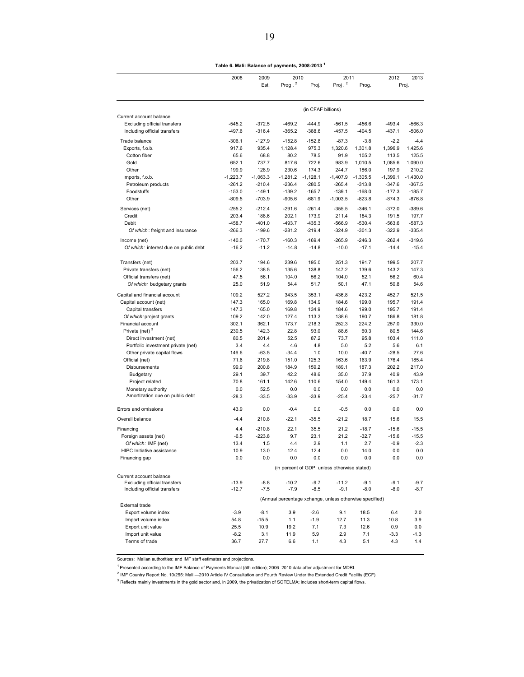**Table 6. Mali: Balance of payments, 2008-2013 <sup>1</sup>**

|                                       | 2008                | 2009<br>Est.        | 2010<br>Prog. $2$   | Proj.               | 2011<br>Proj. <sup>2</sup>                              | Prog.               | 2012                | 2013<br>Proj.       |
|---------------------------------------|---------------------|---------------------|---------------------|---------------------|---------------------------------------------------------|---------------------|---------------------|---------------------|
|                                       |                     |                     |                     |                     |                                                         |                     |                     |                     |
| Current account balance               |                     |                     |                     | (in CFAF billions)  |                                                         |                     |                     |                     |
| <b>Excluding official transfers</b>   | $-545.2$            | $-372.5$            | $-469.2$            | $-444.9$            | $-561.5$                                                | $-456.6$            | $-493.4$            | $-566.3$            |
| Including official transfers          | $-497.6$            | $-316.4$            | $-365.2$            | $-388.6$            | $-457.5$                                                | $-404.5$            | $-437.1$            | $-506.0$            |
| Trade balance                         | $-306.1$            | $-127.9$            | $-152.8$            | $-152.8$            | $-87.3$                                                 | $-3.8$              | $-2.2$              | $-4.4$              |
| Exports, f.o.b.                       | 917.6               | 935.4               | 1,128.4             | 975.3               | 1,320.6                                                 | 1,301.8             | 1,396.9             | 1,425.6             |
| Cotton fiber                          | 65.6                | 68.8                | 80.2                | 78.5                | 91.9                                                    | 105.2               | 113.5               | 125.5               |
| Gold                                  | 652.1               | 737.7               | 817.6               | 722.6               | 983.9                                                   | 1,010.5             | 1,085.6             | 1,090.0             |
| Other<br>Imports, f.o.b.              | 199.9<br>$-1,223.7$ | 128.9<br>$-1,063.3$ | 230.6<br>$-1,281.2$ | 174.3<br>$-1,128.1$ | 244.7<br>$-1,407.9$                                     | 186.0<br>$-1,305.5$ | 197.9<br>$-1,399.1$ | 210.2<br>$-1,430.0$ |
| Petroleum products                    | $-261.2$            | $-210.4$            | $-236.4$            | $-280.5$            | $-265.4$                                                | $-313.8$            | $-347.6$            | $-367.5$            |
| Foodstuffs                            | $-153.0$            | $-149.1$            | $-139.2$            | $-165.7$            | $-139.1$                                                | $-168.0$            | $-177.3$            | $-185.7$            |
| Other                                 | $-809.5$            | $-703.9$            | $-905.6$            | $-681.9$            | $-1,003.5$                                              | $-823.8$            | $-874.3$            | $-876.8$            |
| Services (net)                        | $-255.2$            | $-212.4$            | $-291.6$            | $-261.4$            | $-355.5$                                                | $-346.1$            | $-372.0$            | $-389.6$            |
| Credit                                | 203.4               | 188.6               | 202.1               | 173.9               | 211.4                                                   | 184.3               | 191.5               | 197.7               |
| Debit                                 | $-458.7$            | $-401.0$            | $-493.7$            | $-435.3$            | $-566.9$                                                | $-530.4$            | $-563.6$            | $-587.3$            |
| Of which: freight and insurance       | $-266.3$            | $-199.6$            | $-281.2$            | $-219.4$            | $-324.9$                                                | $-301.3$            | $-322.9$            | $-335.4$            |
| Income (net)                          | $-140.0$            | $-170.7$            | $-160.3$            | $-169.4$            | $-265.9$                                                | $-246.3$            | $-262.4$            | $-319.6$            |
| Of which: interest due on public debt | $-16.2$             | $-11.2$             | $-14.8$             | $-14.8$             | $-10.0$                                                 | $-17.1$             | $-14.4$             | $-15.4$             |
| Transfers (net)                       | 203.7               | 194.6               | 239.6               | 195.0               | 251.3                                                   | 191.7               | 199.5               | 207.7               |
| Private transfers (net)               | 156.2               | 138.5               | 135.6               | 138.8               | 147.2                                                   | 139.6               | 143.2               | 147.3               |
| Official transfers (net)              | 47.5                | 56.1                | 104.0               | 56.2                | 104.0                                                   | 52.1                | 56.2                | 60.4                |
| Of which: budgetary grants            | 25.0                | 51.9                | 54.4                | 51.7                | 50.1                                                    | 47.1                | 50.8                | 54.6                |
| Capital and financial account         | 109.2               | 527.2               | 343.5               | 353.1               | 436.8                                                   | 423.2               | 452.7               | 521.5               |
| Capital account (net)                 | 147.3               | 165.0               | 169.8               | 134.9               | 184.6                                                   | 199.0               | 195.7               | 191.4               |
| Capital transfers                     | 147.3               | 165.0               | 169.8               | 134.9               | 184.6                                                   | 199.0               | 195.7               | 191.4               |
| Of which: project grants              | 109.2               | 142.0               | 127.4               | 113.3               | 138.6                                                   | 190.7               | 186.8               | 181.8               |
| Financial account                     | 302.1               | 362.1               | 173.7               | 218.3               | 252.3                                                   | 224.2               | 257.0               | 330.0               |
| Private (net) <sup>3</sup>            | 230.5               | 142.3               | 22.8                | 93.0                | 88.6                                                    | 60.3                | 80.5                | 144.6               |
| Direct investment (net)               | 80.5                | 201.4               | 52.5                | 87.2                | 73.7                                                    | 95.8                | 103.4               | 111.0               |
| Portfolio investment private (net)    | 3.4                 | 4.4                 | 4.6                 | 4.8                 | 5.0                                                     | 5.2                 | 5.6                 | 6.1                 |
| Other private capital flows           | 146.6               | $-63.5$             | $-34.4$             | 1.0                 | 10.0                                                    | $-40.7$             | $-28.5$             | 27.6                |
| Official (net)                        | 71.6                | 219.8               | 151.0               | 125.3               | 163.6                                                   | 163.9               | 176.4               | 185.4               |
| Disbursements                         | 99.9                | 200.8<br>39.7       | 184.9               | 159.2               | 189.1                                                   | 187.3               | 202.2<br>40.9       | 217.0<br>43.9       |
| Budgetary                             | 29.1                |                     | 42.2                | 48.6                | 35.0                                                    | 37.9                |                     |                     |
| Project related<br>Monetary authority | 70.8<br>0.0         | 161.1<br>52.5       | 142.6<br>0.0        | 110.6<br>0.0        | 154.0<br>0.0                                            | 149.4<br>0.0        | 161.3<br>0.0        | 173.1<br>0.0        |
| Amortization due on public debt       | $-28.3$             | $-33.5$             | $-33.9$             | $-33.9$             | $-25.4$                                                 | $-23.4$             | $-25.7$             | $-31.7$             |
| Errors and omissions                  | 43.9                | 0.0                 | $-0.4$              | 0.0                 | $-0.5$                                                  | 0.0                 | 0.0                 | 0.0                 |
| Overall balance                       | $-4.4$              | 210.8               | $-22.1$             | $-35.5$             | $-21.2$                                                 | 18.7                | 15.6                | 15.5                |
|                                       | 4.4                 | $-210.8$            | 22.1                | 35.5                | 21.2                                                    | $-18.7$             | $-15.6$             | $-15.5$             |
| Financing<br>Foreign assets (net)     | $-6.5$              | $-223.8$            | 9.7                 | 23.1                | 21.2                                                    | $-32.7$             | $-15.6$             | $-15.5$             |
| Of which: IMF (net)                   | 13.4                | 1.5                 | 4.4                 | 2.9                 | 1.1                                                     | 2.7                 | $-0.9$              | $-2.3$              |
| <b>HIPC</b> Initiative assistance     | 10.9                | 13.0                | 12.4                | 12.4                | 0.0                                                     | 14.0                | 0.0                 | 0.0                 |
| Financing gap                         | 0.0                 | 0.0                 | 0.0                 | 0.0                 | 0.0                                                     | 0.0                 | 0.0                 | 0.0                 |
|                                       |                     |                     |                     |                     | (in percent of GDP, unless otherwise stated)            |                     |                     |                     |
| Current account balance               |                     |                     |                     |                     |                                                         |                     |                     |                     |
| Excluding official transfers          | $-13.9$             | $-8.8$              | $-10.2$             | $-9.7$              | $-11.2$                                                 | $-9.1$              | $-9.1$              | $-9.7$              |
| Including official transfers          | $-12.7$             | $-7.5$              | $-7.9$              | $-8.5$              | $-9.1$                                                  | $-8.0$              | $-8.0$              | $-8.7$              |
| External trade                        |                     |                     |                     |                     | (Annual percentage xchange, unless otherwise specified) |                     |                     |                     |
| Export volume index                   | $-3.9$              | $-8.1$              | 3.9                 | $-2.6$              | 9.1                                                     | 18.5                | 6.4                 | 2.0                 |
| Import volume index                   | 54.8                | $-15.5$             | 1.1                 | $-1.9$              | 12.7                                                    | 11.3                | 10.8                | 3.9                 |
| Export unit value                     | 25.5                | 10.9                | 19.2                | 7.1                 | 7.3                                                     | 12.6                | 0.9                 | 0.0                 |
| Import unit value                     | $-8.2$              | 3.1                 | 11.9                | 5.9                 | 2.9                                                     | 7.1                 | $-3.3$              | $-1.3$              |
| Terms of trade                        | 36.7                | 27.7                | 6.6                 | 1.1                 | 4.3                                                     | 5.1                 | 4.3                 | 1.4                 |

Sources: Malian authorities; and IMF staff estimates and projections.

<sup>1</sup> Presented according to the IMF Balance of Payments Manual (5th edition); 2006–2010 data after adjustment for MDRI.

<sup>2</sup> IMF Country Report No. 10/255: Mali —2010 Article IV Consultation and Fourth Review Under the Extended Credit Facility (ECF).

<sup>3</sup> Reflects mainly investments in the gold sector and, in 2009, the privatization of SOTELMA; includes short-term capital flows.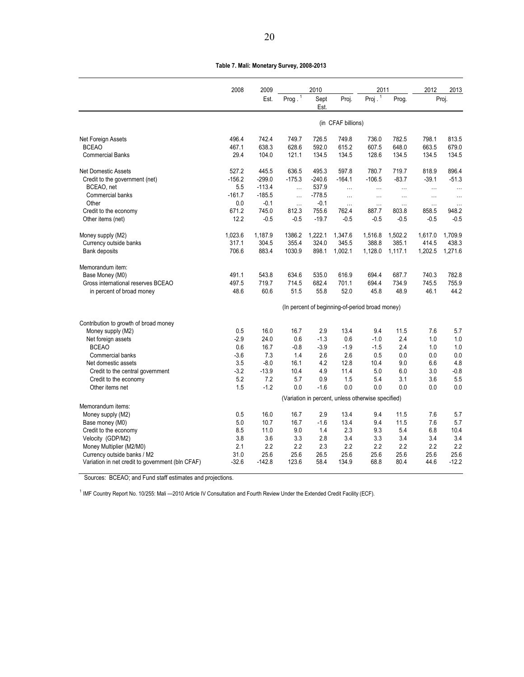| Table 7. Mali: Monetary Survey, 2008-2013 |  |  |
|-------------------------------------------|--|--|
|-------------------------------------------|--|--|

|                                                         | 2008       | 2009         | 2010        |               |                    | 2011                                               |             | 2012       | 2013        |
|---------------------------------------------------------|------------|--------------|-------------|---------------|--------------------|----------------------------------------------------|-------------|------------|-------------|
|                                                         |            | Est.         | Prog. $1$   | Sept<br>Est.  | Proj.              | Proj $^{1}$                                        | Prog.       |            | Proj.       |
|                                                         |            |              |             |               | (in CFAF billions) |                                                    |             |            |             |
| Net Foreign Assets                                      | 496.4      | 742.4        | 749.7       | 726.5         | 749.8              | 736.0                                              | 782.5       | 798.1      | 813.5       |
| <b>BCEAO</b>                                            | 467.1      | 638.3        | 628.6       | 592.0         | 615.2              | 607.5                                              | 648.0       | 663.5      | 679.0       |
| <b>Commercial Banks</b>                                 | 29.4       | 104.0        | 121.1       | 134.5         | 134.5              | 128.6                                              | 134.5       | 134.5      | 134.5       |
| <b>Net Domestic Assets</b>                              | 527.2      | 445.5        | 636.5       | 495.3         | 597.8              | 780.7                                              | 719.7       | 818.9      | 896.4       |
| Credit to the government (net)                          | $-156.2$   | $-299.0$     | $-175.3$    | $-240.6$      | $-164.1$           | $-106.5$                                           | $-83.7$     | $-39.1$    | $-51.3$     |
| BCEAO, net                                              | 5.5        | $-113.4$     |             | 537.9         | $\ddotsc$          | $\cdots$                                           |             | $\ddotsc$  | $\ddotsc$   |
| Commercial banks                                        | $-161.7$   | $-185.5$     | .           | $-778.5$      | $\ddotsc$          | $\cdots$                                           | $\cdots$    | $\cdots$   | $\cdots$    |
| Other                                                   | 0.0        | $-0.1$       |             | $-0.1$        | $\ddotsc$          | $\cdots$                                           | $\ddotsc$   | $\cdots$   | $\ddotsc$   |
| Credit to the economy                                   | 671.2      | 745.0        | 812.3       | 755.6         | 762.4              | 887.7                                              | 803.8       | 858.5      | 948.2       |
| Other items (net)                                       | 12.2       | $-0.5$       | $-0.5$      | $-19.7$       | $-0.5$             | $-0.5$                                             | $-0.5$      | $-0.5$     | $-0.5$      |
| Money supply (M2)                                       | 1,023.6    | 1,187.9      | 1386.2      | 1,222.1       | 1,347.6            | 1,516.8                                            | 1,502.2     | 1,617.0    | 1,709.9     |
| Currency outside banks                                  | 317.1      | 304.5        | 355.4       | 324.0         | 345.5              | 388.8                                              | 385.1       | 414.5      | 438.3       |
| Bank deposits                                           | 706.6      | 883.4        | 1030.9      | 898.1         | 1,002.1            | 1,128.0                                            | 1,117.1     | 1,202.5    | 1,271.6     |
| Memorandum item:                                        |            |              |             |               |                    |                                                    |             |            |             |
| Base Money (M0)                                         | 491.1      | 543.8        | 634.6       | 535.0         | 616.9              | 694.4                                              | 687.7       | 740.3      | 782.8       |
| Gross international reserves BCEAO                      | 497.5      | 719.7        | 714.5       | 682.4         | 701.1              | 694.4                                              | 734.9       | 745.5      | 755.9       |
| in percent of broad money                               | 48.6       | 60.6         | 51.5        | 55.8          | 52.0               | 45.8                                               | 48.9        | 46.1       | 44.2        |
|                                                         |            |              |             |               |                    | (In percent of beginning-of-period broad money)    |             |            |             |
| Contribution to growth of broad money                   |            |              |             |               |                    |                                                    |             |            |             |
| Money supply (M2)                                       | 0.5        | 16.0         | 16.7        | 2.9           | 13.4               | 9.4                                                | 11.5        | 7.6        | 5.7         |
| Net foreign assets                                      | $-2.9$     | 24.0         | 0.6         | $-1.3$        | 0.6                | $-1.0$                                             | 2.4         | 1.0        | 1.0         |
| <b>BCEAO</b>                                            | 0.6        | 16.7         | $-0.8$      | $-3.9$        | $-1.9$             | $-1.5$                                             | 2.4         | 1.0        | 1.0         |
| Commercial banks                                        | $-3.6$     | 7.3          | 1.4         | 2.6           | 2.6                | 0.5                                                | 0.0         | 0.0        | 0.0         |
| Net domestic assets                                     | 3.5        | $-8.0$       | 16.1        | 4.2           | 12.8               | 10.4                                               | 9.0         | 6.6        | 4.8         |
| Credit to the central government                        | $-3.2$     | $-13.9$      | 10.4        | 4.9           | 11.4               | 5.0                                                | 6.0         | 3.0        | $-0.8$      |
| Credit to the economy                                   | 5.2        | 7.2          | 5.7         | 0.9           | 1.5                | 5.4                                                | 3.1         | 3.6        | 5.5         |
| Other items net                                         | 1.5        | $-1.2$       | 0.0         | $-1.6$        | 0.0                | 0.0                                                | 0.0         | 0.0        | 0.0         |
|                                                         |            |              |             |               |                    | (Variation in percent, unless otherwise specified) |             |            |             |
| Memorandum items:                                       |            |              |             |               |                    |                                                    |             |            |             |
| Money supply (M2)                                       | 0.5        | 16.0         | 16.7        | 2.9           | 13.4               | 9.4                                                | 11.5        | 7.6        | 5.7         |
| Base money (M0)                                         | 5.0<br>8.5 | 10.7<br>11.0 | 16.7<br>9.0 | $-1.6$<br>1.4 | 13.4<br>2.3        | 9.4<br>9.3                                         | 11.5<br>5.4 | 7.6<br>6.8 | 5.7<br>10.4 |
| Credit to the economy                                   |            |              |             |               |                    |                                                    |             |            |             |
| Velocity (GDP/M2)                                       | 3.8<br>2.1 | 3.6<br>2.2   | 3.3<br>2.2  | 2.8<br>2.3    | 3.4<br>2.2         | 3.3<br>2.2                                         | 3.4<br>2.2  | 3.4<br>2.2 | 3.4<br>2.2  |
| Money Multiplier (M2/M0)<br>Currency outside banks / M2 | 31.0       | 25.6         | 25.6        | 26.5          | 25.6               | 25.6                                               | 25.6        | 25.6       | 25.6        |
| Variation in net credit to government (bln CFAF)        | $-32.6$    | $-142.8$     | 123.6       | 58.4          | 134.9              | 68.8                                               | 80.4        | 44.6       | $-12.2$     |
|                                                         |            |              |             |               |                    |                                                    |             |            |             |

Sources: BCEAO; and Fund staff estimates and projections.

<sup>1</sup> IMF Country Report No. 10/255: Mali -2010 Article IV Consultation and Fourth Review Under the Extended Credit Facility (ECF).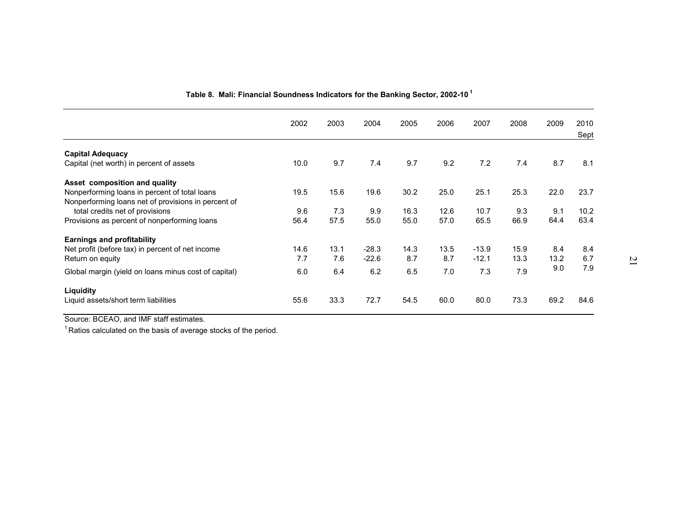|                                                      | 2002 | 2003 | 2004    | 2005 | 2006 | 2007    | 2008 | 2009 | 2010<br>Sept |
|------------------------------------------------------|------|------|---------|------|------|---------|------|------|--------------|
|                                                      |      |      |         |      |      |         |      |      |              |
| <b>Capital Adequacy</b>                              |      |      |         |      |      |         |      |      |              |
| Capital (net worth) in percent of assets             | 10.0 | 9.7  | 7.4     | 9.7  | 9.2  | 7.2     | 7.4  | 8.7  | 8.1          |
| Asset composition and quality                        |      |      |         |      |      |         |      |      |              |
| Nonperforming loans in percent of total loans        | 19.5 | 15.6 | 19.6    | 30.2 | 25.0 | 25.1    | 25.3 | 22.0 | 23.7         |
| Nonperforming loans net of provisions in percent of  |      |      |         |      |      |         |      |      |              |
|                                                      |      |      |         |      |      |         |      | 9.1  | 10.2         |
| total credits net of provisions                      | 9.6  | 7.3  | 9.9     | 16.3 | 12.6 | 10.7    | 9.3  |      |              |
| Provisions as percent of nonperforming loans         | 56.4 | 57.5 | 55.0    | 55.0 | 57.0 | 65.5    | 66.9 | 64.4 | 63.4         |
| <b>Earnings and profitability</b>                    |      |      |         |      |      |         |      |      |              |
| Net profit (before tax) in percent of net income     | 14.6 | 13.1 | $-28.3$ | 14.3 | 13.5 | $-13.9$ | 15.9 | 8.4  | 8.4          |
| Return on equity                                     | 7.7  | 7.6  | $-22.6$ | 8.7  | 8.7  | $-12.1$ | 13.3 | 13.2 | 6.7          |
|                                                      |      |      |         |      |      |         |      | 9.0  | 7.9          |
| Global margin (yield on loans minus cost of capital) | 6.0  | 6.4  | 6.2     | 6.5  | 7.0  | 7.3     | 7.9  |      |              |
| Liquidity                                            |      |      |         |      |      |         |      |      |              |
| Liquid assets/short term liabilities                 | 55.6 | 33.3 | 72.7    | 54.5 | 60.0 | 80.0    | 73.3 | 69.2 | 84.6         |
|                                                      |      |      |         |      |      |         |      |      |              |

#### **Table 8. Mali: Financial Soundness Indicators for the Banking Sector, 2002-10 <sup>1</sup>**

Source: BCEAO, and IMF staff estimates.

 $1$ Ratios calculated on the basis of average stocks of the period.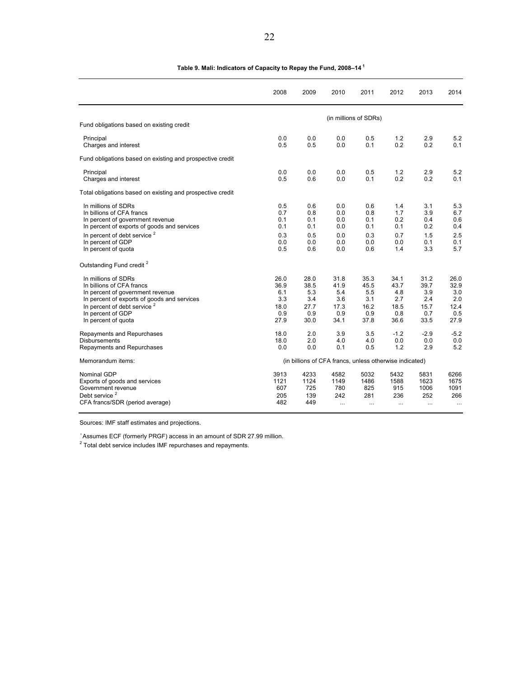|                                                            | 2008 | 2009                                                    | 2010     | 2011                  | 2012     | 2013   | 2014      |
|------------------------------------------------------------|------|---------------------------------------------------------|----------|-----------------------|----------|--------|-----------|
|                                                            |      |                                                         |          | (in millions of SDRs) |          |        |           |
| Fund obligations based on existing credit                  |      |                                                         |          |                       |          |        |           |
| Principal                                                  | 0.0  | 0.0                                                     | 0.0      | 0.5                   | 1.2      | 2.9    | 5.2       |
| Charges and interest                                       | 0.5  | 0.5                                                     | 0.0      | 0.1                   | 0.2      | 0.2    | 0.1       |
| Fund obligations based on existing and prospective credit  |      |                                                         |          |                       |          |        |           |
| Principal                                                  | 0.0  | 0.0                                                     | 0.0      | 0.5                   | 1.2      | 2.9    | 5.2       |
| Charges and interest                                       | 0.5  | 0.6                                                     | 0.0      | 0.1                   | 0.2      | 0.2    | 0.1       |
| Total obligations based on existing and prospective credit |      |                                                         |          |                       |          |        |           |
| In millions of SDRs                                        | 0.5  | 0.6                                                     | 0.0      | 0.6                   | 1.4      | 3.1    | 5.3       |
| In billions of CFA francs                                  | 0.7  | 0.8                                                     | 0.0      | 0.8                   | 1.7      | 3.9    | 6.7       |
| In percent of government revenue                           | 0.1  | 0.1                                                     | 0.0      | 0.1                   | 0.2      | 0.4    | 0.6       |
| In percent of exports of goods and services                | 0.1  | 0.1                                                     | 0.0      | 0.1                   | 0.1      | 0.2    | 0.4       |
| In percent of debt service <sup>2</sup>                    | 0.3  | 0.5                                                     | 0.0      | 0.3                   | 0.7      | 1.5    | 2.5       |
| In percent of GDP                                          | 0.0  | 0.0                                                     | 0.0      | 0.0                   | 0.0      | 0.1    | 0.1       |
| In percent of quota                                        | 0.5  | 0.6                                                     | 0.0      | 0.6                   | 1.4      | 3.3    | 5.7       |
| Outstanding Fund credit <sup>2</sup>                       |      |                                                         |          |                       |          |        |           |
| In millions of SDRs                                        | 26.0 | 28.0                                                    | 31.8     | 35.3                  | 34.1     | 31.2   | 26.0      |
| In billions of CFA francs                                  | 36.9 | 38.5                                                    | 41.9     | 45.5                  | 43.7     | 39.7   | 32.9      |
| In percent of government revenue                           | 6.1  | 5.3                                                     | 5.4      | 5.5                   | 4.8      | 3.9    | 3.0       |
| In percent of exports of goods and services                | 3.3  | 3.4                                                     | 3.6      | 3.1                   | 2.7      | 2.4    | 2.0       |
| In percent of debt service <sup>2</sup>                    | 18.0 | 27.7                                                    | 17.3     | 16.2                  | 18.5     | 15.7   | 12.4      |
| In percent of GDP                                          | 0.9  | 0.9                                                     | 0.9      | 0.9                   | 0.8      | 0.7    | 0.5       |
| In percent of quota                                        | 27.9 | 30.0                                                    | 34.1     | 37.8                  | 36.6     | 33.5   | 27.9      |
| Repayments and Repurchases                                 | 18.0 | 2.0                                                     | 3.9      | 3.5                   | $-1.2$   | $-2.9$ | $-5.2$    |
| <b>Disbursements</b>                                       | 18.0 | 2.0                                                     | 4.0      | 4.0                   | 0.0      | 0.0    | 0.0       |
| Repayments and Repurchases                                 | 0.0  | 0.0                                                     | 0.1      | 0.5                   | 1.2      | 2.9    | 5.2       |
| Memorandum items:                                          |      | (in billions of CFA francs, unless otherwise indicated) |          |                       |          |        |           |
| Nominal GDP                                                | 3913 | 4233                                                    | 4582     | 5032                  | 5432     | 5831   | 6266      |
| Exports of goods and services                              | 1121 | 1124                                                    | 1149     | 1486                  | 1588     | 1623   | 1675      |
| Government revenue                                         | 607  | 725                                                     | 780      | 825                   | 915      | 1006   | 1091      |
| Debt service <sup>2</sup>                                  | 205  | 139                                                     | 242      | 281                   | 236      | 252    | 266       |
| CFA francs/SDR (period average)                            | 482  | 449                                                     | $\cdots$ | $\cdots$              | $\ldots$ |        | $\ddotsc$ |

#### **Table 9. Mali: Indicators of Capacity to Repay the Fund, 2008–14<sup>1</sup>**

Sources: IMF staff estimates and projections.

<sup>1</sup> Assumes ECF (formerly PRGF) access in an amount of SDR 27.99 million.<br><sup>2</sup> Total debt service includes IMF repurchases and repayments.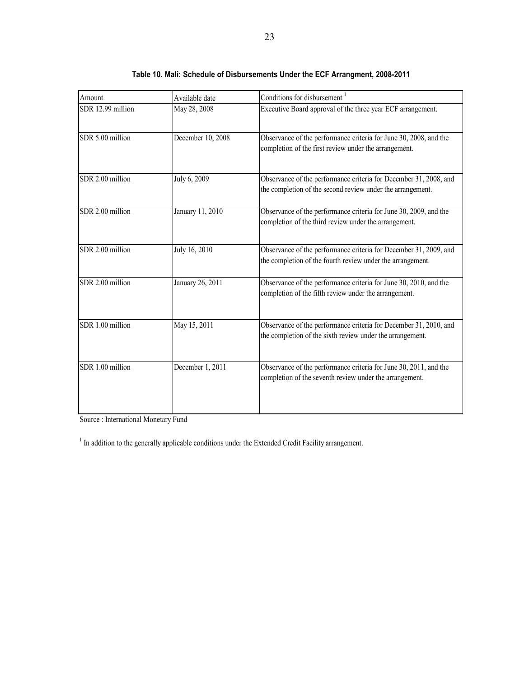| Amount            | Available date    | Conditions for disbursement <sup>1</sup>                                                                                        |
|-------------------|-------------------|---------------------------------------------------------------------------------------------------------------------------------|
| SDR 12.99 million | May 28, 2008      | Executive Board approval of the three year ECF arrangement.                                                                     |
| SDR 5.00 million  | December 10, 2008 | Observance of the performance criteria for June 30, 2008, and the<br>completion of the first review under the arrangement.      |
| SDR 2.00 million  | July 6, 2009      | Observance of the performance criteria for December 31, 2008, and<br>the completion of the second review under the arrangement. |
| SDR 2.00 million  | January 11, 2010  | Observance of the performance criteria for June 30, 2009, and the<br>completion of the third review under the arrangement.      |
| SDR 2.00 million  | July 16, 2010     | Observance of the performance criteria for December 31, 2009, and<br>the completion of the fourth review under the arrangement. |
| SDR 2.00 million  | January 26, 2011  | Observance of the performance criteria for June 30, 2010, and the<br>completion of the fifth review under the arrangement.      |
| SDR 1.00 million  | May 15, 2011      | Observance of the performance criteria for December 31, 2010, and<br>the completion of the sixth review under the arrangement.  |
| SDR 1.00 million  | December 1, 2011  | Observance of the performance criteria for June 30, 2011, and the<br>completion of the seventh review under the arrangement.    |

|  | Table 10. Mali: Schedule of Disbursements Under the ECF Arrangment, 2008-2011 |  |  |  |
|--|-------------------------------------------------------------------------------|--|--|--|
|--|-------------------------------------------------------------------------------|--|--|--|

Source : International Monetary Fund

 $<sup>1</sup>$  In addition to the generally applicable conditions under the Extended Credit Facility arrangement.</sup>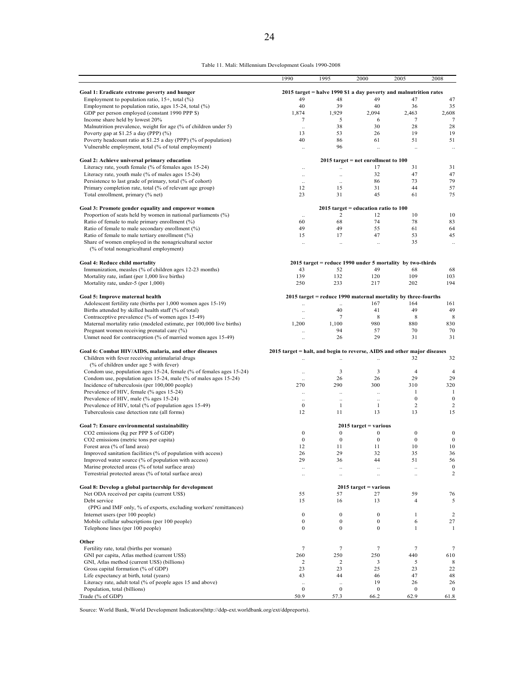| Table 11. Mali: Millennium Development Goals 1990-2008 |  |  |  |  |
|--------------------------------------------------------|--|--|--|--|
|--------------------------------------------------------|--|--|--|--|

|                                                                                                                       | 1990                                                                    | 1995                                 | 2000                                    | 2005                                                              | 2008                                 |
|-----------------------------------------------------------------------------------------------------------------------|-------------------------------------------------------------------------|--------------------------------------|-----------------------------------------|-------------------------------------------------------------------|--------------------------------------|
| Goal 1: Eradicate extreme poverty and hunger                                                                          |                                                                         |                                      |                                         | 2015 target = halve 1990 \$1 a day poverty and malnutrition rates |                                      |
| Employment to population ratio, $15+$ , total $(\%)$                                                                  | 49                                                                      | 48                                   | 49                                      | 47                                                                | 47                                   |
| Employment to population ratio, ages 15-24, total $(\%)$                                                              | 40                                                                      | 39                                   | 40                                      | 36                                                                | 35                                   |
| GDP per person employed (constant 1990 PPP \$)                                                                        | 1,874                                                                   | 1,929                                | 2,094                                   | 2,463                                                             | 2,608                                |
| Income share held by lowest 20%                                                                                       | 7                                                                       | 5                                    | 6                                       | $\tau$                                                            | 7                                    |
| Malnutrition prevalence, weight for age (% of children under 5)                                                       | $\ddotsc$                                                               | 38                                   | 30                                      | 28                                                                | 28                                   |
| Poverty gap at \$1.25 a day (PPP) $(\%$ )                                                                             | 13                                                                      | 53                                   | 26                                      | 19                                                                | 19                                   |
| Poverty headcount ratio at \$1.25 a day (PPP) (% of population)                                                       | 40                                                                      | 86                                   | 61                                      | 51                                                                | 51                                   |
| Vulnerable employment, total (% of total employment)                                                                  | $\ddotsc$                                                               | 96                                   | $\ddot{\phantom{a}}$                    | $\ddotsc$                                                         | $\ddotsc$                            |
| Goal 2: Achieve universal primary education                                                                           |                                                                         |                                      | $2015$ target = net enrollment to $100$ |                                                                   |                                      |
| Literacy rate, youth female (% of females ages 15-24)                                                                 | $\ddotsc$                                                               | $\ddot{\phantom{a}}$                 | 17                                      | 31                                                                | 31                                   |
| Literacy rate, youth male (% of males ages 15-24)                                                                     | ä,                                                                      | $\ddot{\phantom{a}}$                 | 32                                      | 47                                                                | 47                                   |
| Persistence to last grade of primary, total (% of cohort)                                                             |                                                                         |                                      | 86                                      | 73                                                                | 79                                   |
| Primary completion rate, total (% of relevant age group)<br>Total enrollment, primary (% net)                         | 12<br>23                                                                | 15<br>31                             | 31<br>45                                | 44<br>61                                                          | 57<br>75                             |
|                                                                                                                       |                                                                         |                                      | $2015$ target = education ratio to 100  |                                                                   |                                      |
| Goal 3: Promote gender equality and empower women<br>Proportion of seats held by women in national parliaments $(\%)$ |                                                                         | $\overline{c}$                       | 12                                      | 10                                                                | 10                                   |
| Ratio of female to male primary enrollment (%)                                                                        | $\ddotsc$<br>60                                                         | 68                                   | 74                                      | 78                                                                | 83                                   |
| Ratio of female to male secondary enrollment (%)                                                                      | 49                                                                      | 49                                   | 55                                      | 61                                                                | 64                                   |
| Ratio of female to male tertiary enrollment (%)                                                                       | 15                                                                      | 17                                   | 47                                      | 53                                                                | 45                                   |
| Share of women employed in the nonagricultural sector                                                                 | $\ddot{\phantom{a}}$                                                    | $\ddot{\phantom{a}}$                 | $\ddotsc$                               | 35                                                                | ä,                                   |
| (% of total nonagricultural employment)                                                                               |                                                                         |                                      |                                         |                                                                   |                                      |
| Goal 4: Reduce child mortality                                                                                        |                                                                         |                                      |                                         | $2015$ target = reduce 1990 under 5 mortality by two-thirds       |                                      |
| Immunization, measles (% of children ages 12-23 months)                                                               | 43                                                                      | 52                                   | 49                                      | 68                                                                | 68                                   |
| Mortality rate, infant (per 1,000 live births)                                                                        | 139                                                                     | 132                                  | 120                                     | 109                                                               | 103                                  |
| Mortality rate, under-5 (per 1,000)                                                                                   | 250                                                                     | 233                                  | 217                                     | 202                                                               | 194                                  |
| Goal 5: Improve maternal health                                                                                       |                                                                         |                                      |                                         | 2015 target = reduce 1990 maternal mortality by three-fourths     |                                      |
| Adolescent fertility rate (births per 1,000 women ages 15-19)                                                         |                                                                         |                                      | 167                                     | 164                                                               | 161                                  |
| Births attended by skilled health staff (% of total)                                                                  | $\ddotsc$                                                               | 40                                   | 41                                      | 49                                                                | 49                                   |
| Contraceptive prevalence (% of women ages 15-49)                                                                      | $\ddot{\phantom{a}}$                                                    | 7                                    | 8                                       | 8                                                                 | 8                                    |
| Maternal mortality ratio (modeled estimate, per 100,000 live births)                                                  | 1,200                                                                   | 1,100                                | 980                                     | 880                                                               | 830                                  |
| Pregnant women receiving prenatal care (%)<br>Unmet need for contraception (% of married women ages 15-49)            |                                                                         | 94<br>26                             | 57<br>29                                | 70<br>31                                                          | 70<br>31                             |
|                                                                                                                       |                                                                         |                                      |                                         |                                                                   |                                      |
| Goal 6: Combat HIV/AIDS, malaria, and other diseases<br>Children with fever receiving antimalarial drugs              | 2015 target = halt, and begin to reverse, AIDS and other major diseases |                                      | ä,                                      | 32                                                                | 32                                   |
| (% of children under age 5 with fever)                                                                                |                                                                         |                                      |                                         |                                                                   |                                      |
| Condom use, population ages 15-24, female (% of females ages 15-24)                                                   | $\ddotsc$                                                               | 3                                    | 3                                       | $\overline{4}$                                                    | 4                                    |
| Condom use, population ages 15-24, male (% of males ages 15-24)                                                       |                                                                         | 26                                   | 26                                      | 29                                                                | 29                                   |
| Incidence of tuberculosis (per 100,000 people)                                                                        | 270                                                                     | 290                                  | 300                                     | 310                                                               | 320                                  |
| Prevalence of HIV, female (% ages 15-24)                                                                              | $\ddotsc$                                                               | $\ddot{\phantom{a}}$                 | $\ddotsc$                               | 1                                                                 | 1                                    |
| Prevalence of HIV, male (% ages 15-24)                                                                                | $\ddotsc$                                                               |                                      | $\ddotsc$                               | $\boldsymbol{0}$                                                  | $\boldsymbol{0}$                     |
| Prevalence of HIV, total (% of population ages 15-49)<br>Tuberculosis case detection rate (all forms)                 | $\boldsymbol{0}$<br>12                                                  | 1<br>11                              | 1<br>13                                 | $\overline{c}$<br>13                                              | $\sqrt{2}$<br>15                     |
|                                                                                                                       |                                                                         |                                      |                                         |                                                                   |                                      |
| Goal 7: Ensure environmental sustainability                                                                           |                                                                         |                                      | $2015$ target = various                 |                                                                   |                                      |
| CO2 emissions (kg per PPP \$ of GDP)<br>CO2 emissions (metric tons per capita)                                        | $\boldsymbol{0}$<br>$\boldsymbol{0}$                                    | $\boldsymbol{0}$<br>$\boldsymbol{0}$ | $\boldsymbol{0}$<br>$\boldsymbol{0}$    | $\boldsymbol{0}$<br>$\boldsymbol{0}$                              | $\boldsymbol{0}$<br>$\boldsymbol{0}$ |
| Forest area (% of land area)                                                                                          | 12                                                                      | 11                                   | 11                                      | 10                                                                | $10\,$                               |
| Improved sanitation facilities (% of population with access)                                                          | 26                                                                      | 29                                   | 32                                      | 35                                                                | 36                                   |
| Improved water source (% of population with access)                                                                   | 29                                                                      | 36                                   | 44                                      | 51                                                                | 56                                   |
| Marine protected areas (% of total surface area)                                                                      | $\ldots$                                                                | $\ldots$                             | $\ldots$                                |                                                                   | $\boldsymbol{0}$                     |
| Terrestrial protected areas (% of total surface area)                                                                 | $\ddotsc$                                                               | $\ddotsc$                            | $\ddot{\phantom{a}}$                    | ä,                                                                | $\sqrt{2}$                           |
| Goal 8: Develop a global partnership for development                                                                  |                                                                         |                                      | $2015$ target = various                 |                                                                   |                                      |
| Net ODA received per capita (current US\$)                                                                            | 55                                                                      | 57                                   | 27                                      | 59                                                                | 76                                   |
| Debt service                                                                                                          | 15                                                                      | 16                                   | 13                                      | $\overline{4}$                                                    | 5                                    |
| (PPG and IMF only, % of exports, excluding workers' remittances)                                                      |                                                                         |                                      |                                         |                                                                   |                                      |
| Internet users (per 100 people)                                                                                       | $\boldsymbol{0}$                                                        | $\boldsymbol{0}$                     | $\boldsymbol{0}$                        | 1                                                                 | 2                                    |
| Mobile cellular subscriptions (per 100 people)                                                                        | $\boldsymbol{0}$                                                        | $\boldsymbol{0}$                     | $\boldsymbol{0}$                        | 6                                                                 | 27                                   |
| Telephone lines (per 100 people)                                                                                      | $\boldsymbol{0}$                                                        | $\boldsymbol{0}$                     | $\boldsymbol{0}$                        | $\mathbf{1}$                                                      | 1                                    |
| Other                                                                                                                 |                                                                         |                                      |                                         |                                                                   |                                      |
| Fertility rate, total (births per woman)<br>GNI per capita, Atlas method (current US\$)                               | $\tau$<br>260                                                           | 7<br>250                             | $\tau$<br>250                           | 7<br>440                                                          | 7<br>610                             |
| GNI, Atlas method (current US\$) (billions)                                                                           | $\overline{c}$                                                          | $\overline{\mathbf{c}}$              | 3                                       | 5                                                                 | 8                                    |
| Gross capital formation (% of GDP)                                                                                    | 23                                                                      | 23                                   | 25                                      | 23                                                                | 22                                   |
| Life expectancy at birth, total (years)                                                                               | 43                                                                      | 44                                   | 46                                      | 47                                                                | 48                                   |
| Literacy rate, adult total (% of people ages 15 and above)                                                            | $\ddot{\phantom{a}}$                                                    | ä,                                   | 19                                      | 26                                                                | 26                                   |
| Population, total (billions)                                                                                          | $\boldsymbol{0}$                                                        | $\boldsymbol{0}$                     | $\boldsymbol{0}$                        | $\boldsymbol{0}$                                                  | $\bf{0}$                             |
| Trade (% of GDP)                                                                                                      | 50.9                                                                    | 57.3                                 | 66.2                                    | 62.9                                                              | 61.8                                 |

Source: World Bank, World Development Indicators(http://ddp-ext.worldbank.org/ext/ddpreports).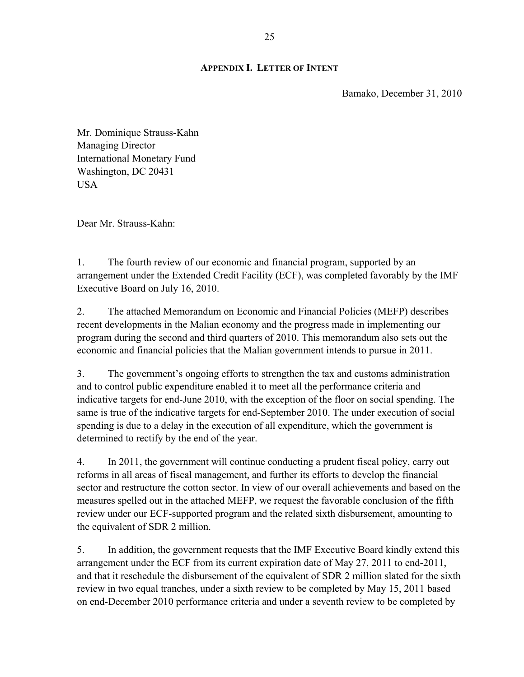#### **APPENDIX I. LETTER OF INTENT**

Bamako, December 31, 2010

Mr. Dominique Strauss-Kahn Managing Director International Monetary Fund Washington, DC 20431 USA

Dear Mr. Strauss-Kahn:

1. The fourth review of our economic and financial program, supported by an arrangement under the Extended Credit Facility (ECF), was completed favorably by the IMF Executive Board on July 16, 2010.

2. The attached Memorandum on Economic and Financial Policies (MEFP) describes recent developments in the Malian economy and the progress made in implementing our program during the second and third quarters of 2010. This memorandum also sets out the economic and financial policies that the Malian government intends to pursue in 2011.

3. The government's ongoing efforts to strengthen the tax and customs administration and to control public expenditure enabled it to meet all the performance criteria and indicative targets for end-June 2010, with the exception of the floor on social spending. The same is true of the indicative targets for end-September 2010. The under execution of social spending is due to a delay in the execution of all expenditure, which the government is determined to rectify by the end of the year.

4. In 2011, the government will continue conducting a prudent fiscal policy, carry out reforms in all areas of fiscal management, and further its efforts to develop the financial sector and restructure the cotton sector. In view of our overall achievements and based on the measures spelled out in the attached MEFP, we request the favorable conclusion of the fifth review under our ECF-supported program and the related sixth disbursement, amounting to the equivalent of SDR 2 million.

5. In addition, the government requests that the IMF Executive Board kindly extend this arrangement under the ECF from its current expiration date of May 27, 2011 to end-2011, and that it reschedule the disbursement of the equivalent of SDR 2 million slated for the sixth review in two equal tranches, under a sixth review to be completed by May 15, 2011 based on end-December 2010 performance criteria and under a seventh review to be completed by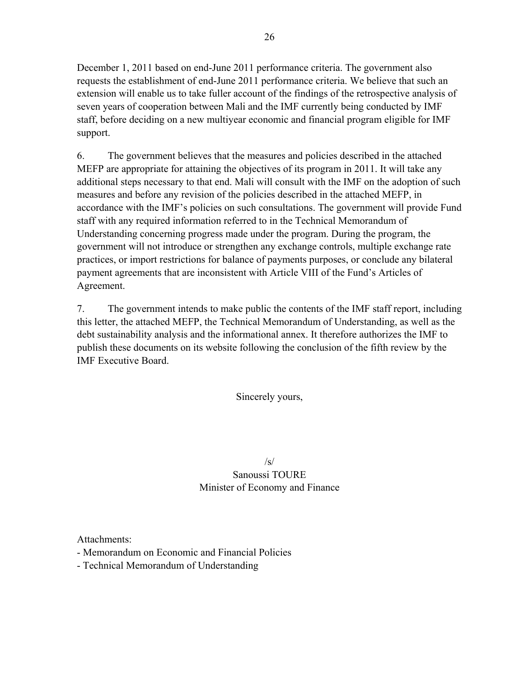December 1, 2011 based on end-June 2011 performance criteria. The government also requests the establishment of end-June 2011 performance criteria. We believe that such an extension will enable us to take fuller account of the findings of the retrospective analysis of seven years of cooperation between Mali and the IMF currently being conducted by IMF staff, before deciding on a new multiyear economic and financial program eligible for IMF support.

6. The government believes that the measures and policies described in the attached MEFP are appropriate for attaining the objectives of its program in 2011. It will take any additional steps necessary to that end. Mali will consult with the IMF on the adoption of such measures and before any revision of the policies described in the attached MEFP, in accordance with the IMF's policies on such consultations. The government will provide Fund staff with any required information referred to in the Technical Memorandum of Understanding concerning progress made under the program. During the program, the government will not introduce or strengthen any exchange controls, multiple exchange rate practices, or import restrictions for balance of payments purposes, or conclude any bilateral payment agreements that are inconsistent with Article VIII of the Fund's Articles of Agreement.

7. The government intends to make public the contents of the IMF staff report, including this letter, the attached MEFP, the Technical Memorandum of Understanding, as well as the debt sustainability analysis and the informational annex. It therefore authorizes the IMF to publish these documents on its website following the conclusion of the fifth review by the IMF Executive Board.

Sincerely yours,

 $\sqrt{s}$ Sanoussi TOURE Minister of Economy and Finance

Attachments:

- Memorandum on Economic and Financial Policies

- Technical Memorandum of Understanding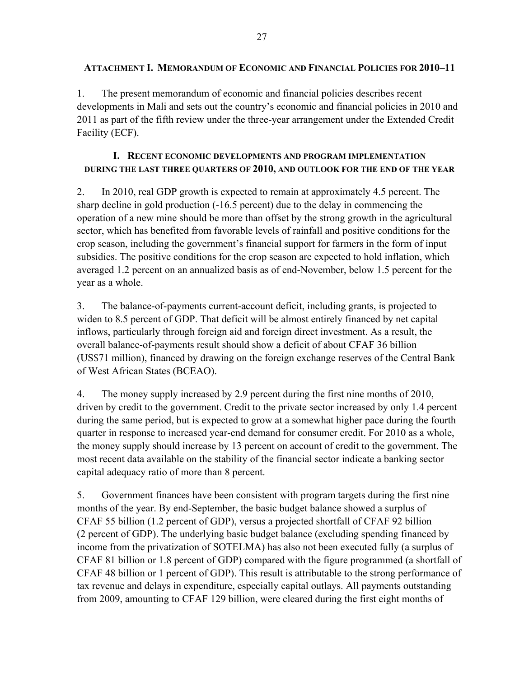1. The present memorandum of economic and financial policies describes recent developments in Mali and sets out the country's economic and financial policies in 2010 and 2011 as part of the fifth review under the three-year arrangement under the Extended Credit Facility (ECF).

## **I. RECENT ECONOMIC DEVELOPMENTS AND PROGRAM IMPLEMENTATION DURING THE LAST THREE QUARTERS OF 2010, AND OUTLOOK FOR THE END OF THE YEAR**

2. In 2010, real GDP growth is expected to remain at approximately 4.5 percent. The sharp decline in gold production (-16.5 percent) due to the delay in commencing the operation of a new mine should be more than offset by the strong growth in the agricultural sector, which has benefited from favorable levels of rainfall and positive conditions for the crop season, including the government's financial support for farmers in the form of input subsidies. The positive conditions for the crop season are expected to hold inflation, which averaged 1.2 percent on an annualized basis as of end-November, below 1.5 percent for the year as a whole.

3. The balance-of-payments current-account deficit, including grants, is projected to widen to 8.5 percent of GDP. That deficit will be almost entirely financed by net capital inflows, particularly through foreign aid and foreign direct investment. As a result, the overall balance-of-payments result should show a deficit of about CFAF 36 billion (US\$71 million), financed by drawing on the foreign exchange reserves of the Central Bank of West African States (BCEAO).

4. The money supply increased by 2.9 percent during the first nine months of 2010, driven by credit to the government. Credit to the private sector increased by only 1.4 percent during the same period, but is expected to grow at a somewhat higher pace during the fourth quarter in response to increased year-end demand for consumer credit. For 2010 as a whole, the money supply should increase by 13 percent on account of credit to the government. The most recent data available on the stability of the financial sector indicate a banking sector capital adequacy ratio of more than 8 percent.

5. Government finances have been consistent with program targets during the first nine months of the year. By end-September, the basic budget balance showed a surplus of CFAF 55 billion (1.2 percent of GDP), versus a projected shortfall of CFAF 92 billion (2 percent of GDP). The underlying basic budget balance (excluding spending financed by income from the privatization of SOTELMA) has also not been executed fully (a surplus of CFAF 81 billion or 1.8 percent of GDP) compared with the figure programmed (a shortfall of CFAF 48 billion or 1 percent of GDP). This result is attributable to the strong performance of tax revenue and delays in expenditure, especially capital outlays. All payments outstanding from 2009, amounting to CFAF 129 billion, were cleared during the first eight months of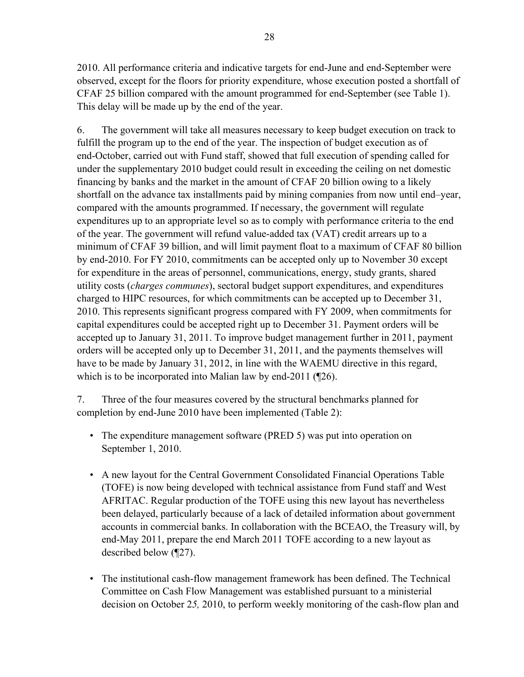2010. All performance criteria and indicative targets for end-June and end-September were observed, except for the floors for priority expenditure, whose execution posted a shortfall of CFAF 25 billion compared with the amount programmed for end-September (see Table 1). This delay will be made up by the end of the year.

6. The government will take all measures necessary to keep budget execution on track to fulfill the program up to the end of the year. The inspection of budget execution as of end-October, carried out with Fund staff, showed that full execution of spending called for under the supplementary 2010 budget could result in exceeding the ceiling on net domestic financing by banks and the market in the amount of CFAF 20 billion owing to a likely shortfall on the advance tax installments paid by mining companies from now until end–year, compared with the amounts programmed. If necessary, the government will regulate expenditures up to an appropriate level so as to comply with performance criteria to the end of the year. The government will refund value-added tax (VAT) credit arrears up to a minimum of CFAF 39 billion, and will limit payment float to a maximum of CFAF 80 billion by end-2010. For FY 2010, commitments can be accepted only up to November 30 except for expenditure in the areas of personnel, communications, energy, study grants, shared utility costs (*charges communes*), sectoral budget support expenditures, and expenditures charged to HIPC resources, for which commitments can be accepted up to December 31, 2010. This represents significant progress compared with FY 2009, when commitments for capital expenditures could be accepted right up to December 31. Payment orders will be accepted up to January 31, 2011. To improve budget management further in 2011, payment orders will be accepted only up to December 31, 2011, and the payments themselves will have to be made by January 31, 2012, in line with the WAEMU directive in this regard, which is to be incorporated into Malian law by end-2011 (¶26).

7. Three of the four measures covered by the structural benchmarks planned for completion by end-June 2010 have been implemented (Table 2):

- The expenditure management software (PRED 5) was put into operation on September 1, 2010.
- A new layout for the Central Government Consolidated Financial Operations Table (TOFE) is now being developed with technical assistance from Fund staff and West AFRITAC. Regular production of the TOFE using this new layout has nevertheless been delayed, particularly because of a lack of detailed information about government accounts in commercial banks. In collaboration with the BCEAO, the Treasury will, by end-May 2011, prepare the end March 2011 TOFE according to a new layout as described below (¶27).
- The institutional cash-flow management framework has been defined. The Technical Committee on Cash Flow Management was established pursuant to a ministerial decision on October 2*5,* 2010, to perform weekly monitoring of the cash-flow plan and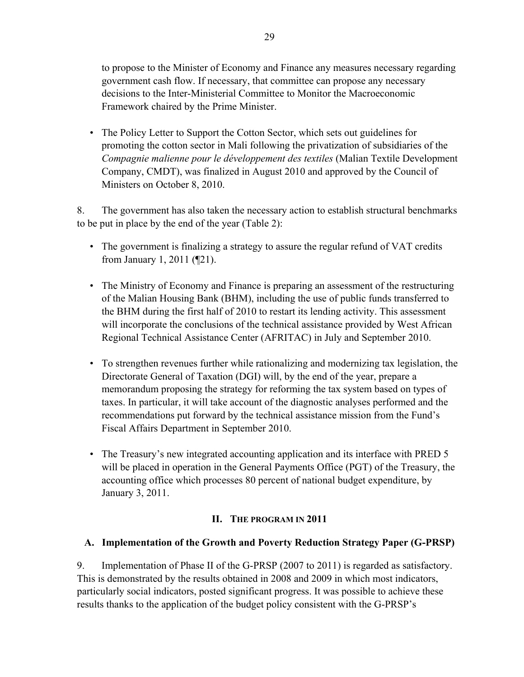to propose to the Minister of Economy and Finance any measures necessary regarding government cash flow. If necessary, that committee can propose any necessary decisions to the Inter-Ministerial Committee to Monitor the Macroeconomic Framework chaired by the Prime Minister.

 • The Policy Letter to Support the Cotton Sector, which sets out guidelines for promoting the cotton sector in Mali following the privatization of subsidiaries of the *Compagnie malienne pour le développement des textiles* (Malian Textile Development Company, CMDT), was finalized in August 2010 and approved by the Council of Ministers on October 8, 2010.

8. The government has also taken the necessary action to establish structural benchmarks to be put in place by the end of the year (Table 2):

- The government is finalizing a strategy to assure the regular refund of VAT credits from January 1, 2011 (¶21).
- The Ministry of Economy and Finance is preparing an assessment of the restructuring of the Malian Housing Bank (BHM), including the use of public funds transferred to the BHM during the first half of 2010 to restart its lending activity. This assessment will incorporate the conclusions of the technical assistance provided by West African Regional Technical Assistance Center (AFRITAC) in July and September 2010.
- To strengthen revenues further while rationalizing and modernizing tax legislation, the Directorate General of Taxation (DGI) will, by the end of the year, prepare a memorandum proposing the strategy for reforming the tax system based on types of taxes. In particular, it will take account of the diagnostic analyses performed and the recommendations put forward by the technical assistance mission from the Fund's Fiscal Affairs Department in September 2010.
- The Treasury's new integrated accounting application and its interface with PRED 5 will be placed in operation in the General Payments Office (PGT) of the Treasury, the accounting office which processes 80 percent of national budget expenditure, by January 3, 2011.

#### **II. THE PROGRAM IN 2011**

#### **A. Implementation of the Growth and Poverty Reduction Strategy Paper (G-PRSP)**

9. Implementation of Phase II of the G-PRSP (2007 to 2011) is regarded as satisfactory. This is demonstrated by the results obtained in 2008 and 2009 in which most indicators, particularly social indicators, posted significant progress. It was possible to achieve these results thanks to the application of the budget policy consistent with the G-PRSP's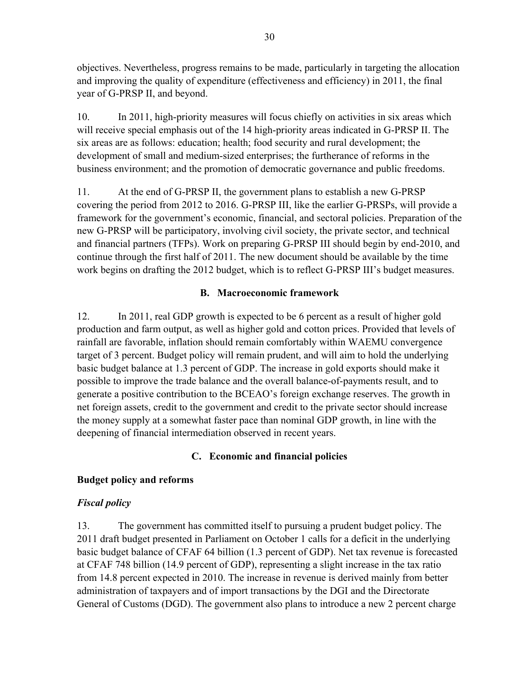objectives. Nevertheless, progress remains to be made, particularly in targeting the allocation and improving the quality of expenditure (effectiveness and efficiency) in 2011, the final year of G-PRSP II, and beyond.

10. In 2011, high-priority measures will focus chiefly on activities in six areas which will receive special emphasis out of the 14 high-priority areas indicated in G-PRSP II. The six areas are as follows: education; health; food security and rural development; the development of small and medium-sized enterprises; the furtherance of reforms in the business environment; and the promotion of democratic governance and public freedoms.

11. At the end of G-PRSP II, the government plans to establish a new G-PRSP covering the period from 2012 to 2016. G-PRSP III, like the earlier G-PRSPs, will provide a framework for the government's economic, financial, and sectoral policies. Preparation of the new G-PRSP will be participatory, involving civil society, the private sector, and technical and financial partners (TFPs). Work on preparing G-PRSP III should begin by end-2010, and continue through the first half of 2011. The new document should be available by the time work begins on drafting the 2012 budget, which is to reflect G-PRSP III's budget measures.

# **B. Macroeconomic framework**

12. In 2011, real GDP growth is expected to be 6 percent as a result of higher gold production and farm output, as well as higher gold and cotton prices. Provided that levels of rainfall are favorable, inflation should remain comfortably within WAEMU convergence target of 3 percent. Budget policy will remain prudent, and will aim to hold the underlying basic budget balance at 1.3 percent of GDP. The increase in gold exports should make it possible to improve the trade balance and the overall balance-of-payments result, and to generate a positive contribution to the BCEAO's foreign exchange reserves. The growth in net foreign assets, credit to the government and credit to the private sector should increase the money supply at a somewhat faster pace than nominal GDP growth, in line with the deepening of financial intermediation observed in recent years.

# **C. Economic and financial policies**

# **Budget policy and reforms**

# *Fiscal policy*

13. The government has committed itself to pursuing a prudent budget policy. The 2011 draft budget presented in Parliament on October 1 calls for a deficit in the underlying basic budget balance of CFAF 64 billion (1.3 percent of GDP). Net tax revenue is forecasted at CFAF 748 billion (14.9 percent of GDP), representing a slight increase in the tax ratio from 14.8 percent expected in 2010. The increase in revenue is derived mainly from better administration of taxpayers and of import transactions by the DGI and the Directorate General of Customs (DGD). The government also plans to introduce a new 2 percent charge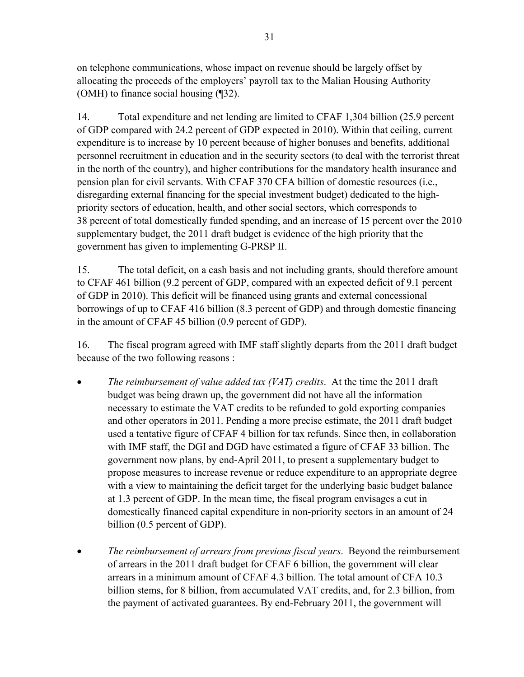on telephone communications, whose impact on revenue should be largely offset by allocating the proceeds of the employers' payroll tax to the Malian Housing Authority (OMH) to finance social housing (¶32).

14. Total expenditure and net lending are limited to CFAF 1,304 billion (25.9 percent of GDP compared with 24.2 percent of GDP expected in 2010). Within that ceiling, current expenditure is to increase by 10 percent because of higher bonuses and benefits, additional personnel recruitment in education and in the security sectors (to deal with the terrorist threat in the north of the country), and higher contributions for the mandatory health insurance and pension plan for civil servants. With CFAF 370 CFA billion of domestic resources (i.e., disregarding external financing for the special investment budget) dedicated to the highpriority sectors of education, health, and other social sectors, which corresponds to 38 percent of total domestically funded spending, and an increase of 15 percent over the 2010 supplementary budget, the 2011 draft budget is evidence of the high priority that the government has given to implementing G-PRSP II.

15. The total deficit, on a cash basis and not including grants, should therefore amount to CFAF 461 billion (9.2 percent of GDP, compared with an expected deficit of 9.1 percent of GDP in 2010). This deficit will be financed using grants and external concessional borrowings of up to CFAF 416 billion (8.3 percent of GDP) and through domestic financing in the amount of CFAF 45 billion (0.9 percent of GDP).

16. The fiscal program agreed with IMF staff slightly departs from the 2011 draft budget because of the two following reasons :

- *The reimbursement of value added tax (VAT) credits*. At the time the 2011 draft budget was being drawn up, the government did not have all the information necessary to estimate the VAT credits to be refunded to gold exporting companies and other operators in 2011. Pending a more precise estimate, the 2011 draft budget used a tentative figure of CFAF 4 billion for tax refunds. Since then, in collaboration with IMF staff, the DGI and DGD have estimated a figure of CFAF 33 billion. The government now plans, by end-April 2011, to present a supplementary budget to propose measures to increase revenue or reduce expenditure to an appropriate degree with a view to maintaining the deficit target for the underlying basic budget balance at 1.3 percent of GDP. In the mean time, the fiscal program envisages a cut in domestically financed capital expenditure in non-priority sectors in an amount of 24 billion (0.5 percent of GDP).
- *The reimbursement of arrears from previous fiscal years*. Beyond the reimbursement of arrears in the 2011 draft budget for CFAF 6 billion, the government will clear arrears in a minimum amount of CFAF 4.3 billion. The total amount of CFA 10.3 billion stems, for 8 billion, from accumulated VAT credits, and, for 2.3 billion, from the payment of activated guarantees. By end-February 2011, the government will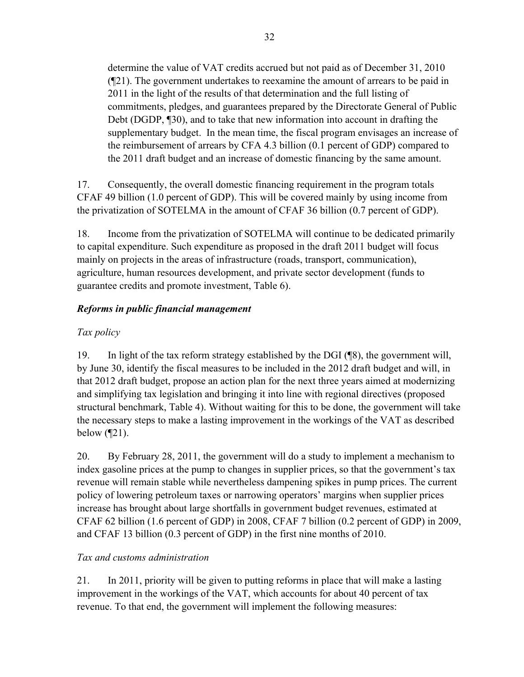determine the value of VAT credits accrued but not paid as of December 31, 2010 (¶21). The government undertakes to reexamine the amount of arrears to be paid in 2011 in the light of the results of that determination and the full listing of commitments, pledges, and guarantees prepared by the Directorate General of Public Debt (DGDP, ¶30), and to take that new information into account in drafting the supplementary budget. In the mean time, the fiscal program envisages an increase of the reimbursement of arrears by CFA 4.3 billion (0.1 percent of GDP) compared to the 2011 draft budget and an increase of domestic financing by the same amount.

17. Consequently, the overall domestic financing requirement in the program totals CFAF 49 billion (1.0 percent of GDP). This will be covered mainly by using income from the privatization of SOTELMA in the amount of CFAF 36 billion (0.7 percent of GDP).

18. Income from the privatization of SOTELMA will continue to be dedicated primarily to capital expenditure. Such expenditure as proposed in the draft 2011 budget will focus mainly on projects in the areas of infrastructure (roads, transport, communication), agriculture, human resources development, and private sector development (funds to guarantee credits and promote investment, Table 6).

# *Reforms in public financial management*

# *Tax policy*

19. In light of the tax reform strategy established by the DGI (¶8), the government will, by June 30, identify the fiscal measures to be included in the 2012 draft budget and will, in that 2012 draft budget, propose an action plan for the next three years aimed at modernizing and simplifying tax legislation and bringing it into line with regional directives (proposed structural benchmark, Table 4). Without waiting for this to be done, the government will take the necessary steps to make a lasting improvement in the workings of the VAT as described below  $(921)$ .

20. By February 28, 2011, the government will do a study to implement a mechanism to index gasoline prices at the pump to changes in supplier prices, so that the government's tax revenue will remain stable while nevertheless dampening spikes in pump prices. The current policy of lowering petroleum taxes or narrowing operators' margins when supplier prices increase has brought about large shortfalls in government budget revenues, estimated at CFAF 62 billion (1.6 percent of GDP) in 2008, CFAF 7 billion (0.2 percent of GDP) in 2009, and CFAF 13 billion (0.3 percent of GDP) in the first nine months of 2010.

# *Tax and customs administration*

21. In 2011, priority will be given to putting reforms in place that will make a lasting improvement in the workings of the VAT, which accounts for about 40 percent of tax revenue. To that end, the government will implement the following measures: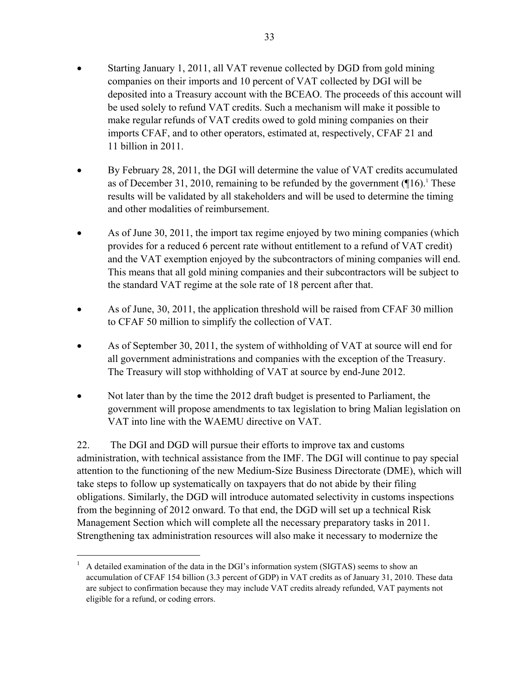- Starting January 1, 2011, all VAT revenue collected by DGD from gold mining companies on their imports and 10 percent of VAT collected by DGI will be deposited into a Treasury account with the BCEAO. The proceeds of this account will be used solely to refund VAT credits. Such a mechanism will make it possible to make regular refunds of VAT credits owed to gold mining companies on their imports CFAF, and to other operators, estimated at, respectively, CFAF 21 and 11 billion in 2011.
- By February 28, 2011, the DGI will determine the value of VAT credits accumulated as of December 31, 2010, remaining to be refunded by the government  $([16)<sup>1</sup>$  These results will be validated by all stakeholders and will be used to determine the timing and other modalities of reimbursement.
- As of June 30, 2011, the import tax regime enjoyed by two mining companies (which provides for a reduced 6 percent rate without entitlement to a refund of VAT credit) and the VAT exemption enjoyed by the subcontractors of mining companies will end. This means that all gold mining companies and their subcontractors will be subject to the standard VAT regime at the sole rate of 18 percent after that.
- As of June, 30, 2011, the application threshold will be raised from CFAF 30 million to CFAF 50 million to simplify the collection of VAT.
- As of September 30, 2011, the system of withholding of VAT at source will end for all government administrations and companies with the exception of the Treasury. The Treasury will stop withholding of VAT at source by end-June 2012.
- Not later than by the time the 2012 draft budget is presented to Parliament, the government will propose amendments to tax legislation to bring Malian legislation on VAT into line with the WAEMU directive on VAT.

22. The DGI and DGD will pursue their efforts to improve tax and customs administration, with technical assistance from the IMF. The DGI will continue to pay special attention to the functioning of the new Medium-Size Business Directorate (DME), which will take steps to follow up systematically on taxpayers that do not abide by their filing obligations. Similarly, the DGD will introduce automated selectivity in customs inspections from the beginning of 2012 onward. To that end, the DGD will set up a technical Risk Management Section which will complete all the necessary preparatory tasks in 2011. Strengthening tax administration resources will also make it necessary to modernize the

1

<sup>1</sup> A detailed examination of the data in the DGI's information system (SIGTAS) seems to show an accumulation of CFAF 154 billion (3.3 percent of GDP) in VAT credits as of January 31, 2010. These data are subject to confirmation because they may include VAT credits already refunded, VAT payments not eligible for a refund, or coding errors.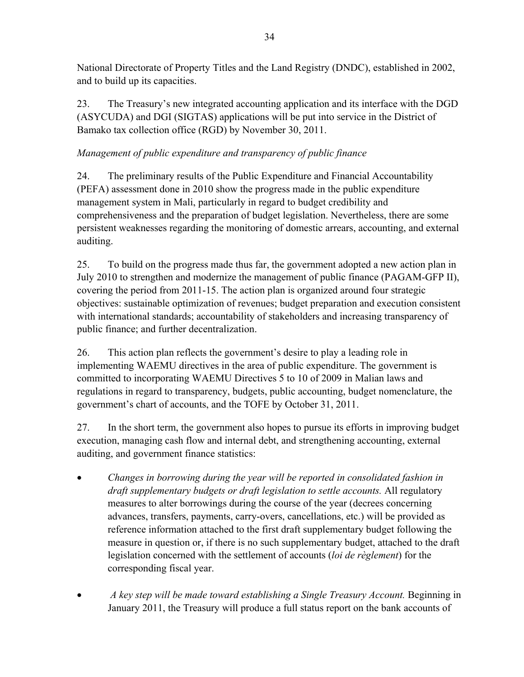National Directorate of Property Titles and the Land Registry (DNDC), established in 2002, and to build up its capacities.

23. The Treasury's new integrated accounting application and its interface with the DGD (ASYCUDA) and DGI (SIGTAS) applications will be put into service in the District of Bamako tax collection office (RGD) by November 30, 2011.

# *Management of public expenditure and transparency of public finance*

24. The preliminary results of the Public Expenditure and Financial Accountability (PEFA) assessment done in 2010 show the progress made in the public expenditure management system in Mali, particularly in regard to budget credibility and comprehensiveness and the preparation of budget legislation. Nevertheless, there are some persistent weaknesses regarding the monitoring of domestic arrears, accounting, and external auditing.

25. To build on the progress made thus far, the government adopted a new action plan in July 2010 to strengthen and modernize the management of public finance (PAGAM-GFP II), covering the period from 2011-15. The action plan is organized around four strategic objectives: sustainable optimization of revenues; budget preparation and execution consistent with international standards; accountability of stakeholders and increasing transparency of public finance; and further decentralization.

26. This action plan reflects the government's desire to play a leading role in implementing WAEMU directives in the area of public expenditure. The government is committed to incorporating WAEMU Directives 5 to 10 of 2009 in Malian laws and regulations in regard to transparency, budgets, public accounting, budget nomenclature, the government's chart of accounts, and the TOFE by October 31, 2011.

27. In the short term, the government also hopes to pursue its efforts in improving budget execution, managing cash flow and internal debt, and strengthening accounting, external auditing, and government finance statistics:

- *Changes in borrowing during the year will be reported in consolidated fashion in draft supplementary budgets or draft legislation to settle accounts.* All regulatory measures to alter borrowings during the course of the year (decrees concerning advances, transfers, payments, carry-overs, cancellations, etc.) will be provided as reference information attached to the first draft supplementary budget following the measure in question or, if there is no such supplementary budget, attached to the draft legislation concerned with the settlement of accounts (*loi de règlement*) for the corresponding fiscal year.
- *A key step will be made toward establishing a Single Treasury Account.* Beginning in January 2011, the Treasury will produce a full status report on the bank accounts of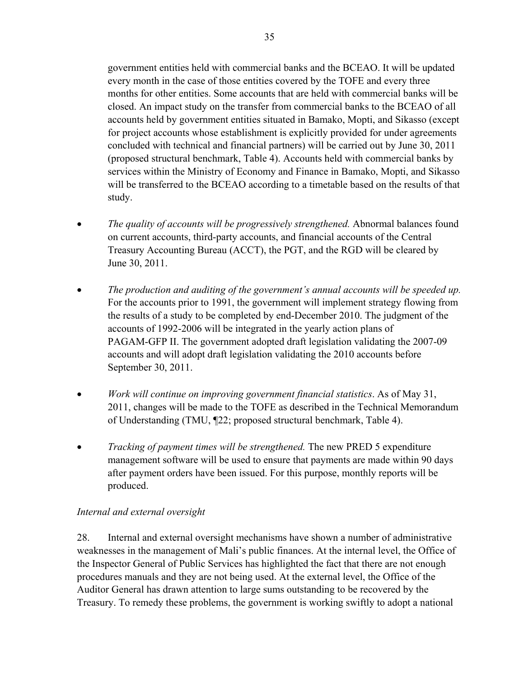government entities held with commercial banks and the BCEAO. It will be updated every month in the case of those entities covered by the TOFE and every three months for other entities. Some accounts that are held with commercial banks will be closed. An impact study on the transfer from commercial banks to the BCEAO of all accounts held by government entities situated in Bamako, Mopti, and Sikasso (except for project accounts whose establishment is explicitly provided for under agreements concluded with technical and financial partners) will be carried out by June 30, 2011 (proposed structural benchmark, Table 4). Accounts held with commercial banks by services within the Ministry of Economy and Finance in Bamako, Mopti, and Sikasso will be transferred to the BCEAO according to a timetable based on the results of that study.

- *The quality of accounts will be progressively strengthened.* Abnormal balances found on current accounts, third-party accounts, and financial accounts of the Central Treasury Accounting Bureau (ACCT), the PGT, and the RGD will be cleared by June 30, 2011.
- *The production and auditing of the government's annual accounts will be speeded up.* For the accounts prior to 1991, the government will implement strategy flowing from the results of a study to be completed by end-December 2010. The judgment of the accounts of 1992-2006 will be integrated in the yearly action plans of PAGAM-GFP II. The government adopted draft legislation validating the 2007-09 accounts and will adopt draft legislation validating the 2010 accounts before September 30, 2011.
- *Work will continue on improving government financial statistics*. As of May 31, 2011, changes will be made to the TOFE as described in the Technical Memorandum of Understanding (TMU, ¶22; proposed structural benchmark, Table 4).
- *Tracking of payment times will be strengthened.* The new PRED 5 expenditure management software will be used to ensure that payments are made within 90 days after payment orders have been issued. For this purpose, monthly reports will be produced.

# *Internal and external oversight*

28. Internal and external oversight mechanisms have shown a number of administrative weaknesses in the management of Mali's public finances. At the internal level, the Office of the Inspector General of Public Services has highlighted the fact that there are not enough procedures manuals and they are not being used. At the external level, the Office of the Auditor General has drawn attention to large sums outstanding to be recovered by the Treasury. To remedy these problems, the government is working swiftly to adopt a national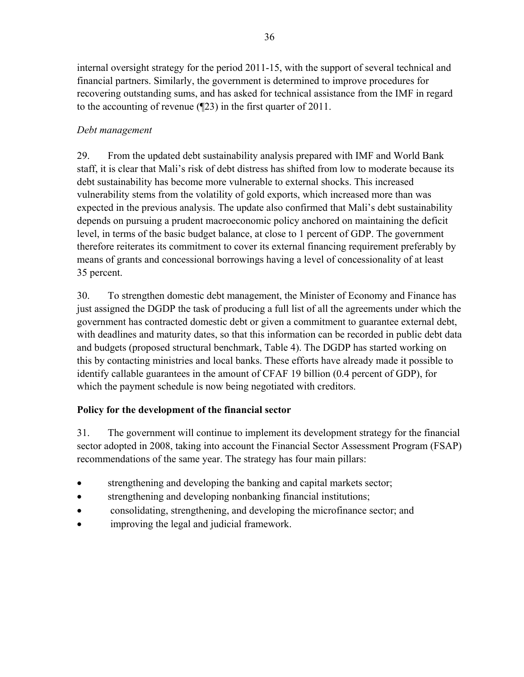internal oversight strategy for the period 2011-15, with the support of several technical and financial partners. Similarly, the government is determined to improve procedures for recovering outstanding sums, and has asked for technical assistance from the IMF in regard to the accounting of revenue (¶23) in the first quarter of 2011.

### *Debt management*

29. From the updated debt sustainability analysis prepared with IMF and World Bank staff, it is clear that Mali's risk of debt distress has shifted from low to moderate because its debt sustainability has become more vulnerable to external shocks. This increased vulnerability stems from the volatility of gold exports, which increased more than was expected in the previous analysis. The update also confirmed that Mali's debt sustainability depends on pursuing a prudent macroeconomic policy anchored on maintaining the deficit level, in terms of the basic budget balance, at close to 1 percent of GDP. The government therefore reiterates its commitment to cover its external financing requirement preferably by means of grants and concessional borrowings having a level of concessionality of at least 35 percent.

30. To strengthen domestic debt management, the Minister of Economy and Finance has just assigned the DGDP the task of producing a full list of all the agreements under which the government has contracted domestic debt or given a commitment to guarantee external debt, with deadlines and maturity dates, so that this information can be recorded in public debt data and budgets (proposed structural benchmark, Table 4). The DGDP has started working on this by contacting ministries and local banks. These efforts have already made it possible to identify callable guarantees in the amount of CFAF 19 billion (0.4 percent of GDP), for which the payment schedule is now being negotiated with creditors.

## **Policy for the development of the financial sector**

31. The government will continue to implement its development strategy for the financial sector adopted in 2008, taking into account the Financial Sector Assessment Program (FSAP) recommendations of the same year. The strategy has four main pillars:

- strengthening and developing the banking and capital markets sector;
- strengthening and developing nonbanking financial institutions;
- consolidating, strengthening, and developing the microfinance sector; and
- improving the legal and judicial framework.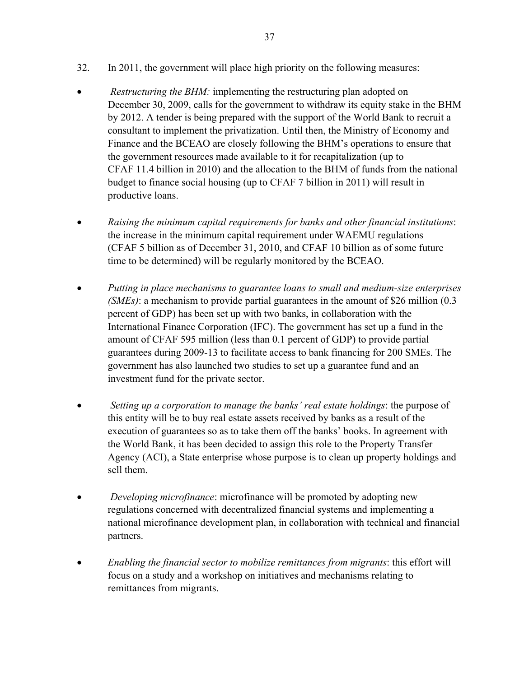- 32. In 2011, the government will place high priority on the following measures:
- *Restructuring the BHM:* implementing the restructuring plan adopted on December 30, 2009, calls for the government to withdraw its equity stake in the BHM by 2012. A tender is being prepared with the support of the World Bank to recruit a consultant to implement the privatization. Until then, the Ministry of Economy and Finance and the BCEAO are closely following the BHM's operations to ensure that the government resources made available to it for recapitalization (up to CFAF 11.4 billion in 2010) and the allocation to the BHM of funds from the national budget to finance social housing (up to CFAF 7 billion in 2011) will result in productive loans.
- *Raising the minimum capital requirements for banks and other financial institutions*: the increase in the minimum capital requirement under WAEMU regulations (CFAF 5 billion as of December 31, 2010, and CFAF 10 billion as of some future time to be determined) will be regularly monitored by the BCEAO.
- *Putting in place mechanisms to guarantee loans to small and medium-size enterprises (SMEs)*: a mechanism to provide partial guarantees in the amount of \$26 million (0.3 percent of GDP) has been set up with two banks, in collaboration with the International Finance Corporation (IFC). The government has set up a fund in the amount of CFAF 595 million (less than 0.1 percent of GDP) to provide partial guarantees during 2009-13 to facilitate access to bank financing for 200 SMEs. The government has also launched two studies to set up a guarantee fund and an investment fund for the private sector.
- *Setting up a corporation to manage the banks' real estate holdings*: the purpose of this entity will be to buy real estate assets received by banks as a result of the execution of guarantees so as to take them off the banks' books. In agreement with the World Bank, it has been decided to assign this role to the Property Transfer Agency (ACI), a State enterprise whose purpose is to clean up property holdings and sell them.
- *Developing microfinance*: microfinance will be promoted by adopting new regulations concerned with decentralized financial systems and implementing a national microfinance development plan, in collaboration with technical and financial partners.
- *Enabling the financial sector to mobilize remittances from migrants*: this effort will focus on a study and a workshop on initiatives and mechanisms relating to remittances from migrants.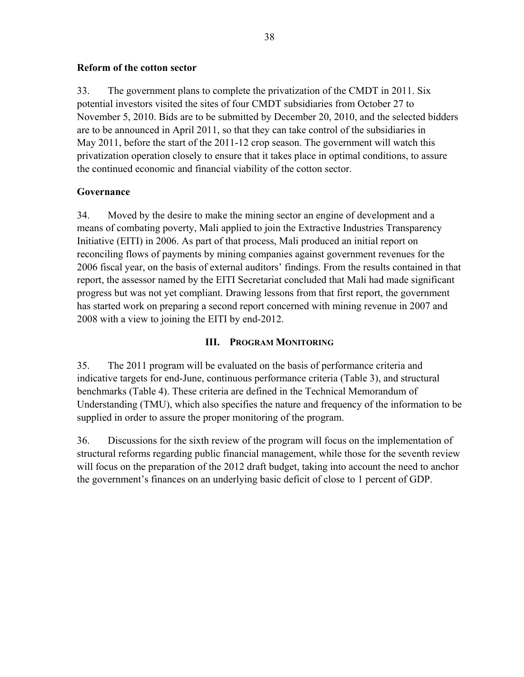#### **Reform of the cotton sector**

33. The government plans to complete the privatization of the CMDT in 2011. Six potential investors visited the sites of four CMDT subsidiaries from October 27 to November 5, 2010. Bids are to be submitted by December 20, 2010, and the selected bidders are to be announced in April 2011, so that they can take control of the subsidiaries in May 2011, before the start of the 2011-12 crop season. The government will watch this privatization operation closely to ensure that it takes place in optimal conditions, to assure the continued economic and financial viability of the cotton sector.

#### **Governance**

34. Moved by the desire to make the mining sector an engine of development and a means of combating poverty, Mali applied to join the Extractive Industries Transparency Initiative (EITI) in 2006. As part of that process, Mali produced an initial report on reconciling flows of payments by mining companies against government revenues for the 2006 fiscal year, on the basis of external auditors' findings. From the results contained in that report, the assessor named by the EITI Secretariat concluded that Mali had made significant progress but was not yet compliant. Drawing lessons from that first report, the government has started work on preparing a second report concerned with mining revenue in 2007 and 2008 with a view to joining the EITI by end-2012.

#### **III. PROGRAM MONITORING**

35. The 2011 program will be evaluated on the basis of performance criteria and indicative targets for end-June, continuous performance criteria (Table 3), and structural benchmarks (Table 4). These criteria are defined in the Technical Memorandum of Understanding (TMU), which also specifies the nature and frequency of the information to be supplied in order to assure the proper monitoring of the program.

36. Discussions for the sixth review of the program will focus on the implementation of structural reforms regarding public financial management, while those for the seventh review will focus on the preparation of the 2012 draft budget, taking into account the need to anchor the government's finances on an underlying basic deficit of close to 1 percent of GDP.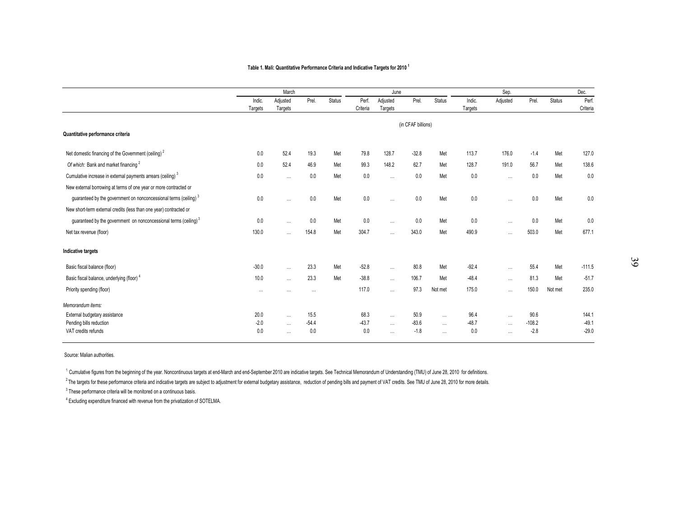#### **Table 1. Mali: Quantitative Performance Criteria and Indicative Targets for 2010 <sup>1</sup>**

|                                                                              |          | March    |          |               |          | June     |                    |               |         | Sep.     |          |               | Dec.     |
|------------------------------------------------------------------------------|----------|----------|----------|---------------|----------|----------|--------------------|---------------|---------|----------|----------|---------------|----------|
|                                                                              | Indic.   | Adjusted | Prel.    | <b>Status</b> | Perf.    | Adjusted | Prel.              | <b>Status</b> | Indic.  | Adjusted | Prel.    | <b>Status</b> | Perf.    |
|                                                                              | Targets  | Targets  |          |               | Criteria | Targets  |                    |               | Targets |          |          |               | Criteria |
|                                                                              |          |          |          |               |          |          | (in CFAF billions) |               |         |          |          |               |          |
| Quantitative performance criteria                                            |          |          |          |               |          |          |                    |               |         |          |          |               |          |
| Net domestic financing of the Government (ceiling) <sup>2</sup>              | 0.0      | 52.4     | 19.3     | Met           | 79.8     | 128.7    | $-32.8$            | Met           | 113.7   | 176.0    | $-1.4$   | Met           | 127.0    |
| Of which: Bank and market financing <sup>2</sup>                             | 0.0      | 52.4     | 46.9     | Met           | 99.3     | 148.2    | 62.7               | Met           | 128.7   | 191.0    | 56.7     | Met           | 138.6    |
| Cumulative increase in external payments arrears (ceiling) <sup>3</sup>      | 0.0      | $\cdots$ | 0.0      | Met           | 0.0      | $\cdots$ | 0.0                | Met           | 0.0     | $\cdots$ | 0.0      | Met           | 0.0      |
| New external borrowing at terms of one year or more contracted or            |          |          |          |               |          |          |                    |               |         |          |          |               |          |
| guaranteed by the government on nonconcessional terms (ceiling) <sup>3</sup> | 0.0      |          | 0.0      | Met           | 0.0      | $\cdots$ | 0.0                | Met           | 0.0     | $\cdots$ | 0.0      | Met           | 0.0      |
| New short-term external credits (less than one year) contracted or           |          |          |          |               |          |          |                    |               |         |          |          |               |          |
| guaranteed by the government on nonconcessional terms (ceiling) <sup>3</sup> | 0.0      | $\cdots$ | 0.0      | Met           | 0.0      | $\cdots$ | 0.0                | Met           | 0.0     | $\cdots$ | 0.0      | Met           | 0.0      |
| Net tax revenue (floor)                                                      | 130.0    | $\cdots$ | 154.8    | Met           | 304.7    | $\cdots$ | 343.0              | Met           | 490.9   | $\cdots$ | 503.0    | Met           | 677.1    |
| Indicative targets                                                           |          |          |          |               |          |          |                    |               |         |          |          |               |          |
| Basic fiscal balance (floor)                                                 | $-30.0$  | $\cdots$ | 23.3     | Met           | $-52.8$  | $\cdots$ | 80.8               | Met           | $-92.4$ | $\cdots$ | 55.4     | Met           | $-111.5$ |
| Basic fiscal balance, underlying (floor) <sup>4</sup>                        | 10.0     | $\cdots$ | 23.3     | Met           | $-38.8$  | $\cdots$ | 106.7              | Met           | $-48.4$ | $\cdots$ | 81.3     | Met           | $-51.7$  |
| Priority spending (floor)                                                    | $\cdots$ | $\cdots$ | $\cdots$ |               | 117.0    | $\cdots$ | 97.3               | Not met       | 175.0   | $\cdots$ | 150.0    | Not met       | 235.0    |
| Memorandum items:                                                            |          |          |          |               |          |          |                    |               |         |          |          |               |          |
| External budgetary assistance                                                | 20.0     | $\cdots$ | 15.5     |               | 68.3     | $\cdots$ | 50.9               | $\cdots$      | 96.4    | $\cdots$ | 90.6     |               | 144.1    |
| Pending bills reduction                                                      | $-2.0$   | $\cdots$ | $-54.4$  |               | $-43.7$  | $\cdots$ | $-83.6$            | $\cdots$      | $-48.7$ | $\cdots$ | $-108.2$ |               | $-49.1$  |
| VAT credits refunds                                                          | 0.0      | $\cdots$ | 0.0      |               | 0.0      | $\cdots$ | $-1.8$             | $\cdots$      | 0.0     | $\cdots$ | $-2.8$   |               | $-29.0$  |

Source: Malian authorities.

<sup>1</sup> Cumulative figures from the beginning of the year. Noncontinuous targets at end-March and end-September 2010 are indicative targets. See Technical Memorandum of Understanding (TMU) of June 28, 2010 for definitions.

<sup>2</sup> The targets for these performance criteria and indicative targets are subject to adjustment for external budgetary assistance, reduction of pending bills and payment of VAT credits. See TMU of June 28, 2010 for more de

 $3$  These performance criteria will be monitored on a continuous basis.

4 Excluding expenditure financed with revenue from the privatization of SOTELMA.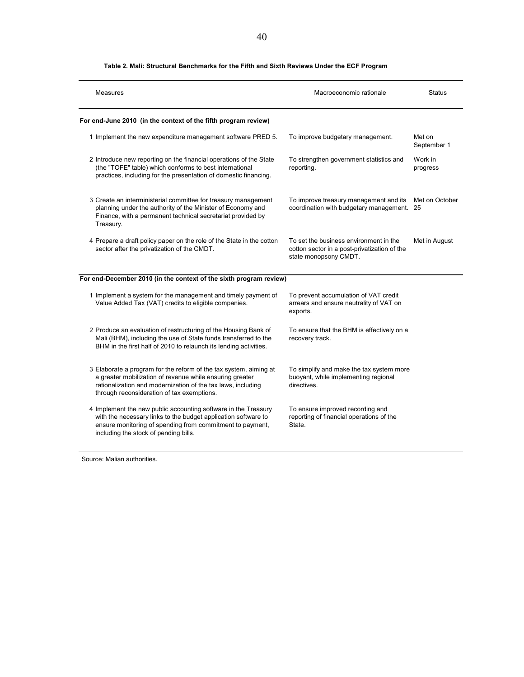| Measures                                                                                                                                                                                                                                    | Macroeconomic rationale                                                                                         | <b>Status</b>         |
|---------------------------------------------------------------------------------------------------------------------------------------------------------------------------------------------------------------------------------------------|-----------------------------------------------------------------------------------------------------------------|-----------------------|
| For end-June 2010 (in the context of the fifth program review)                                                                                                                                                                              |                                                                                                                 |                       |
| 1 Implement the new expenditure management software PRED 5.                                                                                                                                                                                 | To improve budgetary management.                                                                                | Met on<br>September 1 |
| 2 Introduce new reporting on the financial operations of the State<br>(the "TOFE" table) which conforms to best international<br>practices, including for the presentation of domestic financing.                                           | To strengthen government statistics and<br>reporting.                                                           | Work in<br>progress   |
| 3 Create an interministerial committee for treasury management<br>planning under the authority of the Minister of Economy and<br>Finance, with a permanent technical secretariat provided by<br>Treasury.                                   | To improve treasury management and its<br>coordination with budgetary management. 25                            | Met on October        |
| 4 Prepare a draft policy paper on the role of the State in the cotton<br>sector after the privatization of the CMDT.                                                                                                                        | To set the business environment in the<br>cotton sector in a post-privatization of the<br>state monopsony CMDT. | Met in August         |
| For end-December 2010 (in the context of the sixth program review)                                                                                                                                                                          |                                                                                                                 |                       |
| 1 Implement a system for the management and timely payment of<br>Value Added Tax (VAT) credits to eligible companies.                                                                                                                       | To prevent accumulation of VAT credit<br>arrears and ensure neutrality of VAT on<br>exports.                    |                       |
| 2 Produce an evaluation of restructuring of the Housing Bank of<br>Mali (BHM), including the use of State funds transferred to the<br>BHM in the first half of 2010 to relaunch its lending activities.                                     | To ensure that the BHM is effectively on a<br>recovery track.                                                   |                       |
| 3 Elaborate a program for the reform of the tax system, aiming at<br>a greater mobilization of revenue while ensuring greater<br>rationalization and modernization of the tax laws, including<br>through reconsideration of tax exemptions. | To simplify and make the tax system more<br>buoyant, while implementing regional<br>directives.                 |                       |
| 4 Implement the new public accounting software in the Treasury<br>with the necessary links to the budget application software to<br>ensure monitoring of spending from commitment to payment,<br>including the stock of pending bills.      | To ensure improved recording and<br>reporting of financial operations of the<br>State.                          |                       |

#### **Table 2. Mali: Structural Benchmarks for the Fifth and Sixth Reviews Under the ECF Program**

Source: Malian authorities.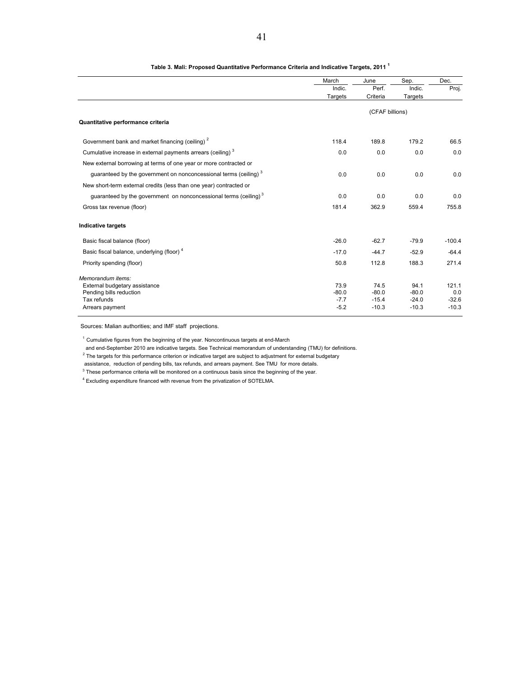|                                                                              | March   | June            | Sep.    | Dec.     |
|------------------------------------------------------------------------------|---------|-----------------|---------|----------|
|                                                                              | Indic.  | Perf.           | Indic.  | Proj.    |
|                                                                              | Targets | Criteria        | Targets |          |
|                                                                              |         | (CFAF billions) |         |          |
| Quantitative performance criteria                                            |         |                 |         |          |
| Government bank and market financing (ceiling) <sup>2</sup>                  | 118.4   | 189.8           | 179.2   | 66.5     |
| Cumulative increase in external payments arrears (ceiling) <sup>3</sup>      | 0.0     | 0.0             | 0.0     | 0.0      |
| New external borrowing at terms of one year or more contracted or            |         |                 |         |          |
| quaranteed by the government on nonconcessional terms (ceiling) <sup>3</sup> | 0.0     | 0.0             | 0.0     | 0.0      |
| New short-term external credits (less than one year) contracted or           |         |                 |         |          |
| guaranteed by the government on nonconcessional terms (ceiling) <sup>3</sup> | 0.0     | 0.0             | 0.0     | 0.0      |
| Gross tax revenue (floor)                                                    | 181.4   | 362.9           | 559.4   | 755.8    |
| Indicative targets                                                           |         |                 |         |          |
| Basic fiscal balance (floor)                                                 | $-26.0$ | $-62.7$         | $-79.9$ | $-100.4$ |
| Basic fiscal balance, underlying (floor) <sup>4</sup>                        | $-17.0$ | $-44.7$         | $-52.9$ | $-64.4$  |
| Priority spending (floor)                                                    | 50.8    | 112.8           | 188.3   | 271.4    |
| Memorandum items:                                                            |         |                 |         |          |
| External budgetary assistance                                                | 73.9    | 74.5            | 94.1    | 121.1    |
| Pending bills reduction                                                      | $-80.0$ | $-80.0$         | $-80.0$ | 0.0      |
| Tax refunds                                                                  | $-7.7$  | $-15.4$         | $-24.0$ | $-32.6$  |
| Arrears payment                                                              | $-5.2$  | $-10.3$         | $-10.3$ | $-10.3$  |

**Table 3. Mali: Proposed Quantitative Performance Criteria and Indicative Targets, 2011 1**

Sources: Malian authorities; and IMF staff projections.

 $1$  Cumulative figures from the beginning of the year. Noncontinuous targets at end-March

and end-September 2010 are indicative targets. See Technical memorandum of understanding (TMU) for definitions.

 $2$  The targets for this performance criterion or indicative target are subject to adjustment for external budgetary

assistance, reduction of pending bills, tax refunds, and arrears payment. See TMU for more details.

 $3$  These performance criteria will be monitored on a continuous basis since the beginning of the year.

<sup>4</sup> Excluding expenditure financed with revenue from the privatization of SOTELMA.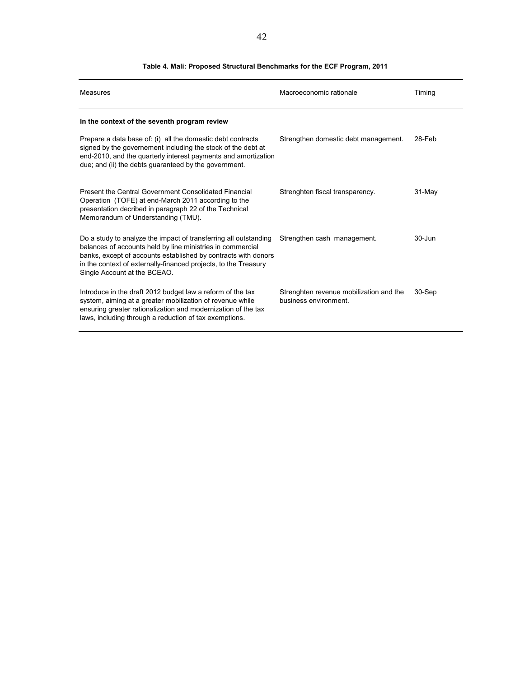| Measures                                                                                                                                                                                                                                                                                            | Macroeconomic rationale                                          | Timing     |
|-----------------------------------------------------------------------------------------------------------------------------------------------------------------------------------------------------------------------------------------------------------------------------------------------------|------------------------------------------------------------------|------------|
| In the context of the seventh program review                                                                                                                                                                                                                                                        |                                                                  |            |
| Prepare a data base of: (i) all the domestic debt contracts<br>signed by the governement including the stock of the debt at<br>end-2010, and the quarterly interest payments and amortization<br>due; and (ii) the debts guaranteed by the government.                                              | Strengthen domestic debt management.                             | 28-Feb     |
| Present the Central Government Consolidated Financial<br>Operation (TOFE) at end-March 2011 according to the<br>presentation decribed in paragraph 22 of the Technical<br>Memorandum of Understanding (TMU).                                                                                        | Strenghten fiscal transparency.                                  | $31-Mav$   |
| Do a study to analyze the impact of transferring all outstanding<br>balances of accounts held by line ministries in commercial<br>banks, except of accounts established by contracts with donors<br>in the context of externally-financed projects, to the Treasury<br>Single Account at the BCEAO. | Strengthen cash management.                                      | $30 - Jun$ |
| Introduce in the draft 2012 budget law a reform of the tax<br>system, aiming at a greater mobilization of revenue while<br>ensuring greater rationalization and modernization of the tax<br>laws, including through a reduction of tax exemptions.                                                  | Strenghten revenue mobilization and the<br>business environment. | 30-Sep     |

#### **Table 4. Mali: Proposed Structural Benchmarks for the ECF Program, 2011**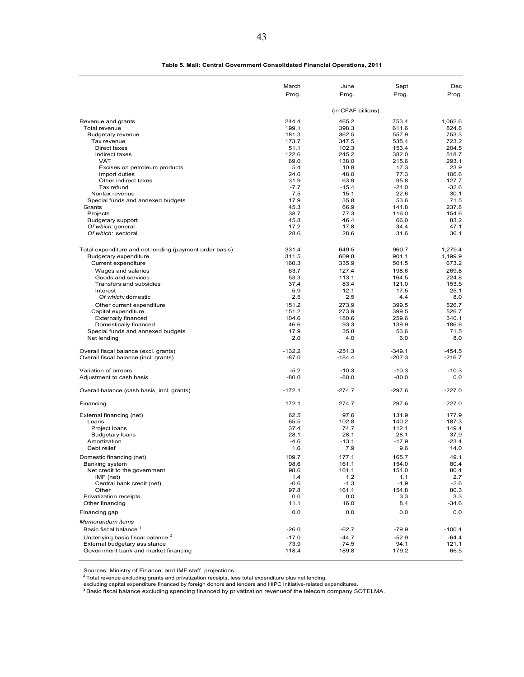|                                                            | March<br>Prog. | June<br>Prog.      | Sept<br>Prog.  | Dec<br>Prog.   |
|------------------------------------------------------------|----------------|--------------------|----------------|----------------|
|                                                            |                | (in CFAF billions) |                |                |
|                                                            | 244.4          | 465.2              | 753.4          | 1,062.6        |
| Revenue and grants<br>Total revenue                        | 199.1          | 398.3              | 611.6          | 824.8          |
| <b>Budgetary revenue</b>                                   | 181.3          | 362.5              | 557.9          | 753.3          |
| Tax revenue                                                | 173.7          | 347.5              | 535.4          | 723.2          |
| Direct taxes                                               | 51.1           | 102.3              | 153.4          | 204.5          |
| Indirect taxes<br><b>VAT</b>                               | 122.6<br>69.0  | 245.2<br>138.0     | 382.0<br>215.6 | 518.7<br>293.1 |
| Excises on petroleum products                              | 5.4            | 10.8               | 17.3           | 23.9           |
| Import duties                                              | 24.0           | 48.0               | 77.3           | 106.6          |
| Other indirect taxes                                       | 31.9           | 63.9               | 95.8           | 127.7          |
| Tax refund                                                 | $-7.7$         | $-15.4$            | $-24.0$        | $-32.6$        |
| Nontax revenue<br>Special funds and annexed budgets        | 7.5<br>17.9    | 15.1<br>35.8       | 22.6<br>53.6   | 30.1<br>71.5   |
| Grants                                                     | 45.3           | 66.9               | 141.8          | 237.8          |
| Projects                                                   | 38.7           | 77.3               | 116.0          | 154.6          |
| <b>Budgetary support</b>                                   | 45.8           | 46.4               | 66.0           | 83.2           |
| Of which: general                                          | 17.2           | 17.8               | 34.4           | 47.1           |
| Of which: sectoral                                         | 28.6           | 28.6               | 31.6           | 36.1           |
| Total expenditure and net lending (payment order basis)    | 331.4          | 649.5              | 960.7          | 1,279.4        |
| <b>Budgetary expenditure</b>                               | 311.5          | 609.8              | 901.1          | 1.199.9        |
| Current expenditure                                        | 160.3<br>63.7  | 335.9<br>127.4     | 501.5<br>198.6 | 673.2<br>269.8 |
| Wages and salaries<br>Goods and services                   | 53.3           | 113.1              | 164.5          | 224.8          |
| Transfers and subsidies                                    | 37.4           | 83.4               | 121.0          | 153.5          |
| Interest                                                   | 5.9            | 12.1               | 17.5           | 25.1           |
| Of which: domestic                                         | 2.5            | 2.5                | 4.4            | 8.0            |
| Other current expenditure                                  | 151.2          | 273.9              | 399.5          | 526.7          |
| Capital expenditure                                        | 151.2          | 273.9              | 399.5          | 526.7          |
| <b>Externally financed</b>                                 | 104.6          | 180.6              | 259.6          | 340.1          |
| Domestically financed<br>Special funds and annexed budgets | 46.6<br>17.9   | 93.3<br>35.8       | 139.9<br>53.6  | 186.6<br>71.5  |
| Net lending                                                | 2.0            | 4.0                | 6.0            | 8.0            |
| Overall fiscal balance (excl. grants)                      | $-132.2$       | $-251.3$           | $-349.1$       | $-454.5$       |
| Overall fiscal balance (incl. grants)                      | $-87.0$        | $-184.4$           | $-207.3$       | $-216.7$       |
| Variation of arrears                                       | $-5.2$         | $-10.3$            | $-10.3$        | $-10.3$        |
| Adjustment to cash basis                                   | $-80.0$        | $-80.0$            | $-80.0$        | 0.0            |
| Overall balance (cash basis, incl. grants)                 | $-172.1$       | $-274.7$           | $-297.6$       | $-227.0$       |
| Financing                                                  | 172.1          | 274.7              | 297.6          | 227.0          |
| External financing (net)                                   | 62.5           | 97.6               | 131.9          | 177.9          |
| Loans                                                      | 65.5           | 102.8              | 140.2          | 187.3          |
| Project loans                                              | 37.4           | 74.7               | 112.1          | 149.4          |
| <b>Budgetary loans</b>                                     | 28.1           | 28.1               | 28.1           | 37.9           |
| Amortization                                               | $-4.6$         | $-13.1$            | $-17.9$        | $-23.4$        |
| Debt relief                                                | 1.6            | 7.9                | 9.6            | 14.0           |
| Domestic financing (net)                                   | 109.7          | 177.1              | 165.7          | 49.1           |
| Banking system<br>Net credit to the government             | 98.6<br>98.6   | 161.1<br>161.1     | 154.0<br>154.0 | 80.4<br>80.4   |
| IMF (net)                                                  | 1.4            | 1.2                | 1.1            | 2.7            |
| Central bank credit (net)                                  | $-0.6$         | $-1.3$             | $-1.9$         | $-2.6$         |
| Other                                                      | 97.8           | 161.1              | 154.8          | 80.3           |
| Privatization receipts                                     | 0.0            | 0.0                | 3.3            | 3.3            |
| Other financing                                            | 11.1<br>0.0    | 16.0               | 8.4<br>0.0     | $-34.6$        |
| Financing gap<br>Memorandum items                          |                | 0.0                |                | 0.0            |
| Basic fiscal balance <sup>1</sup>                          | $-26.0$        | $-62.7$            | $-79.9$        | $-100.4$       |
| Underlying basic fiscal balance <sup>2</sup>               | $-17.0$        | $-44.7$            | $-52.9$        | $-64.4$        |
| External budgetary assistance                              | 73.9           | 74.5               | 94.1           | 121.1          |
| Government bank and market financing                       | 118.4          | 189.8              | 179.2          | 66.5           |

 **Table 5. Mali: Central Government Consolidated Financial Operations, 2011**

Sources: Ministry of Finance; and IMF staff projections.<br><sup>2</sup> Total revenue excluding grants and privatization receipts, less total expenditure plus net lending,<br>excluding capital expenditure financed by foreign donors and

<sup>3</sup> Basic fiscal balance excluding spending financed by privatization revenueof the telecom company SOTELMA.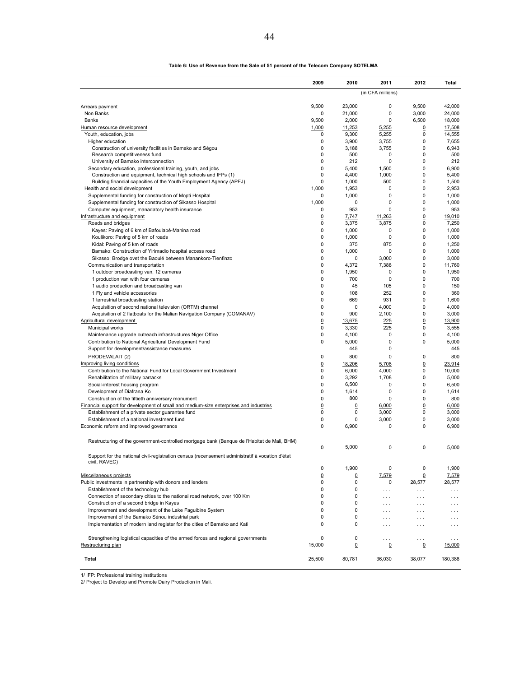|                                                                                                                                           | 2009           | 2010            | 2011              | 2012                     | Total           |
|-------------------------------------------------------------------------------------------------------------------------------------------|----------------|-----------------|-------------------|--------------------------|-----------------|
|                                                                                                                                           |                |                 | (in CFA millions) |                          |                 |
| Arrears payment                                                                                                                           | 9,500          | 23.000          | 0                 | 9,500                    | 42,000          |
| Non Banks                                                                                                                                 | 0              | 21,000          | $\pmb{0}$         | 3,000                    | 24,000          |
| <b>Banks</b>                                                                                                                              | 9,500          | 2,000           | 0                 | 6,500                    | 18,000          |
| Human resource development                                                                                                                | 1,000          | 11,253          | 5,255             | $\overline{0}$           | 17,508          |
| Youth, education, jobs                                                                                                                    | 0              | 9,300           | 5,255             | 0                        | 14,555          |
| Higher education                                                                                                                          | 0              | 3,900           | 3,755             | 0                        | 7,655           |
| Construction of university facilities in Bamako and Ségou                                                                                 | 0              | 3,188           | 3,755             | 0                        | 6,943           |
| Research competitiveness fund                                                                                                             | 0              | 500             | 0                 | 0                        | 500             |
| University of Bamako interconnection<br>Secondary education, professional training, youth, and jobs                                       | 0<br>0         | 212<br>5,400    | 0<br>1,500        | 0<br>0                   | 212<br>6,900    |
| Construction and equipment, technical high schools and IFPs (1)                                                                           | 0              | 4,400           | 1,000             | 0                        | 5,400           |
| Building financial capacities of the Youth Employment Agency (APEJ)                                                                       | 0              | 1,000           | 500               | 0                        | 1,500           |
| Health and social development                                                                                                             | 1,000          | 1,953           | 0                 | 0                        | 2,953           |
| Supplemental funding for construction of Mopti Hospital                                                                                   | 0              | 1,000           | $\mathbf 0$       | 0                        | 1,000           |
| Supplemental funding for construction of Sikasso Hospital                                                                                 | 1,000          | 0               | 0                 | 0                        | 1,000           |
| Computer equipment, manadatory health insurance                                                                                           | 0              | 953             | $\Omega$          | 0                        | 953             |
| Infrastructure and equipment                                                                                                              | $\mathsf 0$    | 7,747           | 11,263            | 0                        | 19,010          |
| Roads and bridges                                                                                                                         | 0              | 3,375           | 3,875             | 0                        | 7,250           |
| Kayes: Paving of 6 km of Bafoulabé-Mahina road                                                                                            | 0<br>0         | 1,000           | 0<br>0            | 0<br>0                   | 1,000           |
| Koulikoro: Paving of 5 km of roads<br>Kidal: Paving of 5 km of roads                                                                      | 0              | 1,000<br>375    | 875               | 0                        | 1,000<br>1,250  |
| Bamako: Construction of Yirimadio hospital access road                                                                                    | 0              | 1,000           | 0                 | 0                        | 1,000           |
| Sikasso: Brodge ovet the Baoulé between Manankoro-Tienfinzo                                                                               | 0              | 0               | 3,000             | 0                        | 3,000           |
| Communication and transportation                                                                                                          | 0              | 4,372           | 7,388             | 0                        | 11.760          |
| 1 outdoor broadcasting van, 12 cameras                                                                                                    | 0              | 1,950           | 0                 | 0                        | 1,950           |
| 1 production van with four cameras                                                                                                        | 0              | 700             | 0                 | 0                        | 700             |
| 1 audio production and broadcasting van                                                                                                   | 0              | 45              | 105               | 0                        | 150             |
| 1 Fly and vehicle accessories                                                                                                             | 0              | 108             | 252               | 0                        | 360             |
| 1 terrestrial broadcasting station                                                                                                        | 0              | 669             | 931               | 0                        | 1,600           |
| Acquisition of second national television (ORTM) channel                                                                                  | 0              | 0               | 4,000             | 0                        | 4,000           |
| Acquisition of 2 flatboats for the Malian Navigation Company (COMANAV)                                                                    | 0              | 900             | 2,100             | 0                        | 3,000           |
| Agricultural development<br>Municipal works                                                                                               | 0<br>0         | 13,675<br>3,330 | 225<br>225        | 0<br>0                   | 13,900<br>3,555 |
| Maintenance upgrade outreach infrastructures Niger Office                                                                                 | 0              | 4,100           | 0                 | 0                        | 4,100           |
| Contribution to National Agricultural Development Fund                                                                                    | 0              | 5,000           | 0                 | 0                        | 5,000           |
| Support for development/assistance measures                                                                                               |                | 445             | 0                 |                          | 445             |
| PRODEVALAIT (2)                                                                                                                           | 0              | 800             | 0                 | 0                        | 800             |
| Improving living conditions                                                                                                               | $\overline{0}$ | 18,206          | 5,708             | $\overline{0}$           | 23,914          |
| Contribution to the National Fund for Local Government Investment                                                                         | 0              | 6,000           | 4,000             | 0                        | 10,000          |
| Rehabilitation of military barracks                                                                                                       | 0              | 3,292           | 1,708             | 0                        | 5,000           |
| Social-interest housing program                                                                                                           | 0              | 6,500           | 0                 | 0                        | 6,500           |
| Development of Diafrana Ko                                                                                                                | 0              | 1,614           | 0                 | 0                        | 1,614           |
| Construction of the fiftieth anniversary monument                                                                                         | 0              | 800             | 0                 | 0                        | 800             |
| Financial support for development of small and medium-size enterprises and industries<br>Establishment of a private sector guarantee fund | 0<br>0         | 0<br>0          | 6,000<br>3,000    | 0<br>0                   | 6,000<br>3,000  |
| Establishment of a national investment fund                                                                                               | 0              | 0               | 3,000             | 0                        | 3,000           |
| Economic reform and improved governance                                                                                                   | $\overline{0}$ | 6,900           | 0                 | 0                        | 6,900           |
|                                                                                                                                           |                |                 |                   |                          |                 |
| Restructuring of the government-controlled mortgage bank (Banque de l'Habitat de Mali, BHM)                                               |                |                 |                   |                          |                 |
|                                                                                                                                           | 0              | 5,000           | 0                 | 0                        | 5,000           |
| Support for the national civil-registration census (recensement administratif à vocation d'état                                           |                |                 |                   |                          |                 |
| civil, RAVEC)                                                                                                                             |                |                 |                   |                          |                 |
|                                                                                                                                           | 0              | 1,900           | 0                 | 0                        | 1,900           |
| Miscellaneous projects<br>Public investments in partnership with donors and lenders                                                       | 0              | 0<br>0          | 7,579<br>0        | $\overline{0}$<br>28,577 | 7,579<br>28,577 |
| Establishment of the technology hub                                                                                                       | 0<br>0         | 0               | $\cdots$          | .                        | $\cdots$        |
| Connection of secondary cities to the national road network, over 100 Km                                                                  | 0              | 0               | .                 | .                        | .               |
| Construction of a second bridge in Kayes                                                                                                  | 0              | 0               | $\cdots$          | .                        | .               |
| Improvement and development of the Lake Faquibine System                                                                                  | 0              | 0               | $\cdots$          | .                        | .               |
| Improvement of the Bamako Sénou industrial park                                                                                           | 0              | 0               | .                 | .                        | $\cdots$        |
| Implementation of modern land register for the cities of Bamako and Kati                                                                  | 0              | 0               | $\cdots$          | .                        | $\cdots$        |
|                                                                                                                                           |                |                 |                   |                          |                 |
| Strengthening logistical capacities of the armed forces and regional governments                                                          | 0              | 0               | $\cdots$          | $\cdots$                 | $\cdots$        |
| Restructuring plan                                                                                                                        | 15,000         | 0               | 0                 | 0                        | 15,000          |
| Total                                                                                                                                     | 25,500         | 80,781          | 36,030            | 38,077                   | 180,388         |
|                                                                                                                                           |                |                 |                   |                          |                 |

#### **Table 6: Use of Revenue from the Sale of 51 percent of the Telecom Company SOTELMA**

1/ IFP: Professional training institutions

2/ Project to Develop and Promote Dairy Production in Mali.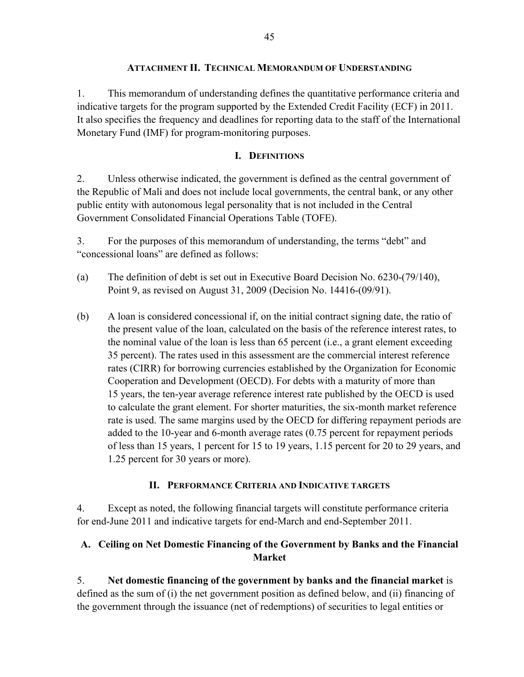#### **ATTACHMENT II. TECHNICAL MEMORANDUM OF UNDERSTANDING**

1. This memorandum of understanding defines the quantitative performance criteria and indicative targets for the program supported by the Extended Credit Facility (ECF) in 2011. It also specifies the frequency and deadlines for reporting data to the staff of the International Monetary Fund (IMF) for program-monitoring purposes.

### **I. DEFINITIONS**

2. Unless otherwise indicated, the government is defined as the central government of the Republic of Mali and does not include local governments, the central bank, or any other public entity with autonomous legal personality that is not included in the Central Government Consolidated Financial Operations Table (TOFE).

3. For the purposes of this memorandum of understanding, the terms "debt" and "concessional loans" are defined as follows:

- (a) The definition of debt is set out in Executive Board Decision No. 6230-(79/140), Point 9, as revised on August 31, 2009 (Decision No. 14416-(09/91).
- (b) A loan is considered concessional if, on the initial contract signing date, the ratio of the present value of the loan, calculated on the basis of the reference interest rates, to the nominal value of the loan is less than 65 percent (i.e., a grant element exceeding 35 percent). The rates used in this assessment are the commercial interest reference rates (CIRR) for borrowing currencies established by the Organization for Economic Cooperation and Development (OECD). For debts with a maturity of more than 15 years, the ten-year average reference interest rate published by the OECD is used to calculate the grant element. For shorter maturities, the six-month market reference rate is used. The same margins used by the OECD for differing repayment periods are added to the 10-year and 6-month average rates (0.75 percent for repayment periods of less than 15 years, 1 percent for 15 to 19 years, 1.15 percent for 20 to 29 years, and 1.25 percent for 30 years or more).

### **II. PERFORMANCE CRITERIA AND INDICATIVE TARGETS**

4. Except as noted, the following financial targets will constitute performance criteria for end-June 2011 and indicative targets for end-March and end-September 2011.

## **A. Ceiling on Net Domestic Financing of the Government by Banks and the Financial Market**

5. **Net domestic financing of the government by banks and the financial market** is defined as the sum of (i) the net government position as defined below, and (ii) financing of the government through the issuance (net of redemptions) of securities to legal entities or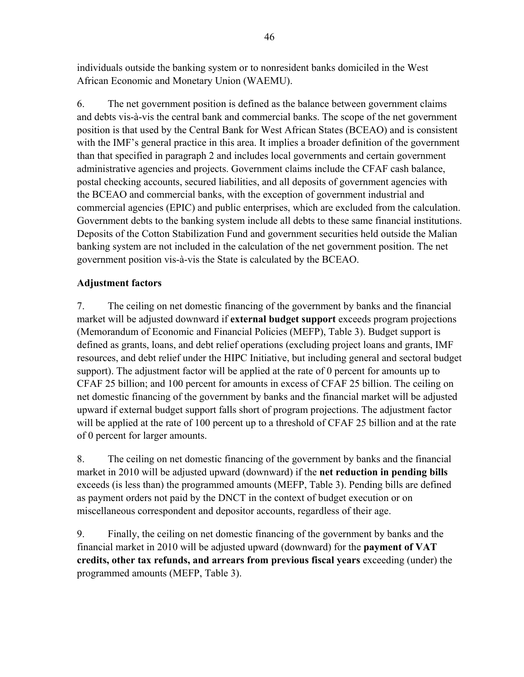individuals outside the banking system or to nonresident banks domiciled in the West African Economic and Monetary Union (WAEMU).

6. The net government position is defined as the balance between government claims and debts vis-à-vis the central bank and commercial banks. The scope of the net government position is that used by the Central Bank for West African States (BCEAO) and is consistent with the IMF's general practice in this area. It implies a broader definition of the government than that specified in paragraph 2 and includes local governments and certain government administrative agencies and projects. Government claims include the CFAF cash balance, postal checking accounts, secured liabilities, and all deposits of government agencies with the BCEAO and commercial banks, with the exception of government industrial and commercial agencies (EPIC) and public enterprises, which are excluded from the calculation. Government debts to the banking system include all debts to these same financial institutions. Deposits of the Cotton Stabilization Fund and government securities held outside the Malian banking system are not included in the calculation of the net government position. The net government position vis-à-vis the State is calculated by the BCEAO.

### **Adjustment factors**

7. The ceiling on net domestic financing of the government by banks and the financial market will be adjusted downward if **external budget support** exceeds program projections (Memorandum of Economic and Financial Policies (MEFP), Table 3). Budget support is defined as grants, loans, and debt relief operations (excluding project loans and grants, IMF resources, and debt relief under the HIPC Initiative, but including general and sectoral budget support). The adjustment factor will be applied at the rate of 0 percent for amounts up to CFAF 25 billion; and 100 percent for amounts in excess of CFAF 25 billion. The ceiling on net domestic financing of the government by banks and the financial market will be adjusted upward if external budget support falls short of program projections. The adjustment factor will be applied at the rate of 100 percent up to a threshold of CFAF 25 billion and at the rate of 0 percent for larger amounts.

8. The ceiling on net domestic financing of the government by banks and the financial market in 2010 will be adjusted upward (downward) if the **net reduction in pending bills**  exceeds (is less than) the programmed amounts (MEFP, Table 3). Pending bills are defined as payment orders not paid by the DNCT in the context of budget execution or on miscellaneous correspondent and depositor accounts, regardless of their age.

9. Finally, the ceiling on net domestic financing of the government by banks and the financial market in 2010 will be adjusted upward (downward) for the **payment of VAT credits, other tax refunds, and arrears from previous fiscal years** exceeding (under) the programmed amounts (MEFP, Table 3).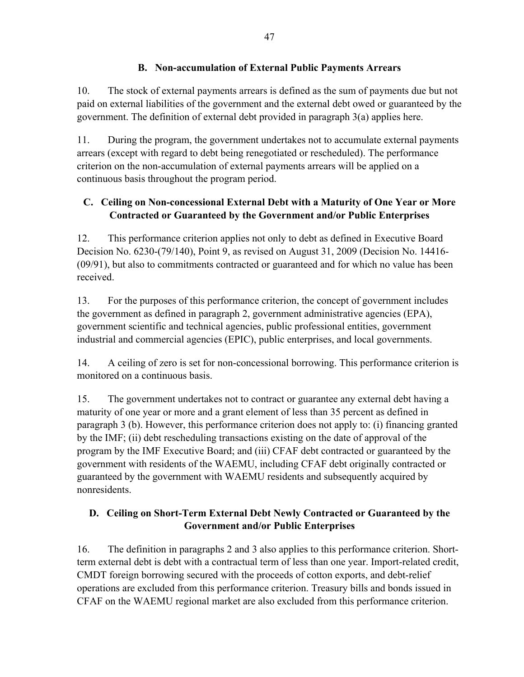### **B. Non-accumulation of External Public Payments Arrears**

10. The stock of external payments arrears is defined as the sum of payments due but not paid on external liabilities of the government and the external debt owed or guaranteed by the government. The definition of external debt provided in paragraph 3(a) applies here.

11. During the program, the government undertakes not to accumulate external payments arrears (except with regard to debt being renegotiated or rescheduled). The performance criterion on the non-accumulation of external payments arrears will be applied on a continuous basis throughout the program period.

## **C. Ceiling on Non-concessional External Debt with a Maturity of One Year or More Contracted or Guaranteed by the Government and/or Public Enterprises**

12. This performance criterion applies not only to debt as defined in Executive Board Decision No. 6230-(79/140), Point 9, as revised on August 31, 2009 (Decision No. 14416- (09/91), but also to commitments contracted or guaranteed and for which no value has been received.

13. For the purposes of this performance criterion, the concept of government includes the government as defined in paragraph 2, government administrative agencies (EPA), government scientific and technical agencies, public professional entities, government industrial and commercial agencies (EPIC), public enterprises, and local governments.

14. A ceiling of zero is set for non-concessional borrowing. This performance criterion is monitored on a continuous basis.

15. The government undertakes not to contract or guarantee any external debt having a maturity of one year or more and a grant element of less than 35 percent as defined in paragraph 3 (b). However, this performance criterion does not apply to: (i) financing granted by the IMF; (ii) debt rescheduling transactions existing on the date of approval of the program by the IMF Executive Board; and (iii) CFAF debt contracted or guaranteed by the government with residents of the WAEMU, including CFAF debt originally contracted or guaranteed by the government with WAEMU residents and subsequently acquired by nonresidents.

## **D. Ceiling on Short-Term External Debt Newly Contracted or Guaranteed by the Government and/or Public Enterprises**

16. The definition in paragraphs 2 and 3 also applies to this performance criterion. Shortterm external debt is debt with a contractual term of less than one year. Import-related credit, CMDT foreign borrowing secured with the proceeds of cotton exports, and debt-relief operations are excluded from this performance criterion. Treasury bills and bonds issued in CFAF on the WAEMU regional market are also excluded from this performance criterion.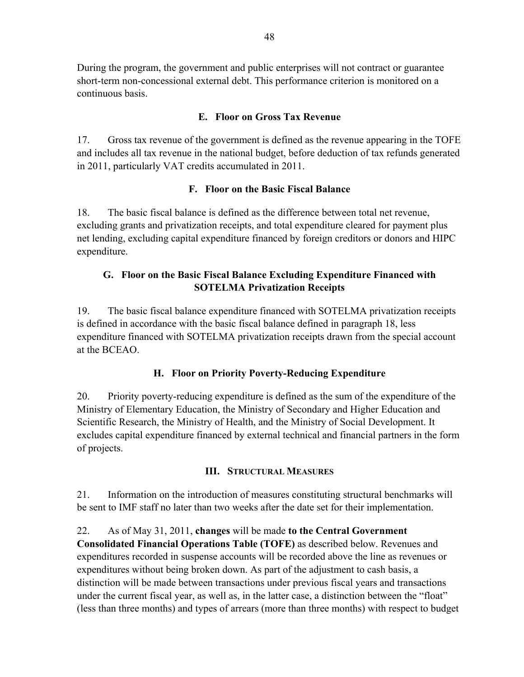During the program, the government and public enterprises will not contract or guarantee short-term non-concessional external debt. This performance criterion is monitored on a continuous basis.

### **E. Floor on Gross Tax Revenue**

17. Gross tax revenue of the government is defined as the revenue appearing in the TOFE and includes all tax revenue in the national budget, before deduction of tax refunds generated in 2011, particularly VAT credits accumulated in 2011.

### **F. Floor on the Basic Fiscal Balance**

18. The basic fiscal balance is defined as the difference between total net revenue, excluding grants and privatization receipts, and total expenditure cleared for payment plus net lending, excluding capital expenditure financed by foreign creditors or donors and HIPC expenditure.

### **G. Floor on the Basic Fiscal Balance Excluding Expenditure Financed with SOTELMA Privatization Receipts**

19. The basic fiscal balance expenditure financed with SOTELMA privatization receipts is defined in accordance with the basic fiscal balance defined in paragraph 18, less expenditure financed with SOTELMA privatization receipts drawn from the special account at the BCEAO.

### **H. Floor on Priority Poverty-Reducing Expenditure**

20. Priority poverty-reducing expenditure is defined as the sum of the expenditure of the Ministry of Elementary Education, the Ministry of Secondary and Higher Education and Scientific Research, the Ministry of Health, and the Ministry of Social Development. It excludes capital expenditure financed by external technical and financial partners in the form of projects.

#### **III. STRUCTURAL MEASURES**

21. Information on the introduction of measures constituting structural benchmarks will be sent to IMF staff no later than two weeks after the date set for their implementation.

### 22. As of May 31, 2011, **changes** will be made **to the Central Government**

**Consolidated Financial Operations Table (TOFE)** as described below. Revenues and expenditures recorded in suspense accounts will be recorded above the line as revenues or expenditures without being broken down. As part of the adjustment to cash basis, a distinction will be made between transactions under previous fiscal years and transactions under the current fiscal year, as well as, in the latter case, a distinction between the "float" (less than three months) and types of arrears (more than three months) with respect to budget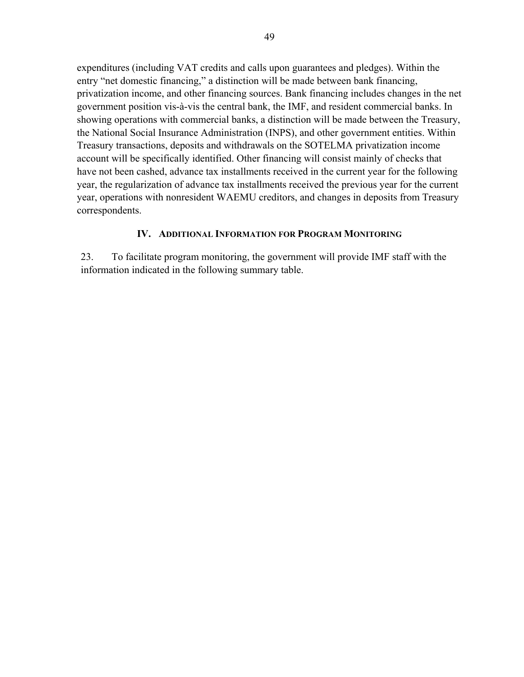expenditures (including VAT credits and calls upon guarantees and pledges). Within the entry "net domestic financing," a distinction will be made between bank financing, privatization income, and other financing sources. Bank financing includes changes in the net government position vis-à-vis the central bank, the IMF, and resident commercial banks. In showing operations with commercial banks, a distinction will be made between the Treasury, the National Social Insurance Administration (INPS), and other government entities. Within Treasury transactions, deposits and withdrawals on the SOTELMA privatization income account will be specifically identified. Other financing will consist mainly of checks that have not been cashed, advance tax installments received in the current year for the following year, the regularization of advance tax installments received the previous year for the current year, operations with nonresident WAEMU creditors, and changes in deposits from Treasury correspondents.

#### **IV. ADDITIONAL INFORMATION FOR PROGRAM MONITORING**

23. To facilitate program monitoring, the government will provide IMF staff with the information indicated in the following summary table.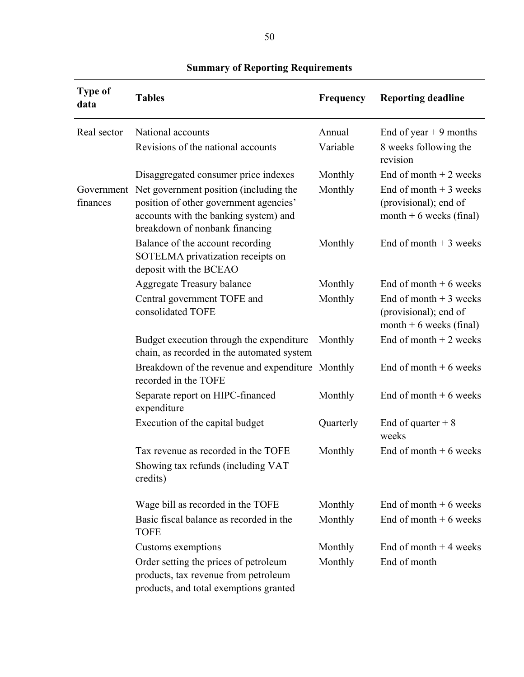| <b>Type of</b><br>data | <b>Tables</b>                                                                                                                                               | Frequency | <b>Reporting deadline</b>                                                    |
|------------------------|-------------------------------------------------------------------------------------------------------------------------------------------------------------|-----------|------------------------------------------------------------------------------|
| Real sector            | National accounts                                                                                                                                           | Annual    | End of year $+9$ months                                                      |
|                        | Revisions of the national accounts                                                                                                                          | Variable  | 8 weeks following the<br>revision                                            |
|                        | Disaggregated consumer price indexes                                                                                                                        | Monthly   | End of month $+2$ weeks                                                      |
| Government<br>finances | Net government position (including the<br>position of other government agencies'<br>accounts with the banking system) and<br>breakdown of nonbank financing | Monthly   | End of month $+3$ weeks<br>(provisional); end of<br>month $+6$ weeks (final) |
|                        | Balance of the account recording<br>SOTELMA privatization receipts on<br>deposit with the BCEAO                                                             | Monthly   | End of month $+3$ weeks                                                      |
|                        | <b>Aggregate Treasury balance</b>                                                                                                                           | Monthly   | End of month $+6$ weeks                                                      |
|                        | Central government TOFE and<br>consolidated TOFE                                                                                                            | Monthly   | End of month $+3$ weeks<br>(provisional); end of<br>month $+6$ weeks (final) |
|                        | Budget execution through the expenditure<br>chain, as recorded in the automated system                                                                      | Monthly   | End of month $+2$ weeks                                                      |
|                        | Breakdown of the revenue and expenditure Monthly<br>recorded in the TOFE                                                                                    |           | End of month $+6$ weeks                                                      |
|                        | Separate report on HIPC-financed<br>expenditure                                                                                                             | Monthly   | End of month $+6$ weeks                                                      |
|                        | Execution of the capital budget                                                                                                                             | Quarterly | End of quarter $+8$<br>weeks                                                 |
|                        | Tax revenue as recorded in the TOFE<br>Showing tax refunds (including VAT<br>credits)                                                                       | Monthly   | End of month $+6$ weeks                                                      |
|                        | Wage bill as recorded in the TOFE                                                                                                                           | Monthly   | End of month $+6$ weeks                                                      |
|                        | Basic fiscal balance as recorded in the<br><b>TOFE</b>                                                                                                      | Monthly   | End of month $+6$ weeks                                                      |
|                        | Customs exemptions                                                                                                                                          | Monthly   | End of month $+4$ weeks                                                      |
|                        | Order setting the prices of petroleum<br>products, tax revenue from petroleum<br>products, and total exemptions granted                                     | Monthly   | End of month                                                                 |

# **Summary of Reporting Requirements**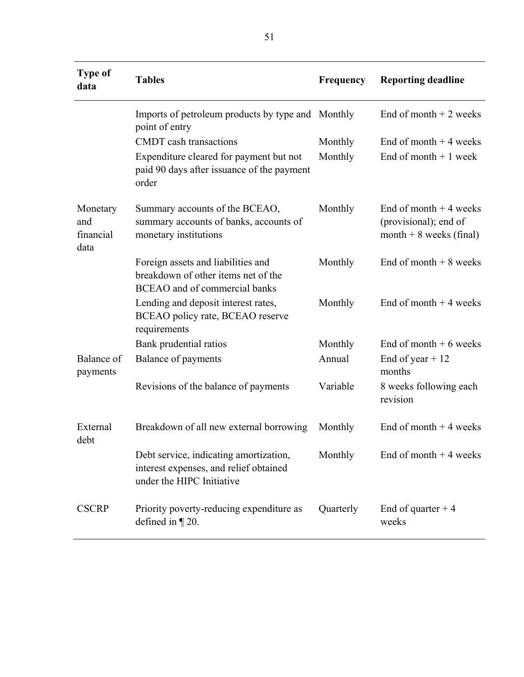| <b>Type of</b><br>data               | <b>Tables</b>                                                                                                     | Frequency | <b>Reporting deadline</b>                                                    |
|--------------------------------------|-------------------------------------------------------------------------------------------------------------------|-----------|------------------------------------------------------------------------------|
|                                      | Imports of petroleum products by type and Monthly<br>point of entry                                               |           | End of month $+2$ weeks                                                      |
|                                      | <b>CMDT</b> cash transactions                                                                                     | Monthly   | End of month $+4$ weeks                                                      |
|                                      | Expenditure cleared for payment but not<br>paid 90 days after issuance of the payment<br>order                    | Monthly   | End of month $+1$ week                                                       |
| Monetary<br>and<br>financial<br>data | Summary accounts of the BCEAO,<br>summary accounts of banks, accounts of<br>monetary institutions                 | Monthly   | End of month $+4$ weeks<br>(provisional); end of<br>month $+8$ weeks (final) |
|                                      | Foreign assets and liabilities and<br>breakdown of other items net of the<br><b>BCEAO</b> and of commercial banks | Monthly   | End of month $+8$ weeks                                                      |
|                                      | Lending and deposit interest rates,<br>BCEAO policy rate, BCEAO reserve<br>requirements                           | Monthly   | End of month $+4$ weeks                                                      |
|                                      | Bank prudential ratios                                                                                            | Monthly   | End of month $+6$ weeks                                                      |
| Balance of<br>payments               | Balance of payments                                                                                               | Annual    | End of year $+12$<br>months                                                  |
|                                      | Revisions of the balance of payments                                                                              | Variable  | 8 weeks following each<br>revision                                           |
| External<br>debt                     | Breakdown of all new external borrowing                                                                           | Monthly   | End of month $+4$ weeks                                                      |
|                                      | Debt service, indicating amortization,<br>interest expenses, and relief obtained<br>under the HIPC Initiative     | Monthly   | End of month $+4$ weeks                                                      |
| <b>CSCRP</b>                         | Priority poverty-reducing expenditure as<br>defined in $\P$ 20.                                                   | Quarterly | End of quarter $+4$<br>weeks                                                 |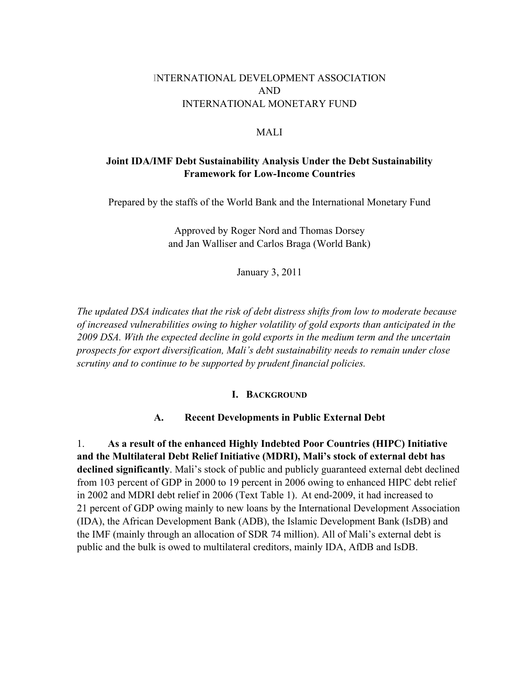### INTERNATIONAL DEVELOPMENT ASSOCIATION AND INTERNATIONAL MONETARY FUND

#### MALI

### **Joint IDA/IMF Debt Sustainability Analysis Under the Debt Sustainability Framework for Low-Income Countries**

Prepared by the staffs of the World Bank and the International Monetary Fund

Approved by Roger Nord and Thomas Dorsey and Jan Walliser and Carlos Braga (World Bank)

January 3, 2011

*The updated DSA indicates that the risk of debt distress shifts from low to moderate because of increased vulnerabilities owing to higher volatility of gold exports than anticipated in the 2009 DSA. With the expected decline in gold exports in the medium term and the uncertain prospects for export diversification, Mali's debt sustainability needs to remain under close scrutiny and to continue to be supported by prudent financial policies.* 

#### **I. BACKGROUND**

#### **A. Recent Developments in Public External Debt**

1. **As a result of the enhanced Highly Indebted Poor Countries (HIPC) Initiative and the Multilateral Debt Relief Initiative (MDRI), Mali's stock of external debt has declined significantly**. Mali's stock of public and publicly guaranteed external debt declined from 103 percent of GDP in 2000 to 19 percent in 2006 owing to enhanced HIPC debt relief in 2002 and MDRI debt relief in 2006 (Text Table 1). At end-2009, it had increased to 21 percent of GDP owing mainly to new loans by the International Development Association (IDA), the African Development Bank (ADB), the Islamic Development Bank (IsDB) and the IMF (mainly through an allocation of SDR 74 million). All of Mali's external debt is public and the bulk is owed to multilateral creditors, mainly IDA, AfDB and IsDB.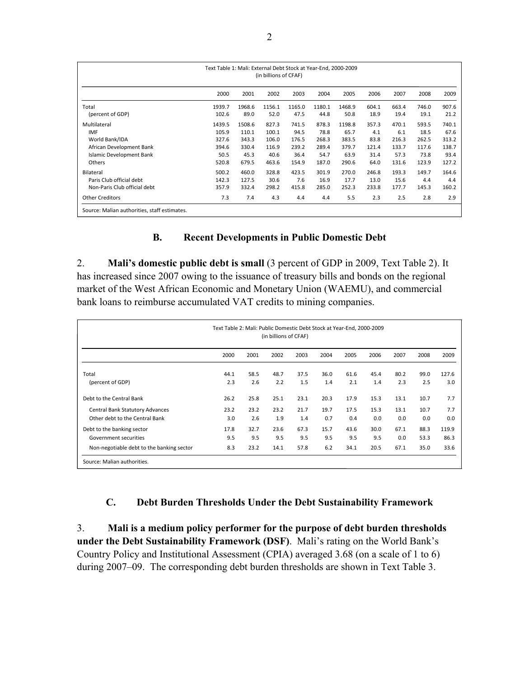| Text Table 1: Mali: External Debt Stock at Year-End, 2000-2009<br>(in billions of CFAF) |        |        |        |        |        |        |       |       |       |       |  |  |  |
|-----------------------------------------------------------------------------------------|--------|--------|--------|--------|--------|--------|-------|-------|-------|-------|--|--|--|
|                                                                                         | 2000   | 2001   | 2002   | 2003   | 2004   | 2005   | 2006  | 2007  | 2008  | 2009  |  |  |  |
| Total                                                                                   | 1939.7 | 1968.6 | 1156.1 | 1165.0 | 1180.1 | 1468.9 | 604.1 | 663.4 | 746.0 | 907.6 |  |  |  |
| (percent of GDP)                                                                        | 102.6  | 89.0   | 52.0   | 47.5   | 44.8   | 50.8   | 18.9  | 19.4  | 19.1  | 21.2  |  |  |  |
| Multilateral                                                                            | 1439.5 | 1508.6 | 827.3  | 741.5  | 878.3  | 1198.8 | 357.3 | 470.1 | 593.5 | 740.1 |  |  |  |
| <b>IMF</b>                                                                              | 105.9  | 110.1  | 100.1  | 94.5   | 78.8   | 65.7   | 4.1   | 6.1   | 18.5  | 67.6  |  |  |  |
| World Bank/IDA                                                                          | 327.6  | 343.3  | 106.0  | 176.5  | 268.3  | 383.5  | 83.8  | 216.3 | 262.5 | 313.2 |  |  |  |
| African Development Bank                                                                | 394.6  | 330.4  | 116.9  | 239.2  | 289.4  | 379.7  | 121.4 | 133.7 | 117.6 | 138.7 |  |  |  |
| <b>Islamic Development Bank</b>                                                         | 50.5   | 45.3   | 40.6   | 36.4   | 54.7   | 63.9   | 31.4  | 57.3  | 73.8  | 93.4  |  |  |  |
| Others                                                                                  | 520.8  | 679.5  | 463.6  | 154.9  | 187.0  | 290.6  | 64.0  | 131.6 | 123.9 | 127.2 |  |  |  |
| Bilateral                                                                               | 500.2  | 460.0  | 328.8  | 423.5  | 301.9  | 270.0  | 246.8 | 193.3 | 149.7 | 164.6 |  |  |  |
| Paris Club official debt                                                                | 142.3  | 127.5  | 30.6   | 7.6    | 16.9   | 17.7   | 13.0  | 15.6  | 4.4   | 4.4   |  |  |  |
| Non-Paris Club official debt                                                            | 357.9  | 332.4  | 298.2  | 415.8  | 285.0  | 252.3  | 233.8 | 177.7 | 145.3 | 160.2 |  |  |  |
| <b>Other Creditors</b><br>Source: Malian authorities, staff estimates.                  | 7.3    | 7.4    | 4.3    | 4.4    | 4.4    | 5.5    | 2.3   | 2.5   | 2.8   | 2.9   |  |  |  |

#### **B. Recent Developments in Public Domestic Debt**

2. **Mali's domestic public debt is small** (3 percent of GDP in 2009, Text Table 2). It has increased since 2007 owing to the issuance of treasury bills and bonds on the regional market of the West African Economic and Monetary Union (WAEMU), and commercial bank loans to reimburse accumulated VAT credits to mining companies.

| Text Table 2: Mali: Public Domestic Debt Stock at Year-End, 2000-2009<br>(in billions of CFAF)   |                    |                     |                     |                     |                    |                     |                     |                     |                      |                       |  |  |
|--------------------------------------------------------------------------------------------------|--------------------|---------------------|---------------------|---------------------|--------------------|---------------------|---------------------|---------------------|----------------------|-----------------------|--|--|
|                                                                                                  | 2000               | 2001                | 2002                | 2003                | 2004               | 2005                | 2006                | 2007                | 2008                 | 2009                  |  |  |
| Total<br>(percent of GDP)                                                                        | 44.1<br>2.3        | 58.5<br>2.6         | 48.7<br>2.2         | 37.5<br>1.5         | 36.0<br>1.4        | 61.6<br>2.1         | 45.4<br>1.4         | 80.2<br>2.3         | 99.0<br>2.5          | 127.6<br>3.0          |  |  |
| Debt to the Central Bank                                                                         | 26.2               | 25.8                | 25.1                | 23.1                | 20.3               | 17.9                | 15.3                | 13.1                | 10.7                 | 7.7                   |  |  |
| <b>Central Bank Statutory Advances</b><br>Other debt to the Central Bank                         | 23.2<br>3.0        | 23.2<br>2.6         | 23.2<br>1.9         | 21.7<br>1.4         | 19.7<br>0.7        | 17.5<br>0.4         | 15.3<br>0.0         | 13.1<br>0.0         | 10.7<br>0.0          | 7.7<br>0.0            |  |  |
| Debt to the banking sector<br>Government securities<br>Non-negotiable debt to the banking sector | 17.8<br>9.5<br>8.3 | 32.7<br>9.5<br>23.2 | 23.6<br>9.5<br>14.1 | 67.3<br>9.5<br>57.8 | 15.7<br>9.5<br>6.2 | 43.6<br>9.5<br>34.1 | 30.0<br>9.5<br>20.5 | 67.1<br>0.0<br>67.1 | 88.3<br>53.3<br>35.0 | 119.9<br>86.3<br>33.6 |  |  |
| Source: Malian authorities.                                                                      |                    |                     |                     |                     |                    |                     |                     |                     |                      |                       |  |  |

#### **C. Debt Burden Thresholds Under the Debt Sustainability Framework**

3. **Mali is a medium policy performer for the purpose of debt burden thresholds under the Debt Sustainability Framework (DSF)**. Mali's rating on the World Bank's Country Policy and Institutional Assessment (CPIA) averaged 3.68 (on a scale of 1 to 6) during 2007–09. The corresponding debt burden thresholds are shown in Text Table 3.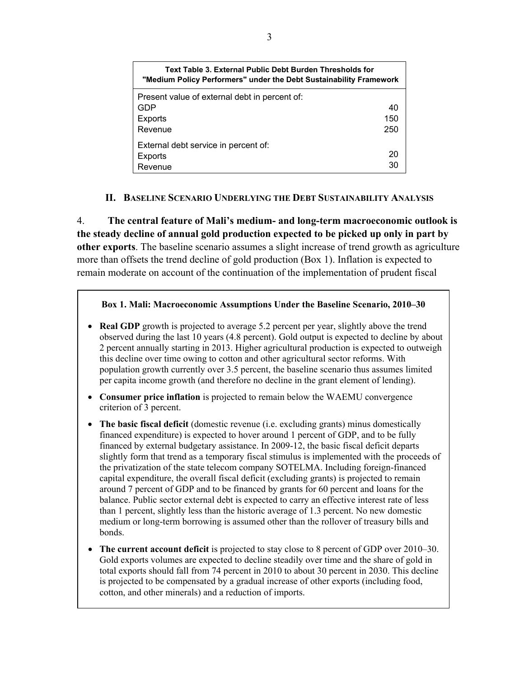| Text Table 3. External Public Debt Burden Thresholds for<br>"Medium Policy Performers" under the Debt Sustainability Framework |     |  |  |  |  |  |
|--------------------------------------------------------------------------------------------------------------------------------|-----|--|--|--|--|--|
| Present value of external debt in percent of:                                                                                  |     |  |  |  |  |  |
| GDP                                                                                                                            | 40  |  |  |  |  |  |
| Exports                                                                                                                        | 150 |  |  |  |  |  |
| Revenue                                                                                                                        | 250 |  |  |  |  |  |
| External debt service in percent of:                                                                                           |     |  |  |  |  |  |
| Exports                                                                                                                        | -20 |  |  |  |  |  |
| Revenue                                                                                                                        | 30  |  |  |  |  |  |

#### **II. BASELINE SCENARIO UNDERLYING THE DEBT SUSTAINABILITY ANALYSIS**

4. **The central feature of Mali's medium- and long-term macroeconomic outlook is the steady decline of annual gold production expected to be picked up only in part by other exports**. The baseline scenario assumes a slight increase of trend growth as agriculture more than offsets the trend decline of gold production (Box 1). Inflation is expected to remain moderate on account of the continuation of the implementation of prudent fiscal

#### **Box 1. Mali: Macroeconomic Assumptions Under the Baseline Scenario, 2010–30**

- **Real GDP** growth is projected to average 5.2 percent per year, slightly above the trend observed during the last 10 years (4.8 percent). Gold output is expected to decline by about 2 percent annually starting in 2013. Higher agricultural production is expected to outweigh this decline over time owing to cotton and other agricultural sector reforms. With population growth currently over 3.5 percent, the baseline scenario thus assumes limited per capita income growth (and therefore no decline in the grant element of lending).
- **Consumer price inflation** is projected to remain below the WAEMU convergence criterion of 3 percent.
- **The basic fiscal deficit** (domestic revenue (i.e. excluding grants) minus domestically financed expenditure) is expected to hover around 1 percent of GDP, and to be fully financed by external budgetary assistance. In 2009-12, the basic fiscal deficit departs slightly form that trend as a temporary fiscal stimulus is implemented with the proceeds of the privatization of the state telecom company SOTELMA. Including foreign-financed capital expenditure, the overall fiscal deficit (excluding grants) is projected to remain around 7 percent of GDP and to be financed by grants for 60 percent and loans for the balance. Public sector external debt is expected to carry an effective interest rate of less than 1 percent, slightly less than the historic average of 1.3 percent. No new domestic medium or long-term borrowing is assumed other than the rollover of treasury bills and bonds.
- **The current account deficit** is projected to stay close to 8 percent of GDP over 2010–30. Gold exports volumes are expected to decline steadily over time and the share of gold in total exports should fall from 74 percent in 2010 to about 30 percent in 2030. This decline is projected to be compensated by a gradual increase of other exports (including food, cotton, and other minerals) and a reduction of imports.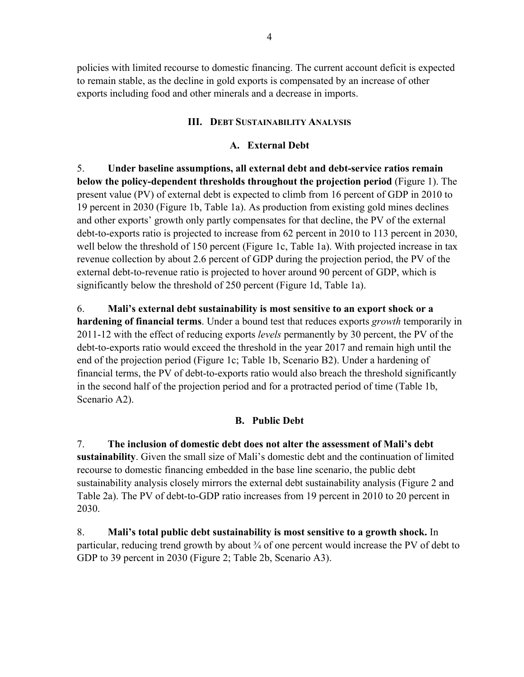policies with limited recourse to domestic financing. The current account deficit is expected to remain stable, as the decline in gold exports is compensated by an increase of other exports including food and other minerals and a decrease in imports.

#### **III. DEBT SUSTAINABILITY ANALYSIS**

### **A. External Debt**

5. **Under baseline assumptions, all external debt and debt-service ratios remain below the policy-dependent thresholds throughout the projection period** (Figure 1). The present value (PV) of external debt is expected to climb from 16 percent of GDP in 2010 to 19 percent in 2030 (Figure 1b, Table 1a). As production from existing gold mines declines and other exports' growth only partly compensates for that decline, the PV of the external debt-to-exports ratio is projected to increase from 62 percent in 2010 to 113 percent in 2030, well below the threshold of 150 percent (Figure 1c, Table 1a). With projected increase in tax revenue collection by about 2.6 percent of GDP during the projection period, the PV of the external debt-to-revenue ratio is projected to hover around 90 percent of GDP, which is significantly below the threshold of 250 percent (Figure 1d, Table 1a).

6. **Mali's external debt sustainability is most sensitive to an export shock or a hardening of financial terms**. Under a bound test that reduces exports *growth* temporarily in 2011-12 with the effect of reducing exports *levels* permanently by 30 percent, the PV of the debt-to-exports ratio would exceed the threshold in the year 2017 and remain high until the end of the projection period (Figure 1c; Table 1b, Scenario B2). Under a hardening of financial terms, the PV of debt-to-exports ratio would also breach the threshold significantly in the second half of the projection period and for a protracted period of time (Table 1b, Scenario A2).

### **B. Public Debt**

7. **The inclusion of domestic debt does not alter the assessment of Mali's debt sustainability**. Given the small size of Mali's domestic debt and the continuation of limited recourse to domestic financing embedded in the base line scenario, the public debt sustainability analysis closely mirrors the external debt sustainability analysis (Figure 2 and Table 2a). The PV of debt-to-GDP ratio increases from 19 percent in 2010 to 20 percent in 2030.

8. **Mali's total public debt sustainability is most sensitive to a growth shock.** In particular, reducing trend growth by about  $\frac{3}{4}$  of one percent would increase the PV of debt to GDP to 39 percent in 2030 (Figure 2; Table 2b, Scenario A3).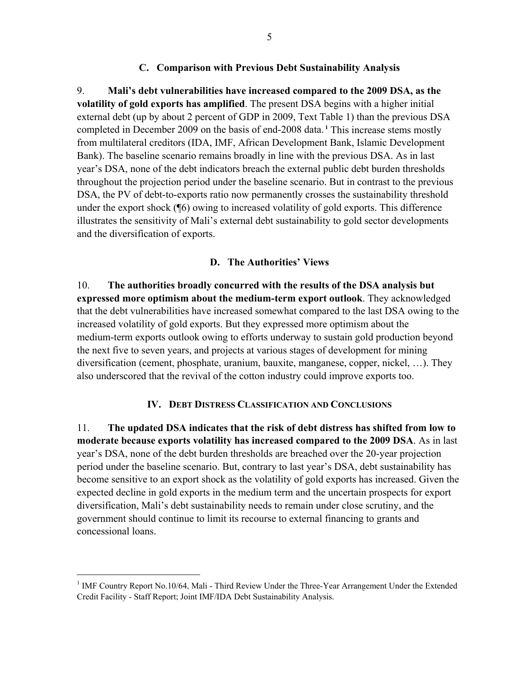#### **C. Comparison with Previous Debt Sustainability Analysis**

9. **Mali's debt vulnerabilities have increased compared to the 2009 DSA, as the volatility of gold exports has amplified**. The present DSA begins with a higher initial external debt (up by about 2 percent of GDP in 2009, Text Table 1) than the previous DSA completed in December 2009 on the basis of end-2008 data.**<sup>1</sup>** This increase stems mostly from multilateral creditors (IDA, IMF, African Development Bank, Islamic Development Bank). The baseline scenario remains broadly in line with the previous DSA. As in last year's DSA, none of the debt indicators breach the external public debt burden thresholds throughout the projection period under the baseline scenario. But in contrast to the previous DSA, the PV of debt-to-exports ratio now permanently crosses the sustainability threshold under the export shock (¶6) owing to increased volatility of gold exports. This difference illustrates the sensitivity of Mali's external debt sustainability to gold sector developments and the diversification of exports.

#### **D. The Authorities' Views**

10. **The authorities broadly concurred with the results of the DSA analysis but expressed more optimism about the medium-term export outlook**. They acknowledged that the debt vulnerabilities have increased somewhat compared to the last DSA owing to the increased volatility of gold exports. But they expressed more optimism about the medium-term exports outlook owing to efforts underway to sustain gold production beyond the next five to seven years, and projects at various stages of development for mining diversification (cement, phosphate, uranium, bauxite, manganese, copper, nickel, …). They also underscored that the revival of the cotton industry could improve exports too.

#### **IV. DEBT DISTRESS CLASSIFICATION AND CONCLUSIONS**

11. **The updated DSA indicates that the risk of debt distress has shifted from low to moderate because exports volatility has increased compared to the 2009 DSA**. As in last year's DSA, none of the debt burden thresholds are breached over the 20-year projection period under the baseline scenario. But, contrary to last year's DSA, debt sustainability has become sensitive to an export shock as the volatility of gold exports has increased. Given the expected decline in gold exports in the medium term and the uncertain prospects for export diversification, Mali's debt sustainability needs to remain under close scrutiny, and the government should continue to limit its recourse to external financing to grants and concessional loans.

<u>.</u>

<sup>&</sup>lt;sup>1</sup> IMF Country Report No.10/64, Mali - Third Review Under the Three-Year Arrangement Under the Extended Credit Facility - Staff Report; Joint IMF/IDA Debt Sustainability Analysis.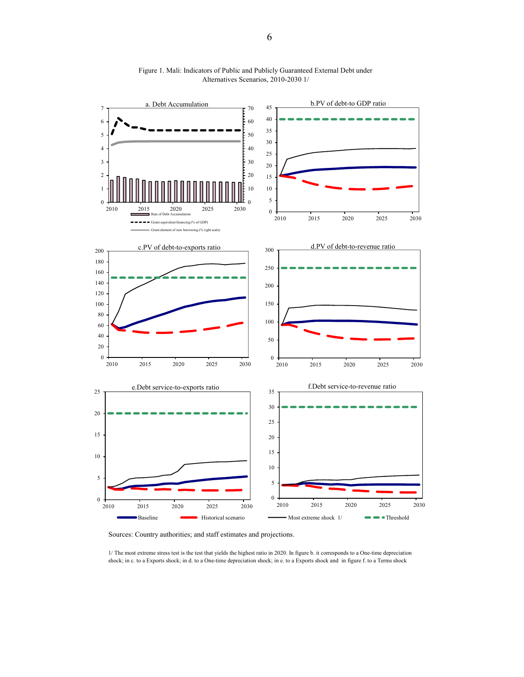

Figure 1. Mali: Indicators of Public and Publicly Guaranteed External Debt under Alternatives Scenarios, 2010-2030 1/

Sources: Country authorities; and staff estimates and projections.

1/ The most extreme stress test is the test that yields the highest ratio in 2020. In figure b. it corresponds to a One-time depreciation shock; in c. to a Exports shock; in d. to a One-time depreciation shock; in e. to a Exports shock and in figure f. to a Terms shock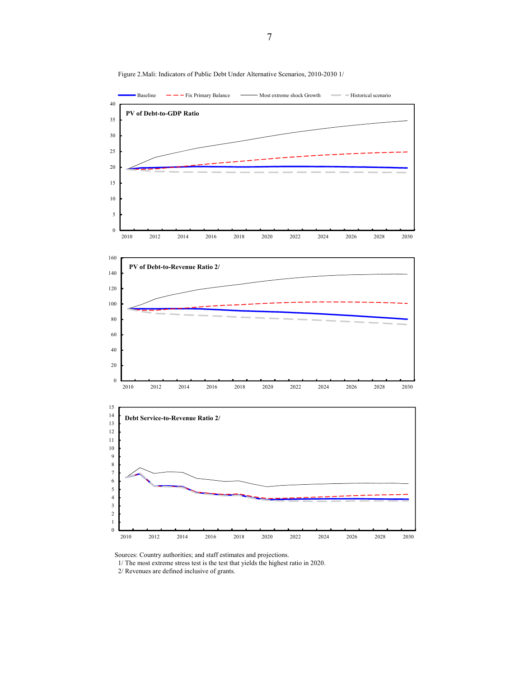

Figure 2.Mali: Indicators of Public Debt Under Alternative Scenarios, 2010-2030 1/

Sources: Country authorities; and staff estimates and projections.

1/ The most extreme stress test is the test that yields the highest ratio in 2020.

2/ Revenues are defined inclusive of grants.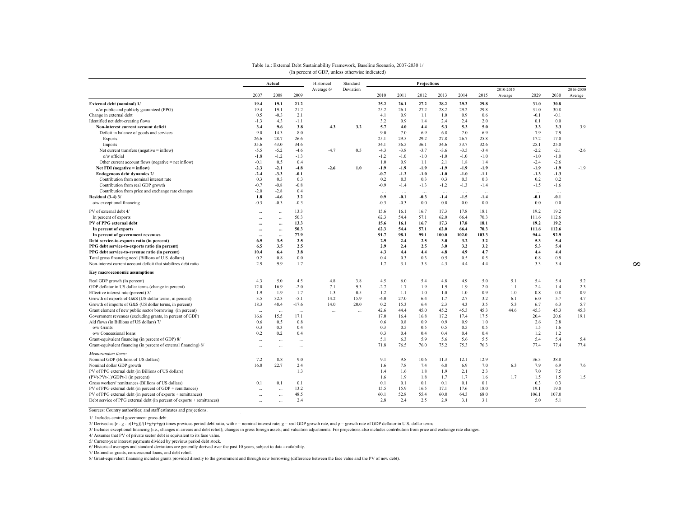|                                                                                                                       |                          | Actual               |                      | Historical | Standard  | <b>Projections</b> |              |              |              |              |              |                      |               |               |                      |
|-----------------------------------------------------------------------------------------------------------------------|--------------------------|----------------------|----------------------|------------|-----------|--------------------|--------------|--------------|--------------|--------------|--------------|----------------------|---------------|---------------|----------------------|
|                                                                                                                       | 2007                     | 2008                 | 2009                 | Average 6/ | Deviation | 2010               | 2011         | 2012         | 2013         | 2014         | 2015         | 2010-2015<br>Average | 2029          | 2030          | 2016-2030<br>Average |
| External debt (nominal) 1/                                                                                            | 19.4                     | 19.1                 | 21.2                 |            |           | 25.2               | 26.1         | 27.2         | 28.2         | 29.2         | 29.8         |                      | 31.0          | 30.8          |                      |
| o/w public and publicly guaranteed (PPG)                                                                              | 19.4                     | 19.1                 | 21.2                 |            |           | 25.2               | 26.1         | 27.2         | 28.2         | 29.2         | 29.8         |                      | 31.0          | 30.8          |                      |
| Change in external debt                                                                                               | 0.5                      | $-0.3$               | 2.1                  |            |           | 4.1                | 0.9          | 1.1          | 1.0          | 0.9          | 0.6          |                      | $-0.1$        | $-0.1$        |                      |
| Identified net debt-creating flows                                                                                    | $-1.3$                   | 4.3                  | $-1.1$               |            |           | 3.2                | 0.9          | 1.4          | 2.4          | 2.4          | 2.0          |                      | 0.1           | 0.0           |                      |
| Non-interest current account deficit                                                                                  | 3.4                      | 9.6                  | 3.8                  | 4.3        | 3.2       | 5.7                | 4.0          | 4.4          | 5.3          | 5.3          | 5.0          |                      | 3.3           | 3.3           | 3.9                  |
| Deficit in balance of goods and services                                                                              | 9.0                      | 14.3                 | 8.0                  |            |           | 9.0                | 7.0          | 6.9          | 6.8          | 7.0          | 6.9          |                      | 7.9           | 7.9           |                      |
| <b>Exports</b>                                                                                                        | 26.6                     | 28.7                 | 26.6                 |            |           | 25.1               | 29.5         | 29.2         | 27.8         | 26.7         | 25.8         |                      | 17.2          | 17.0          |                      |
| Imports                                                                                                               | 35.6                     | 43.0                 | 34.6                 |            |           | 34.1               | 36.5         | 36.1         | 34.6         | 33.7         | 32.6         |                      | 25.1          | 25.0          |                      |
| Net current transfers (negative $=$ inflow)                                                                           | $-5.5$                   | $-5.2$               | $-4.6$               | $-4.7$     | 0.5       | $-4.3$             | $-3.8$       | $-3.7$       | $-3.6$       | $-3.5$       | $-3.4$       |                      | $-2.2$        | $-2.1$        | $-2.6$               |
| o/w official                                                                                                          | $-1.8$                   | $-1.2$               | $-1.3$               |            |           | $-1.2$             | $-1.0$       | $-1.0$       | $-1.0$       | $-1.0$       | $-1.0$       |                      | $-1.0$        | $-1.0$        |                      |
| Other current account flows (negative $=$ net inflow)                                                                 | $-0.1$                   | 0.5                  | 0.4                  |            |           | 1.0                | 0.9          | 1.1          | 2.1          | 1.8          | 1.4          |                      | $-2.4$        | $-2.6$        |                      |
| Net FDI (negative $=$ inflow)                                                                                         | $-2.3$                   | $-2.1$               | $-4.8$               | $-2.6$     | 1.0       | $-1.9$             | $-1.9$       | $-1.9$       | $-1.9$       | $-1.9$       | $-1.9$       |                      | $-1.9$        | $-1.9$        | $-1.9$               |
| Endogenous debt dynamics 2/                                                                                           | $-2.4$                   | $-3.3$               | $-0.1$               |            |           | $-0.7$             | $-1.2$       | $-1.0$       | $-1.0$       | $-1.0$       | $-1.1$       |                      | $-1.3$        | $-1.3$        |                      |
| Contribution from nominal interest rate                                                                               | 0.3                      | 0.3                  | 0.3                  |            |           | 0.2                | 0.3          | 0.3          | 0.3          | 0.3          | 0.3          |                      | 0.2           | 0.2           |                      |
| Contribution from real GDP growth                                                                                     | $-0.7$                   | $-0.8$               | $-0.8$               |            |           | $-0.9$             | $-1.4$       | $-1.3$       | $-1.2$       | $-1.3$       | $-1.4$       |                      | $-1.5$        | $-1.6$        |                      |
| Contribution from price and exchange rate changes                                                                     | $-2.0$                   | $-2.8$               | 0.4                  |            |           | $\ddotsc$          | $\ldots$     | $\ldots$     | $\ldots$     | $\cdots$     | $\ldots$     |                      | $\cdots$      | $\cdots$      |                      |
| <b>Residual (3-4) 3/</b>                                                                                              | 1.8                      | $-4.6$               | 3.2                  |            |           | 0.9                | $-0.1$       | $-0.3$       | $-1.4$       | $-1.5$       | $-1.4$       |                      | $-0.1$        | $-0.1$        |                      |
| o/w exceptional financing                                                                                             | $-0.3$                   | $-0.3$               | $-0.3$               |            |           | $-0.3$             | $-0.3$       | 0.0          | 0.0          | 0.0          | 0.0          |                      | 0.0           | 0.0           |                      |
|                                                                                                                       |                          |                      |                      |            |           |                    |              |              |              |              |              |                      |               |               |                      |
| PV of external debt 4/                                                                                                | $\ddotsc$                | $\ddotsc$            | 13.3                 |            |           | 15.6               | 16.1         | 16.7         | 17.3         | 17.8         | 18.1         |                      | 19.2          | 19.2          |                      |
| In percent of exports                                                                                                 |                          |                      | 50.3                 |            |           | 62.3<br>15.6       | 54.4<br>16.1 | 57.1         | 62.0<br>17.3 | 66.4<br>17.8 | 70.3         |                      | 111.6<br>19.2 | 112.6<br>19.2 |                      |
| PV of PPG external debt                                                                                               |                          |                      | 13.3<br>50.3         |            |           | 62.3               | 54.4         | 16.7<br>57.1 | 62.0         | 66.4         | 18.1<br>70.3 |                      | 111.6         | 112.6         |                      |
| In percent of exports                                                                                                 |                          | $\cdots$             | 77.9                 |            |           |                    | 98.1         |              | 100.0        | 102.0        | 103.3        |                      |               | 92.9          |                      |
| In percent of government revenues<br>Debt service-to-exports ratio (in percent)                                       | 6.5                      | <br>3.5              | 2.5                  |            |           | 91.7<br>2.9        | 2.4          | 99.1<br>2.5  | 3.0          | 3.2          | 3.2          |                      | 94.4<br>5.3   | 5.4           |                      |
| PPG debt service-to-exports ratio (in percent)                                                                        | 6.5                      | 3.5                  | 2.5                  |            |           | 2.9                | 2.4          | 2.5          | 3.0          | 3.2          | 3.2          |                      | 5.3           | 5.4           |                      |
| PPG debt service-to-revenue ratio (in percent)                                                                        | 10.4                     | 6.4                  | 3.8                  |            |           | 4.3                | 4.4          | 4.4          | 4.8          | 4.9          | 4.7          |                      | 4.4           | 4.4           |                      |
| Total gross financing need (Billions of U.S. dollars)                                                                 | 0.2                      | 0.8                  | 0.0                  |            |           | 0.4                | 0.3          | 0.3          | 0.5          | 0.5          | 0.5          |                      | 0.8           | 0.9           |                      |
| Non-interest current account deficit that stabilizes debt ratio                                                       | 2.9                      | 9.9                  | 1.7                  |            |           | 1.7                | 3.1          | 3.3          | 4.3          | 4.4          | 4.4          |                      | 3.3           | 3.4           |                      |
|                                                                                                                       |                          |                      |                      |            |           |                    |              |              |              |              |              |                      |               |               |                      |
| Key macroeconomic assumptions                                                                                         |                          |                      |                      |            |           |                    |              |              |              |              |              |                      |               |               |                      |
| Real GDP growth (in percent)                                                                                          | 4.3                      | 5.0                  | 4.5                  | 4.8        | 3.8       | 4.5                | 6.0          | 5.4          | 4.8          | 4.9          | 5.0          | 5.1                  | 5.4           | 5.4           | 5.2                  |
| GDP deflator in US dollar terms (change in percent)                                                                   | 12.0                     | 16.9                 | $-2.0$               | 7.1        | 9.3       | $-2.7$             | 1.7          | 1.9          | 1.9          | 1.9          | 2.0          | 1.1                  | 2.4           | 1.4           | 2.3                  |
| Effective interest rate (percent) 5/                                                                                  | 1.9                      | 1.9                  | 1.7                  | 1.3        | 0.5       | 1.2                | 1.1          | 1.0          | 1.0          | 1.0          | 0.9          | 1.0                  | 0.8           | 0.8           | 0.9                  |
| Growth of exports of G&S (US dollar terms, in percent)                                                                | 3.5                      | 32.3                 | $-5.1$               | 14.2       | 15.9      | $-4.0$             | 27.0         | 6.4          | 1.7          | 2.7          | 3.2          | 6.1                  | 6.0           | 5.7           | 4.7                  |
| Growth of imports of G&S (US dollar terms, in percent)                                                                | 18.3                     | 48.4                 | $-17.6$              | 14.0       | 20.0      | 0.2                | 15.3         | 6.4          | 2.3          | 4.3          | 3.5          | 5.3                  | 6.7           | 6.3           | 5.7                  |
| Grant element of new public sector borrowing (in percent)                                                             | $\overline{\phantom{a}}$ | $\cdots$             | $\cdots$             | $\cdots$   | $\cdots$  | 42.6               | 44.4         | 45.0         | 45.2         | 45.3         | 45.3         | 44.6                 | 45.3          | 45.3          | 45.3                 |
| Government revenues (excluding grants, in percent of GDP)                                                             | 16.6                     | 15.5                 | 17.1                 |            |           | 17.0               | 16.4         | 16.8<br>0.9  | 17.2<br>0.9  | 17.4         | 17.5         |                      | 20.4<br>2.6   | 20.6          | 19.1                 |
| Aid flows (in Billions of US dollars) 7/                                                                              | 0.6<br>0.3               | 0.5<br>0.3           | 0.8<br>0.4           |            |           | 0.6<br>0.3         | 0.8<br>0.5   | 0.5          | 0.5          | 0.9<br>0.5   | 1.0<br>0.5   |                      | 1.5           | 2.8<br>1.6    |                      |
| o/w Grants<br>o/w Concessional loans                                                                                  | 0.2                      | 0.2                  | 0.4                  |            |           | 0.3                | 0.4          | 0.4          | 0.4          | 0.4          | 0.4          |                      | 1.2           | 1.2           |                      |
|                                                                                                                       |                          |                      |                      |            |           | 5.1                | 6.3          | 5.9          | 5.6          | 5.6          | 5.5          |                      | 5.4           | 5.4           | 5.4                  |
| Grant-equivalent financing (in percent of GDP) 8/<br>Grant-equivalent financing (in percent of external financing) 8/ | $\cdots$<br>$\cdots$     | $\cdots$<br>$\cdots$ | $\cdots$<br>$\cdots$ |            |           | 71.8               | 76.5         | 76.0         | 75.2         | 75.3         | 76.3         |                      | 77.4          | 77.4          | 77.4                 |
| Memorandum items:                                                                                                     |                          |                      |                      |            |           |                    |              |              |              |              |              |                      |               |               |                      |
| Nominal GDP (Billions of US dollars)                                                                                  | 7.2                      | 8.8                  | 9.0                  |            |           | 9.1                | 9.8          | 10.6         | 11.3         | 12.1         | 12.9         |                      | 36.3          | 38.8          |                      |
| Nominal dollar GDP growth                                                                                             | 16.8                     | 22.7                 | 2.4                  |            |           | 1.6                | 7.8          | 7.4          | 6.8          | 6.9          | 7.0          | 6.3                  | 7.9           | 6.9           | 7.6                  |
| PV of PPG external debt (in Billions of US dollars)                                                                   |                          |                      | 1.3                  |            |           | 1.4                | 1.6          | 1.8          | 1.9          | 2.1          | 2.3          |                      | 7.0           | 7.5           |                      |
| (PVt-PVt-1)/GDPt-1 (in percent)                                                                                       |                          |                      |                      |            |           | 1.6                | 1.9          | 1.8          | 1.7          | 1.7          | 1.6          | 1.7                  | 1.5           | 1.5           | 1.5                  |
| Gross workers' remittances (Billions of US dollars)                                                                   | 0.1                      | 0.1                  | 0.1                  |            |           | 0.1                | 0.1          | 0.1          | 0.1          | 0.1          | 0.1          |                      | 0.3           | 0.3           |                      |
| PV of PPG external debt (in percent of GDP + remittances)                                                             | $\sim$                   | $\sim$               | 13.2                 |            |           | 15.5               | 15.9         | 16.5         | 17.1         | 17.6         | 18.0         |                      | 19.1          | 19.0          |                      |
| PV of PPG external debt (in percent of exports + remittances)                                                         |                          | Ω,                   | 48.5                 |            |           | 60.1               | 52.8         | 55.4         | 60.0         | 64.3         | 68.0         |                      | 106.1         | 107.0         |                      |
| Debt service of PPG external debt (in percent of exports + remittances)                                               |                          |                      | 2.4                  |            |           | 2.8                | 2.4          | 2.5          | 2.9          | 3.1          | 3.1          |                      | 5.0           | 5.1           |                      |
|                                                                                                                       |                          |                      |                      |            |           |                    |              |              |              |              |              |                      |               |               |                      |

#### Table 1a.: External Debt Sustainability Framework, Baseline Scenario, 2007-2030 1/ (In percent of GDP, unless otherwise indicated)

Sources: Country authorities; and staff estimates and projections.

1/ Includes central government gross debt.

2/ Derived as [r - g - ρ(1+g)]/(1+g+ρ+gρ) times previous period debt ratio, with r = nominal interest rate; g = real GDP growth rate, and ρ = growth rate of GDP deflator in U.S. dollar terms.

3/ Includes exceptional financing (i.e., changes in arrears and debt relief); changes in gross foreign assets; and valuation adjustments. For projections also includes contribution from price and exchange rate changes.

4/ Assumes that PV of private sector debt is equivalent to its face value.

5/ Current-year interest payments divided by previous period debt stock.

6/ Historical averages and standard deviations are generally derived over the past 10 years, subject to data availability.

7/ Defined as grants, concessional loans, and debt relief.

8/ Grant-equivalent financing includes grants provided directly to the government and through new borrowing (difference between the face value and the PV of new debt).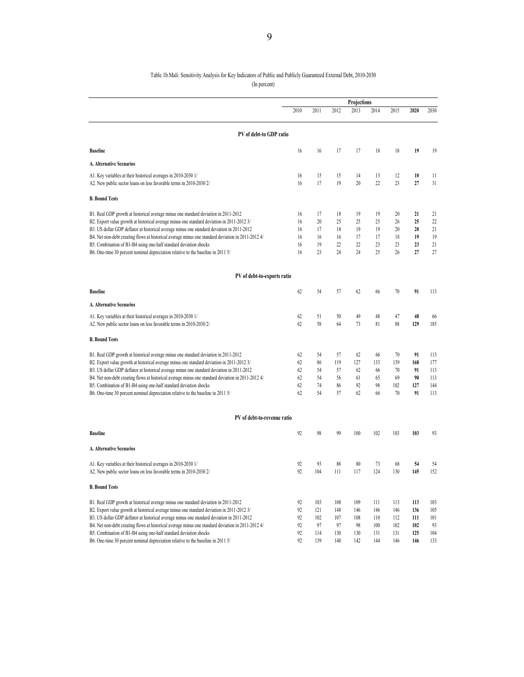#### Table 1b.Mali: Sensitivity Analysis for Key Indicators of Public and Publicly Guaranteed External Debt, 2010-2030 (In percent)

|                                                                                                                                       | Projections |           |           |           |           |           |           |           |
|---------------------------------------------------------------------------------------------------------------------------------------|-------------|-----------|-----------|-----------|-----------|-----------|-----------|-----------|
|                                                                                                                                       | 2010        | 2011      | 2012      | 2013      | 2014      | 2015      | 2020      | 2030      |
| PV of debt-to GDP ratio                                                                                                               |             |           |           |           |           |           |           |           |
| <b>Baseline</b>                                                                                                                       | 16          | 16        | 17        | 17        | 18        | 18        | 19        | 19        |
| A. Alternative Scenarios                                                                                                              |             |           |           |           |           |           |           |           |
| A1. Key variables at their historical averages in 2010-2030 1/                                                                        | 16          | 15        | 15        | 14        | 13        | 12        | 10        | 11        |
| A2. New public sector loans on less favorable terms in 2010-2030 2/                                                                   | 16          | 17        | 19        | 20        | 22        | 23        | 27        | 31        |
| <b>B. Bound Tests</b>                                                                                                                 |             |           |           |           |           |           |           |           |
| B1. Real GDP growth at historical average minus one standard deviation in 2011-2012                                                   | 16          | 17        | 18        | 19        | 19        | 20        | 21        | 21        |
| B2. Export value growth at historical average minus one standard deviation in 2011-2012 3/                                            | 16          | 20        | 25        | 25        | 25        | 26        | 25        | 22        |
| B3. US dollar GDP deflator at historical average minus one standard deviation in 2011-2012                                            | 16          | 17        | 18        | 19        | 19        | 20        | 20        | 21        |
| B4. Net non-debt creating flows at historical average minus one standard deviation in 2011-2012 4/                                    | 16          | 16        | 16        | 17        | 17        | 18        | 19        | 19        |
| B5. Combination of B1-B4 using one-half standard deviation shocks                                                                     | 16          | 19        | 22        | 22        | 23        | 23        | 23        | 21        |
| B6. One-time 30 percent nominal depreciation relative to the baseline in 2011 5/                                                      | 16          | 23        | 24        | 24        | 25        | 26        | 27        | 27        |
| PV of debt-to-exports ratio                                                                                                           |             |           |           |           |           |           |           |           |
| <b>Baseline</b>                                                                                                                       | 62          | 54        | 57        | 62        | 66        | $70\,$    | 91        | 113       |
| A. Alternative Scenarios                                                                                                              |             |           |           |           |           |           |           |           |
|                                                                                                                                       |             |           |           |           |           |           |           |           |
| A1. Key variables at their historical averages in 2010-2030 1/<br>A2. New public sector loans on less favorable terms in 2010-2030 2/ | 62<br>62    | 51<br>58  | 50<br>64  | 49<br>73  | 48<br>81  | 47<br>88  | 48<br>129 | 66<br>185 |
| <b>B. Bound Tests</b>                                                                                                                 |             |           |           |           |           |           |           |           |
| B1. Real GDP growth at historical average minus one standard deviation in 2011-2012                                                   | 62          | 54        | 57        | 62        | 66        | 70        | 91        | 113       |
| B2. Export value growth at historical average minus one standard deviation in 2011-2012 3/                                            | 62          | 86        | 119       | 127       | 133       | 139       | 168       | 177       |
| B3. US dollar GDP deflator at historical average minus one standard deviation in 2011-2012                                            | 62          | 54        | 57        | 62        | 66        | 70        | 91        | 113       |
| B4. Net non-debt creating flows at historical average minus one standard deviation in 2011-2012 4/                                    | 62          | 54        | 56        | 61        | 65        | 69        | 90        | 113       |
| B5. Combination of B1-B4 using one-half standard deviation shocks                                                                     | 62          | 74        | 86        | 92        | 98        | 102       | 127       | 144       |
| B6. One-time 30 percent nominal depreciation relative to the baseline in 2011 5/                                                      | 62          | 54        | 57        | 62        | 66        | 70        | 91        | 113       |
| PV of debt-to-revenue ratio                                                                                                           |             |           |           |           |           |           |           |           |
| <b>Baseline</b>                                                                                                                       | 92          | 98        | 99        | 100       | 102       | 103       | 103       | 93        |
|                                                                                                                                       |             |           |           |           |           |           |           |           |
| A. Alternative Scenarios                                                                                                              |             |           |           |           |           |           |           |           |
| A1. Key variables at their historical averages in 2010-2030 1/<br>A2. New public sector loans on less favorable terms in 2010-2030 2/ | 92<br>92    | 93<br>104 | 88<br>111 | 80<br>117 | 73<br>124 | 68<br>130 | 54<br>145 | 54<br>152 |
| <b>B. Bound Tests</b>                                                                                                                 |             |           |           |           |           |           |           |           |
|                                                                                                                                       |             |           |           |           |           |           |           |           |
| B1. Real GDP growth at historical average minus one standard deviation in 2011-2012                                                   | 92          | 103       | 108       | 109       | 111       | 113       | 113       | 103       |
| B2. Export value growth at historical average minus one standard deviation in 2011-2012 3/                                            | 92          | 121       | 148       | 146       | 146       | 146       | 136       | 105       |
| B3. US dollar GDP deflator at historical average minus one standard deviation in 2011-2012                                            | 92          | 102       | 107       | 108       | 110       | 112       | 111       | 101       |
| B4. Net non-debt creating flows at historical average minus one standard deviation in 2011-2012 4/                                    | 92          | 97        | 97        | 98        | 100       | 102       | 102       | 93        |
| B5. Combination of B1-B4 using one-half standard deviation shocks                                                                     | 92          | 114       | 130       | 130       | 131       | 131       | 125       | 104       |
| B6. One-time 30 percent nominal depreciation relative to the baseline in 2011 5/                                                      | 92          | 139       | 140       | 142       | 144       | 146       | 146       | 133       |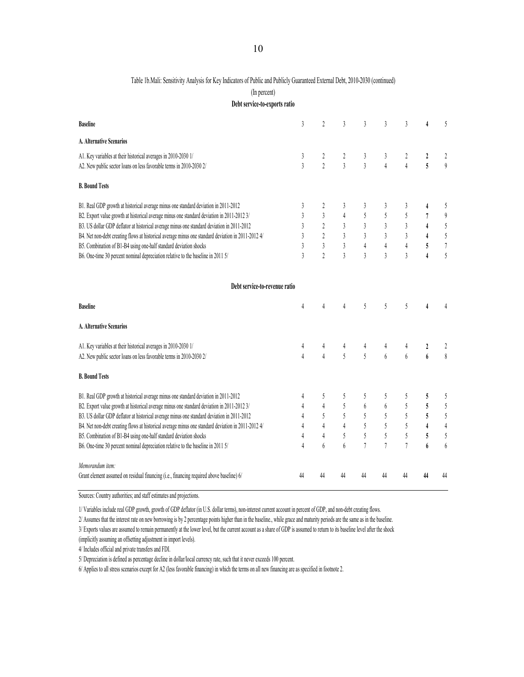#### Table 1b.Mali: Sensitivity Analysis for Key Indicators of Public and Publicly Guaranteed External Debt, 2010-2030 (continued)

(In percent)

**Debt service-to-exports ratio**

| <b>Baseline</b>                                                                                                                                                                                                                                                                                                                                                                                                                                                                                                                                | 3                                                  | $\overline{c}$                                                                              | 3                                                              | 3                                                    | 3                                                                          | 3                                                    |                                                                                | 5                                                                                  |
|------------------------------------------------------------------------------------------------------------------------------------------------------------------------------------------------------------------------------------------------------------------------------------------------------------------------------------------------------------------------------------------------------------------------------------------------------------------------------------------------------------------------------------------------|----------------------------------------------------|---------------------------------------------------------------------------------------------|----------------------------------------------------------------|------------------------------------------------------|----------------------------------------------------------------------------|------------------------------------------------------|--------------------------------------------------------------------------------|------------------------------------------------------------------------------------|
| A. Alternative Scenarios                                                                                                                                                                                                                                                                                                                                                                                                                                                                                                                       |                                                    |                                                                                             |                                                                |                                                      |                                                                            |                                                      |                                                                                |                                                                                    |
| A1. Key variables at their historical averages in 2010-2030 1/<br>A2. New public sector loans on less favorable terms in 2010-2030 2/                                                                                                                                                                                                                                                                                                                                                                                                          | 3<br>$\overline{3}$                                | 2<br>$\overline{2}$                                                                         | 2<br>$\mathfrak{z}$                                            | 3<br>$\overline{3}$                                  | 3<br>$\overline{4}$                                                        | 2<br>$\overline{4}$                                  | 2<br>5                                                                         | 2<br>$\mathfrak{g}$                                                                |
| <b>B. Bound Tests</b>                                                                                                                                                                                                                                                                                                                                                                                                                                                                                                                          |                                                    |                                                                                             |                                                                |                                                      |                                                                            |                                                      |                                                                                |                                                                                    |
| B1. Real GDP growth at historical average minus one standard deviation in 2011-2012<br>B2. Export value growth at historical average minus one standard deviation in 2011-2012 3/<br>B3. US dollar GDP deflator at historical average minus one standard deviation in 2011-2012<br>B4. Net non-debt creating flows at historical average minus one standard deviation in 2011-2012 4/<br>B5. Combination of B1-B4 using one-half standard deviation shocks<br>B6. One-time 30 percent nominal depreciation relative to the baseline in 2011 5/ | 3<br>3<br>3<br>$\mathbf{3}$<br>3<br>$\overline{3}$ | 2<br>$\mathfrak{z}$<br>$\overline{2}$<br>$\overline{2}$<br>$\mathfrak{z}$<br>$\overline{2}$ | 3<br>$\overline{4}$<br>3<br>3<br>3<br>$\overline{3}$           | 3<br>5<br>3<br>3<br>$\overline{4}$<br>$\overline{3}$ | 3<br>5<br>$\mathfrak{z}$<br>$\overline{3}$<br>$\sqrt{4}$<br>$\overline{3}$ | 3<br>5<br>3<br>3<br>$\overline{4}$<br>$\overline{3}$ | 4<br>$\overline{7}$<br>$\overline{4}$<br>$\overline{4}$<br>5<br>$\overline{4}$ | 5<br>$\boldsymbol{\vartheta}$<br>$\sqrt{5}$<br>$\sqrt{2}$<br>$\boldsymbol{7}$<br>5 |
| Debt service-to-revenue ratio                                                                                                                                                                                                                                                                                                                                                                                                                                                                                                                  |                                                    |                                                                                             |                                                                |                                                      |                                                                            |                                                      |                                                                                |                                                                                    |
| <b>Baseline</b>                                                                                                                                                                                                                                                                                                                                                                                                                                                                                                                                | 4                                                  | $\overline{4}$                                                                              | 4                                                              | 5                                                    | 5                                                                          | 5                                                    | 4                                                                              |                                                                                    |
| A. Alternative Scenarios                                                                                                                                                                                                                                                                                                                                                                                                                                                                                                                       |                                                    |                                                                                             |                                                                |                                                      |                                                                            |                                                      |                                                                                |                                                                                    |
| A1. Key variables at their historical averages in 2010-2030 1/<br>A2. New public sector loans on less favorable terms in 2010-2030 2/                                                                                                                                                                                                                                                                                                                                                                                                          | 4<br>$\overline{4}$                                | 4<br>$\overline{4}$                                                                         | 4<br>$\overline{5}$                                            | 4<br>5                                               | 4<br>6                                                                     | 4<br>6                                               | 2<br>$\boldsymbol{6}$                                                          | $\,$                                                                               |
| <b>B. Bound Tests</b>                                                                                                                                                                                                                                                                                                                                                                                                                                                                                                                          |                                                    |                                                                                             |                                                                |                                                      |                                                                            |                                                      |                                                                                |                                                                                    |
| B1. Real GDP growth at historical average minus one standard deviation in 2011-2012<br>B2. Export value growth at historical average minus one standard deviation in 2011-2012 3/<br>B3. US dollar GDP deflator at historical average minus one standard deviation in 2011-2012<br>B4. Net non-debt creating flows at historical average minus one standard deviation in 2011-2012 4/<br>B5. Combination of B1-B4 using one-half standard deviation shocks<br>B6. One-time 30 percent nominal depreciation relative to the baseline in 2011 5/ | 4<br>4<br>4<br>4<br>4<br>4                         | 5<br>$\overline{4}$<br>5<br>$\overline{4}$<br>4<br>6                                        | 5<br>5<br>5<br>$\overline{4}$<br>$\overline{\phantom{0}}$<br>6 | 5<br>6<br>5<br>5<br>5<br>$\overline{7}$              | 5<br>6<br>5<br>5<br>5<br>$\overline{7}$                                    | 5<br>5<br>5<br>5<br>5<br>$\overline{7}$              | 5<br>5<br>5<br>$\overline{4}$<br>5<br>6                                        | 5<br>$\sqrt{5}$<br>$\sqrt{5}$<br>$\overline{4}$<br>5<br>6                          |
| Memorandum item:<br>Grant element assumed on residual financing (i.e., financing required above baseline) 6/                                                                                                                                                                                                                                                                                                                                                                                                                                   | 44                                                 | 44                                                                                          | 44                                                             | 44                                                   | 44                                                                         | 44                                                   | 44                                                                             | 44                                                                                 |

Sources: Country authorities; and staff estimates and projections.

1/ Variables include real GDP growth, growth of GDP deflator (in U.S. dollar terms), non-interest current account in percent of GDP, and non-debt creating flows.

2/ Assumes that the interest rate on new borrowing is by 2 percentage points higher than in the baseline., while grace and maturity periods are the same as in the baseline.

3/ Exports values are assumed to remain permanently at the lower level, but the current account as a share of GDP is assumed to return to its baseline level after the shock

(implicitly assuming an offsetting adjustment in import levels).

4/ Includes official and private transfers and FDI.

5/ Depreciation is defined as percentage decline in dollar/local currency rate, such that it never exceeds 100 percent.

6/ Applies to all stress scenarios except for A2 (less favorable financing) in which the terms on all new financing are as specified in footnote 2.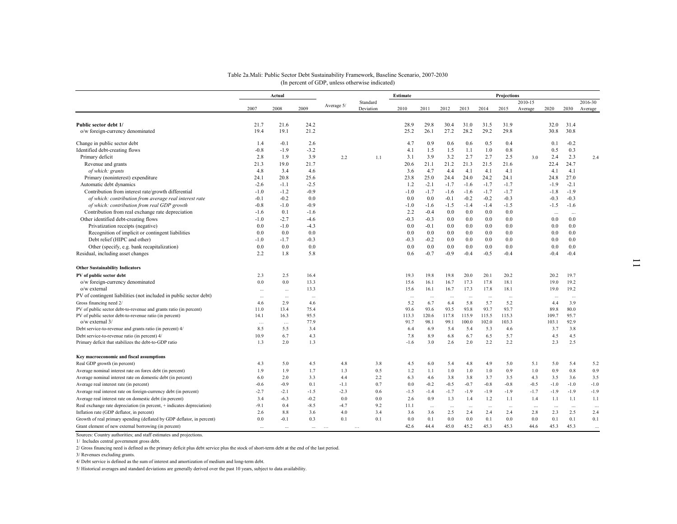|                                                                               | Actual          |                             |              | Estimate |           |               | Projections   |               |               |               |               |         |               |              |         |
|-------------------------------------------------------------------------------|-----------------|-----------------------------|--------------|----------|-----------|---------------|---------------|---------------|---------------|---------------|---------------|---------|---------------|--------------|---------|
|                                                                               |                 | Standard<br>Average 5/      |              |          |           |               |               |               |               |               | 2010-15       |         |               | 2016-30      |         |
|                                                                               | 2007            | 2008                        | 2009         |          | Deviation | 2010          | 2011          | 2012          | 2013          | 2014          | 2015          | Average | 2020          | 2030         | Average |
| Public sector debt 1/                                                         | 21.7            | 21.6                        | 24.2         |          |           | 28.9          | 29.8          | 30.4          | 31.0          | 31.5          | 31.9          |         | 32.0          | 31.4         |         |
| o/w foreign-currency denominated                                              | 19.4            | 19.1                        | 21.2         |          |           | 25.2          | 26.1          | 27.2          | 28.2          | 29.2          | 29.8          |         | 30.8          | 30.8         |         |
| Change in public sector debt                                                  | 1.4             | $-0.1$                      | 2.6          |          |           | 4.7           | 0.9           | 0.6           | 0.6           | 0.5           | 0.4           |         | 0.1           | $-0.2$       |         |
| Identified debt-creating flows                                                | $-0.8$          | $-1.9$                      | $-3.2$       |          |           | 4.1           | 1.5           | 1.5           | 1.1           | 1.0           | 0.8           |         | 0.5           | 0.3          |         |
| Primary deficit                                                               | 2.8             | 1.9                         | 3.9          | 2.2      | 1.1       | 3.1           | 3.9           | 3.2           | 2.7           | 2.7           | 2.5           | 3.0     | 2.4           | 2.3          | 2.4     |
| Revenue and grants                                                            | 21.3            | 19.0                        | 21.7         |          |           | 20.6          | 21.1          | 21.2          | 21.3          | 21.5          | 21.6          |         | 22.4          | 24.7         |         |
| of which: grants                                                              | 4.8             | 3.4                         | 4.6          |          |           | 3.6           | 4.7           | 4.4           | 4.1           | 4.1           | 4.1           |         | 4.1           | 4.1          |         |
| Primary (noninterest) expenditure                                             | 24.1            | 20.8                        | 25.6         |          |           | 23.8          | 25.0          | 24.4          | 24.0          | 24.2          | 24.1          |         | 24.8          | 27.0         |         |
| Automatic debt dynamics                                                       | $-2.6$          | $-1.1$                      | $-2.5$       |          |           | 1.2           | $-2.1$        | $-1.7$        | $-1.6$        | $-1.7$        | $-1.7$        |         | $-1.9$        | $-2.1$       |         |
| Contribution from interest rate/growth differential                           | $-1.0$          | $-1.2$                      | $-0.9$       |          |           | $-1.0$        | $-1.7$        | $-1.6$        | $-1.6$        | $-1.7$        | $-1.7$        |         | $-1.8$        | $-1.9$       |         |
| of which: contribution from average real interest rate                        | $-0.1$          | $-0.2$                      | 0.0          |          |           | 0.0           | 0.0           | $-0.1$        | $-0.2$        | $-0.2$        | $-0.3$        |         | $-0.3$        | $-0.3$       |         |
| of which: contribution from real GDP growth                                   | $-0.8$          | $-1.0$                      | $-0.9$       |          |           | $-1.0$        | $-1.6$        | $-1.5$        | $-1.4$        | $-1.4$        | $-1.5$        |         | $-1.5$        | $-1.6$       |         |
| Contribution from real exchange rate depreciation                             | $-1.6$          | 0.1                         | $-1.6$       |          |           | 2.2           | $-0.4$        | 0.0           | 0.0           | 0.0           | 0.0           |         | $\cdots$      | $\cdots$     |         |
| Other identified debt-creating flows                                          | $-1.0$          | $-2.7$                      | $-4.6$       |          |           | $-0.3$        | $-0.3$        | 0.0           | 0.0           | 0.0           | 0.0           |         | 0.0           | 0.0          |         |
| Privatization receipts (negative)                                             | 0.0             | $-1.0$                      | $-4.3$       |          |           | 0.0           | $-0.1$        | 0.0           | 0.0           | 0.0           | 0.0           |         | 0.0           | 0.0          |         |
| Recognition of implicit or contingent liabilities                             | 0.0             | 0.0                         | 0.0          |          |           | 0.0           | 0.0           | 0.0           | 0.0           | 0.0           | 0.0           |         | 0.0           | 0.0          |         |
| Debt relief (HIPC and other)                                                  | $-1.0$          | $-1.7$                      | $-0.3$       |          |           | $-0.3$        | $-0.2$        | 0.0           | 0.0           | 0.0           | 0.0           |         | 0.0           | 0.0          |         |
| Other (specify, e.g. bank recapitalization)                                   | 0.0             | 0.0                         | 0.0          |          |           | 0.0           | 0.0           | 0.0           | 0.0           | 0.0           | 0.0           |         | 0.0           | 0.0          |         |
| Residual, including asset changes                                             | 2.2             | 1.8                         | 5.8          |          |           | 0.6           | $-0.7$        | $-0.9$        | $-0.4$        | $-0.5$        | $-0.4$        |         | $-0.4$        | $-0.4$       |         |
| <b>Other Sustainability Indicators</b>                                        |                 |                             |              |          |           |               |               |               |               |               |               |         |               |              |         |
| PV of public sector debt                                                      | 2.3             | 2.5                         | 16.4         |          |           | 19.3          | 19.8          | 19.8          | 20.0          | 20.1          | 20.2          |         | 20.2          | 19.7         |         |
| o/w foreign-currency denominated                                              | 0.0             | 0.0                         | 13.3         |          |           | 15.6          | 16.1          | 16.7          | 17.3          | 17.8          | 18.1          |         | 19.0          | 19.2         |         |
| o/w external                                                                  | $\sim$          | $\cdots$                    | 13.3         |          |           | 15.6          | 16.1          | 16.7          | 17.3          | 17.8          | 18.1          |         | 19.0          | 19.2         |         |
| PV of contingent liabilities (not included in public sector debt)             | $\sim$          | $\cdots$                    | $\cdots$     |          |           | $\cdots$      | $\cdots$      | $\cdots$      | $\cdots$      | $\cdots$      | $\ldots$      |         | $\cdots$      | $\ddotsc$    |         |
| Gross financing need 2/                                                       | 4.6             | 2.9                         | 4.6          |          |           | 5.2           | 6.7           | 6.4           | 5.8           | 5.7           | 5.2           |         | 4.4           | 3.9          |         |
| PV of public sector debt-to-revenue and grants ratio (in percent)             | 11.0<br>14.1    | 13.4<br>16.3                | 75.4<br>95.5 |          |           | 93.6          | 93.6<br>120.6 | 93.5<br>117.8 | 93.8<br>115.9 | 93.7<br>115.5 | 93.7<br>115.3 |         | 89.8<br>109.7 | 80.0<br>95.7 |         |
| PV of public sector debt-to-revenue ratio (in percent)<br>$o/w$ external $3/$ |                 |                             | 77.9         |          |           | 113.3<br>91.7 | 98.1          | 99.1          | 100.0         | 102.0         | 103.3         |         | 103.1         | 92.9         |         |
| Debt service-to-revenue and grants ratio (in percent) 4/                      | $\cdots$<br>8.5 | $\sim$ $\sim$ $\sim$<br>5.5 | 3.4          |          |           | 6.4           | 6.9           | 5.4           | 5.4           | 5.3           | 4.6           |         | 3.7           | 3.8          |         |
| Debt service-to-revenue ratio (in percent) 4/                                 | 10.9            | 6.7                         | 4.3          |          |           | 7.8           | 8.9           | 6.8           | 6.7           | 6.5           | 5.7           |         | 4.5           | 4.5          |         |
| Primary deficit that stabilizes the debt-to-GDP ratio                         | 1.3             | 20                          | 1.3          |          |           | $-1.6$        | 3.0           | 2.6           | 2.0           | 22            | 2.2           |         | 2.3           | 2.5          |         |

Real GDP growth (in percent) 6.4 5.2 5.0 4.3 5.0 4.5 4.8 4.8 4.5 6.0 5.4 4.8 4.9 5.0 5.1 5.0 5.4 5.2 Average nominal interest rate on forex debt (in percent) 1.9 1.9 1.7 1.3 0.5 1.2 1.1 1.0 1.0 1.0 0.9 1.0 0.9 0.8 0.9 Average nominal interest rate on domestic debt (in percent) 6.0 2.0 3.3 4.4 2.2 6.3 4.6 3.8 3.8 3.7 3.5 4.3 3.5 3.6 3.5 Average real interest rate (in percent)  $-0.6$   $-0.9$  0.1  $-1.1$  0.7 0.0  $-0.2$   $-0.5$   $-0.7$   $-0.8$   $-0.8$   $-0.5$   $-1.0$   $-1.0$   $-1.0$ Average real interest rate on foreign-currency debt (in percent)  $-2.7$   $-2.1$   $-1.5$   $-2.3$  0.6  $-1.5$   $-1.4$   $-1.7$   $-1.9$   $-1.9$   $-1.9$   $-1.9$   $-1.9$   $-1.9$   $-1.9$ Average real interest rate on domestic debt (in percent) 3.4 -6.3 -0.2 0.0 0.0 2.6 0.9 1.3 1.4 1.2 1.1 1.4 1.1 1.1 1.1 Real exchange rate depreciation (in percent, + indicates depreciation)<br>
Real exchange rate depreciation (in percent, + indicates depreciation)<br>
2.6 8.8 3.6 4.0 3.4 3.6 3.6 2.5 2.4 2.4 2.4 2.8 2.3 2.5 2.4

Growth of real primary spending (deflated by GDP deflator, in percent) 0.0 -0.1 0.3 0.1 0.1 0.0 0.1 0.0 0.0 0.1 0.0 0.0 0.1 0.1 0.1 Grant element of new external borrowing (in percent) ... ... ... … … 42.6 44.4 45.0 45.2 45.3 45.3 44.6 45.3 45.3 ...

#### Table 2a.Mali: Public Sector Debt Sustainability Framework, Baseline Scenario, 2007-2030 (In percent of GDP, unless otherwise indicated)

Sources: Country authorities; and staff estimates and projections.

1/ Includes central government gross debt.

**Key macroeconomic and fiscal assumptions**

2/ Gross financing need is defined as the primary deficit plus debt service plus the stock of short-term debt at the end of the last period.

Inflation rate (GDP deflator, in percent) 2.6 8.8 3.6 4.0 3.4 3.6

3/ Revenues excluding grants.

4/ Debt service is defined as the sum of interest and amortization of medium and long-term debt.

5/ Historical averages and standard deviations are generally derived over the past 10 years, subject to data availability.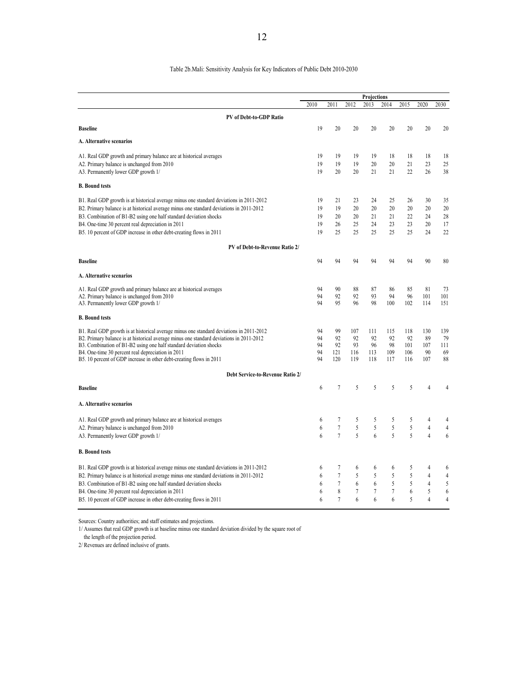#### Table 2b.Mali: Sensitivity Analysis for Key Indicators of Public Debt 2010-2030

|                                                                                                                          |          |                  |            | Projections    |                |            |                |                  |
|--------------------------------------------------------------------------------------------------------------------------|----------|------------------|------------|----------------|----------------|------------|----------------|------------------|
|                                                                                                                          | 2010     | 2011             | 2012       | 2013           | 2014           | 2015       | 2020           | 2030             |
| PV of Debt-to-GDP Ratio                                                                                                  |          |                  |            |                |                |            |                |                  |
| <b>Baseline</b>                                                                                                          | 19       | 20               | 20         | 20             | 20             | 20         | 20             | 20               |
| A. Alternative scenarios                                                                                                 |          |                  |            |                |                |            |                |                  |
| A1. Real GDP growth and primary balance are at historical averages                                                       | 19       | 19               | 19         | 19             | 18             | 18         | 18             | 18               |
| A2. Primary balance is unchanged from 2010                                                                               | 19       | 19               | 19         | 20             | 20             | 21         | 23             | 25               |
| A3. Permanently lower GDP growth 1/                                                                                      | 19       | 20               | 20         | 21             | 21             | 22         | 26             | 38               |
| <b>B.</b> Bound tests                                                                                                    |          |                  |            |                |                |            |                |                  |
| B1. Real GDP growth is at historical average minus one standard deviations in 2011-2012                                  | 19       | 21               | 23         | 24             | 25             | 26         | 30             | 35               |
| B2. Primary balance is at historical average minus one standard deviations in 2011-2012                                  | 19       | 19               | 20         | 20             | 20             | 20         | 20             | 20               |
| B3. Combination of B1-B2 using one half standard deviation shocks                                                        | 19       | 20               | 20         | 21             | 21             | 22         | 24             | 28               |
| B4. One-time 30 percent real depreciation in 2011                                                                        | 19       | 26               | 25         | 24             | 23             | 23         | 20             | 17               |
| B5. 10 percent of GDP increase in other debt-creating flows in 2011                                                      | 19       | 25               | 25         | 25             | 25             | 25         | 24             | 22               |
| PV of Debt-to-Revenue Ratio 2/                                                                                           |          |                  |            |                |                |            |                |                  |
| <b>Baseline</b>                                                                                                          | 94       | 94               | 94         | 94             | 94             | 94         | 90             | 80               |
| A. Alternative scenarios                                                                                                 |          |                  |            |                |                |            |                |                  |
| A1. Real GDP growth and primary balance are at historical averages                                                       | 94       | 90               | 88         | 87             | 86             | 85         | 81             | 73               |
| A2. Primary balance is unchanged from 2010                                                                               | 94       | 92               | 92         | 93             | 94             | 96         | 101            | 101              |
| A3. Permanently lower GDP growth 1/                                                                                      | 94       | 95               | 96         | 98             | 100            | 102        | 114            | 151              |
| <b>B.</b> Bound tests                                                                                                    |          |                  |            |                |                |            |                |                  |
| B1. Real GDP growth is at historical average minus one standard deviations in 2011-2012                                  | 94       | 99               | 107        | 111            | 115            | 118        | 130            | 139              |
| B2. Primary balance is at historical average minus one standard deviations in 2011-2012                                  | 94       | 92               | 92         | 92             | 92             | 92         | 89             | 79               |
| B3. Combination of B1-B2 using one half standard deviation shocks                                                        | 94       | 92               | 93         | 96             | 98             | 101        | 107            | 111              |
| B4. One-time 30 percent real depreciation in 2011<br>B5. 10 percent of GDP increase in other debt-creating flows in 2011 | 94<br>94 | 121<br>120       | 116<br>119 | 113<br>118     | 109<br>117     | 106<br>116 | 90<br>107      | 69<br>88         |
|                                                                                                                          |          |                  |            |                |                |            |                |                  |
| Debt Service-to-Revenue Ratio 2/                                                                                         |          |                  |            |                |                |            |                |                  |
| <b>Baseline</b>                                                                                                          | 6        | 7                | 5          | 5              | 5              | 5          | 4              | 4                |
| A. Alternative scenarios                                                                                                 |          |                  |            |                |                |            |                |                  |
| A1. Real GDP growth and primary balance are at historical averages                                                       | 6        | 7                | 5          | 5              | 5              | 5          | 4              | 4                |
| A2. Primary balance is unchanged from 2010                                                                               | 6        | $\boldsymbol{7}$ | 5          | 5              | 5              | 5          | $\overline{4}$ | $\overline{4}$   |
| A3. Permanently lower GDP growth 1/                                                                                      | 6        | $\overline{7}$   | 5          | 6              | 5              | 5          | $\overline{4}$ | 6                |
| <b>B.</b> Bound tests                                                                                                    |          |                  |            |                |                |            |                |                  |
| B1. Real GDP growth is at historical average minus one standard deviations in 2011-2012                                  | 6        | 7                | 6          | 6              | 6              | 5          | 4              | 6                |
| B2. Primary balance is at historical average minus one standard deviations in 2011-2012                                  | 6        | $\overline{7}$   | 5          | 5              | 5              | 5          | 4              | $\overline{4}$   |
| B3. Combination of B1-B2 using one half standard deviation shocks                                                        | 6        | $\tau$           | 6          | 6              | 5              | 5          | 4              | 5                |
| B4. One-time 30 percent real depreciation in 2011                                                                        | 6        | 8                | 7          | $\overline{7}$ | $\overline{7}$ | 6          | 5              | $\boldsymbol{6}$ |
| B5. 10 percent of GDP increase in other debt-creating flows in 2011                                                      | 6        | 7                | 6          | 6              | 6              | 5          | $\overline{4}$ | $\overline{4}$   |
|                                                                                                                          |          |                  |            |                |                |            |                |                  |

Sources: Country authorities; and staff estimates and projections.

1/ Assumes that real GDP growth is at baseline minus one standard deviation divided by the square root of

the length of the projection period.

2/ Revenues are defined inclusive of grants.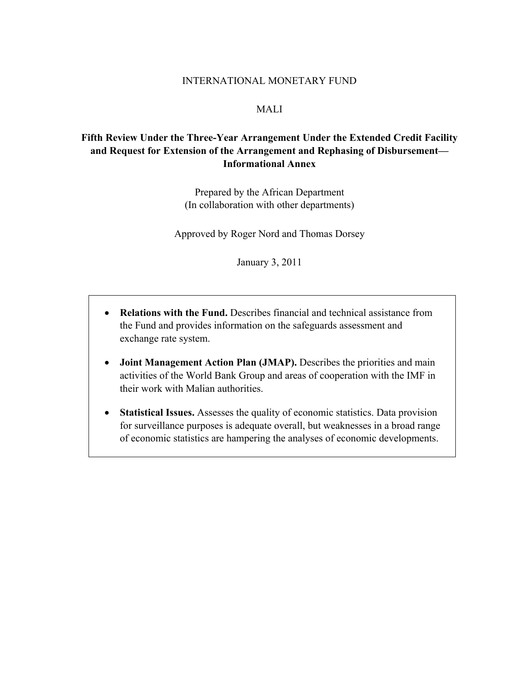#### INTERNATIONAL MONETARY FUND

#### MALI

### **Fifth Review Under the Three-Year Arrangement Under the Extended Credit Facility and Request for Extension of the Arrangement and Rephasing of Disbursement— Informational Annex**

Prepared by the African Department (In collaboration with other departments)

Approved by Roger Nord and Thomas Dorsey

January 3, 2011

- **Relations with the Fund.** Describes financial and technical assistance from the Fund and provides information on the safeguards assessment and exchange rate system.
- **Joint Management Action Plan (JMAP).** Describes the priorities and main activities of the World Bank Group and areas of cooperation with the IMF in their work with Malian authorities.
- **Statistical Issues.** Assesses the quality of economic statistics. Data provision for surveillance purposes is adequate overall, but weaknesses in a broad range of economic statistics are hampering the analyses of economic developments.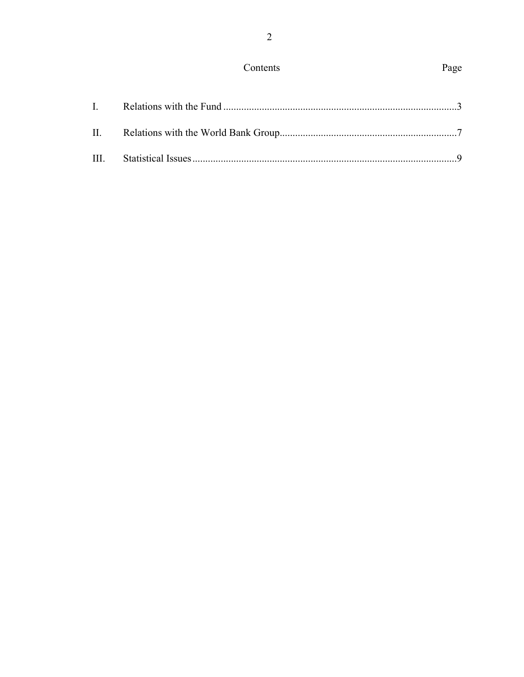## Contents

# Page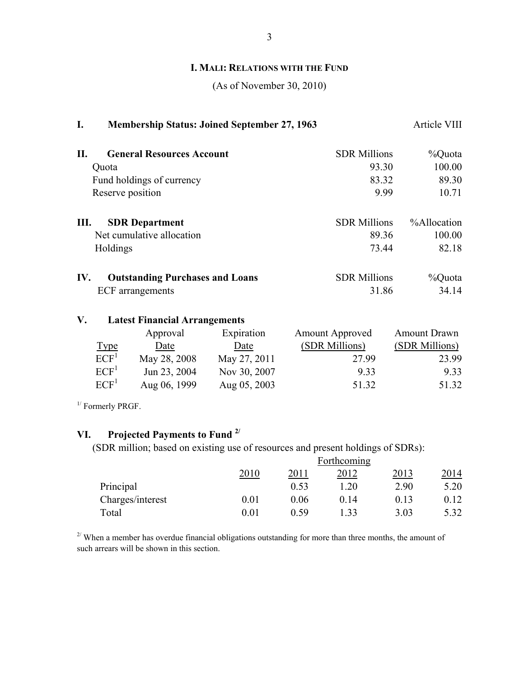### **I. MALI: RELATIONS WITH THE FUND**

(As of November 30, 2010)

| I.  | <b>Membership Status: Joined September 27, 1963</b> |                     | Article VIII |
|-----|-----------------------------------------------------|---------------------|--------------|
| II. | <b>General Resources Account</b>                    | <b>SDR Millions</b> | %Quota       |
|     | Quota                                               | 93.30               | 100.00       |
|     | Fund holdings of currency                           | 83.32               | 89.30        |
|     | Reserve position                                    | 9.99                | 10.71        |
| Ш.  | <b>SDR</b> Department                               | <b>SDR Millions</b> | %Allocation  |
|     | Net cumulative allocation                           | 89.36               | 100.00       |
|     | Holdings                                            | 73.44               | 82.18        |
| IV. | <b>Outstanding Purchases and Loans</b>              | <b>SDR Millions</b> | %Quota       |
|     | <b>ECF</b> arrangements                             | 31.86               | 34.14        |

### **V. Latest Financial Arrangements**

|                  | Approval     | Expiration   | <b>Amount Approved</b> | <b>Amount Drawn</b> |
|------------------|--------------|--------------|------------------------|---------------------|
| <u>Type</u>      | Date         | Date         | (SDR Millions)         | (SDR Millions)      |
| ECF <sup>1</sup> | May 28, 2008 | May 27, 2011 | 27.99                  | 23.99               |
| ECF <sup>1</sup> | Jun 23, 2004 | Nov 30, 2007 | 9.33                   | 9.33                |
| ECF <sup>1</sup> | Aug 06, 1999 | Aug 05, 2003 | 51.32                  | 51.32               |

 $1/$  Formerly PRGF.

# **VI. Projected Payments to Fund 2/**

(SDR million; based on existing use of resources and present holdings of SDRs):

|                  |      |      | Forthcoming |      |      |
|------------------|------|------|-------------|------|------|
|                  | 2010 | 2011 | 2012        | 2013 | 2014 |
| Principal        |      | 0.53 | 1.20        | 2.90 | 5.20 |
| Charges/interest | 0.01 | 0.06 | 0.14        | 0.13 | 0.12 |
| Total            | 0.01 | 0.59 | 33          | 3.03 | 5.32 |

 $2^{7}$  When a member has overdue financial obligations outstanding for more than three months, the amount of such arrears will be shown in this section.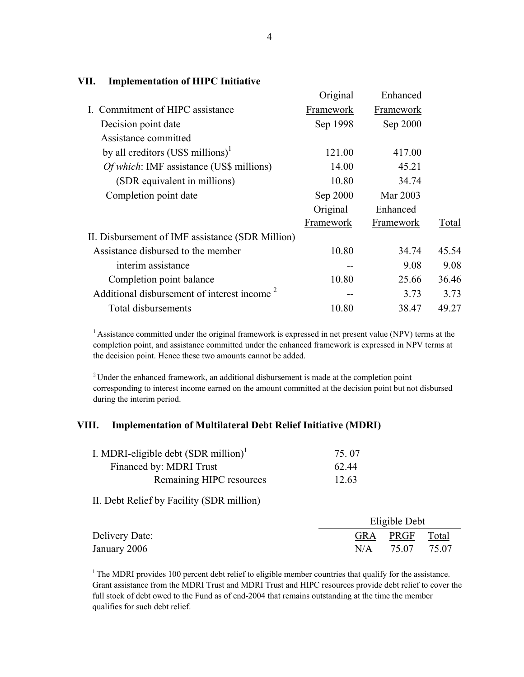|                                                         | Original  | Enhanced  |       |
|---------------------------------------------------------|-----------|-----------|-------|
| I. Commitment of HIPC assistance                        | Framework | Framework |       |
| Decision point date                                     | Sep 1998  | Sep 2000  |       |
| Assistance committed                                    |           |           |       |
| by all creditors $(US\$ millions) <sup>1</sup>          | 121.00    | 417.00    |       |
| <i>Of which:</i> IMF assistance (US\$ millions)         | 14.00     | 45.21     |       |
| (SDR equivalent in millions)                            | 10.80     | 34.74     |       |
| Completion point date                                   | Sep 2000  | Mar 2003  |       |
|                                                         | Original  | Enhanced  |       |
|                                                         | Framework | Framework | Total |
| II. Disbursement of IMF assistance (SDR Million)        |           |           |       |
| Assistance disbursed to the member                      | 10.80     | 34.74     | 45.54 |
| interim assistance                                      |           | 9.08      | 9.08  |
| Completion point balance                                | 10.80     | 25.66     | 36.46 |
| Additional disbursement of interest income <sup>2</sup> |           | 3.73      | 3.73  |
| Total disbursements                                     | 10.80     | 38.47     | 49.27 |
|                                                         |           |           |       |

#### **VII. Implementation of HIPC Initiative**

<sup>1</sup> Assistance committed under the original framework is expressed in net present value (NPV) terms at the completion point, and assistance committed under the enhanced framework is expressed in NPV terms at the decision point. Hence these two amounts cannot be added.

<sup>2</sup> Under the enhanced framework, an additional disbursement is made at the completion point corresponding to interest income earned on the amount committed at the decision point but not disbursed during the interim period.

#### **VIII. Implementation of Multilateral Debt Relief Initiative (MDRI)**

| I. MDRI-eligible debt $(SDR$ million) <sup>1</sup> | 75 07 |
|----------------------------------------------------|-------|
| Financed by: MDRI Trust                            | 62.44 |
| Remaining HIPC resources                           | 12.63 |

II. Debt Relief by Facility (SDR million)

|                |     | Eligible Debt  |       |  |
|----------------|-----|----------------|-------|--|
| Delivery Date: |     | GRA PRGF Total |       |  |
| January 2006   | N/A | 75.07          | 75.07 |  |

 $1$ <sup>1</sup> The MDRI provides 100 percent debt relief to eligible member countries that qualify for the assistance. Grant assistance from the MDRI Trust and MDRI Trust and HIPC resources provide debt relief to cover the full stock of debt owed to the Fund as of end-2004 that remains outstanding at the time the member qualifies for such debt relief.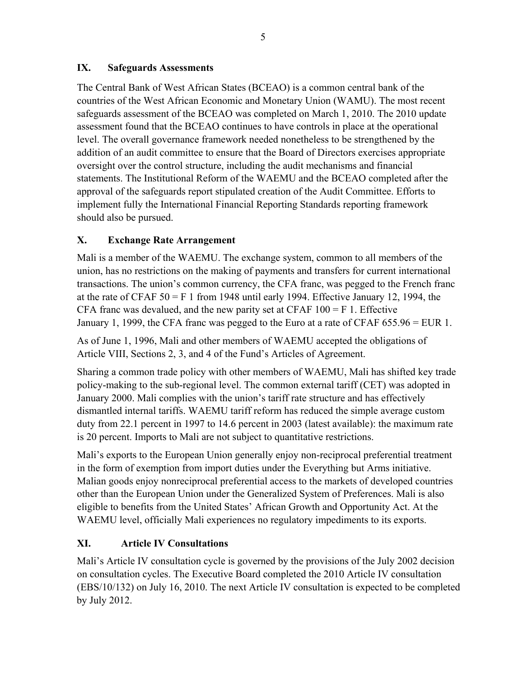### **IX. Safeguards Assessments**

The Central Bank of West African States (BCEAO) is a common central bank of the countries of the West African Economic and Monetary Union (WAMU). The most recent safeguards assessment of the BCEAO was completed on March 1, 2010. The 2010 update assessment found that the BCEAO continues to have controls in place at the operational level. The overall governance framework needed nonetheless to be strengthened by the addition of an audit committee to ensure that the Board of Directors exercises appropriate oversight over the control structure, including the audit mechanisms and financial statements. The Institutional Reform of the WAEMU and the BCEAO completed after the approval of the safeguards report stipulated creation of the Audit Committee. Efforts to implement fully the International Financial Reporting Standards reporting framework should also be pursued.

## **X. Exchange Rate Arrangement**

Mali is a member of the WAEMU. The exchange system, common to all members of the union, has no restrictions on the making of payments and transfers for current international transactions. The union's common currency, the CFA franc, was pegged to the French franc at the rate of CFAF  $50 = F 1$  from 1948 until early 1994. Effective January 12, 1994, the CFA franc was devalued, and the new parity set at CFAF  $100 = F$  1. Effective January 1, 1999, the CFA franc was pegged to the Euro at a rate of CFAF 655.96 = EUR 1.

As of June 1, 1996, Mali and other members of WAEMU accepted the obligations of Article VIII, Sections 2, 3, and 4 of the Fund's Articles of Agreement.

Sharing a common trade policy with other members of WAEMU, Mali has shifted key trade policy-making to the sub-regional level. The common external tariff (CET) was adopted in January 2000. Mali complies with the union's tariff rate structure and has effectively dismantled internal tariffs. WAEMU tariff reform has reduced the simple average custom duty from 22.1 percent in 1997 to 14.6 percent in 2003 (latest available): the maximum rate is 20 percent. Imports to Mali are not subject to quantitative restrictions.

Mali's exports to the European Union generally enjoy non-reciprocal preferential treatment in the form of exemption from import duties under the Everything but Arms initiative. Malian goods enjoy nonreciprocal preferential access to the markets of developed countries other than the European Union under the Generalized System of Preferences. Mali is also eligible to benefits from the United States' African Growth and Opportunity Act. At the WAEMU level, officially Mali experiences no regulatory impediments to its exports.

## **XI. Article IV Consultations**

Mali's Article IV consultation cycle is governed by the provisions of the July 2002 decision on consultation cycles. The Executive Board completed the 2010 Article IV consultation (EBS/10/132) on July 16, 2010. The next Article IV consultation is expected to be completed by July 2012.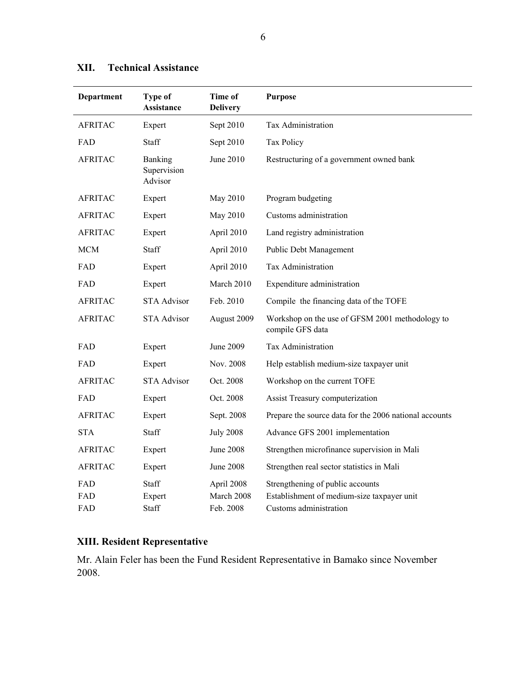| Department     | Type of<br><b>Assistance</b>      | Time of<br><b>Delivery</b> | <b>Purpose</b>                                                                 |
|----------------|-----------------------------------|----------------------------|--------------------------------------------------------------------------------|
| <b>AFRITAC</b> | Expert                            | Sept 2010                  | Tax Administration                                                             |
| FAD            | <b>Staff</b>                      | Sept 2010                  | Tax Policy                                                                     |
| <b>AFRITAC</b> | Banking<br>Supervision<br>Advisor | June 2010                  | Restructuring of a government owned bank                                       |
| <b>AFRITAC</b> | Expert                            | May 2010                   | Program budgeting                                                              |
| <b>AFRITAC</b> | Expert                            | May 2010                   | Customs administration                                                         |
| <b>AFRITAC</b> | Expert                            | April 2010                 | Land registry administration                                                   |
| <b>MCM</b>     | Staff                             | April 2010                 | Public Debt Management                                                         |
| FAD            | Expert                            | April 2010                 | Tax Administration                                                             |
| FAD            | Expert                            | March 2010                 | Expenditure administration                                                     |
| <b>AFRITAC</b> | <b>STA Advisor</b>                | Feb. 2010                  | Compile the financing data of the TOFE                                         |
| <b>AFRITAC</b> | <b>STA Advisor</b>                | August 2009                | Workshop on the use of GFSM 2001 methodology to<br>compile GFS data            |
| FAD            | Expert                            | June 2009                  | Tax Administration                                                             |
| FAD            | Expert                            | Nov. 2008                  | Help establish medium-size taxpayer unit                                       |
| <b>AFRITAC</b> | <b>STA Advisor</b>                | Oct. 2008                  | Workshop on the current TOFE                                                   |
| FAD            | Expert                            | Oct. 2008                  | Assist Treasury computerization                                                |
| <b>AFRITAC</b> | Expert                            | Sept. 2008                 | Prepare the source data for the 2006 national accounts                         |
| <b>STA</b>     | Staff                             | <b>July 2008</b>           | Advance GFS 2001 implementation                                                |
| <b>AFRITAC</b> | Expert                            | June 2008                  | Strengthen microfinance supervision in Mali                                    |
| <b>AFRITAC</b> | Expert                            | <b>June 2008</b>           | Strengthen real sector statistics in Mali                                      |
| FAD<br>FAD     | <b>Staff</b><br>Expert            | April 2008<br>March 2008   | Strengthening of public accounts<br>Establishment of medium-size taxpayer unit |
| FAD            | Staff                             | Feb. 2008                  | Customs administration                                                         |

## **XII. Technical Assistance**

## **XIII. Resident Representative**

Mr. Alain Feler has been the Fund Resident Representative in Bamako since November 2008.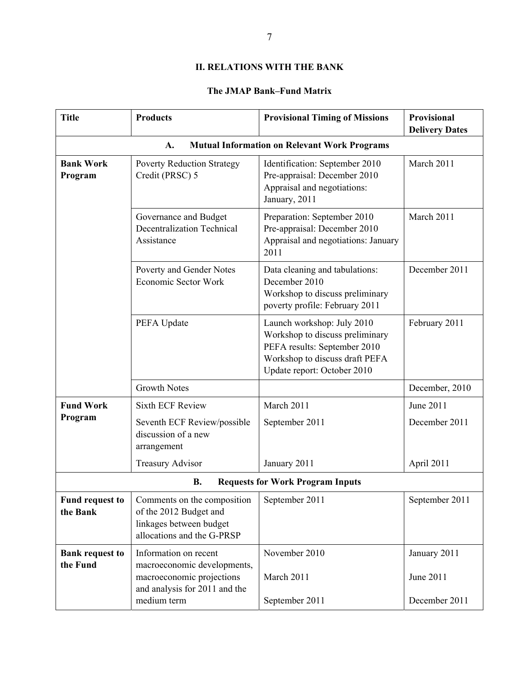#### **II. RELATIONS WITH THE BANK**

### **The JMAP Bank–Fund Matrix**

| <b>Title</b>                                              | <b>Products</b>                                                                                                    | <b>Provisional Timing of Missions</b>                                                                                                                          | Provisional<br><b>Delivery Dates</b> |  |
|-----------------------------------------------------------|--------------------------------------------------------------------------------------------------------------------|----------------------------------------------------------------------------------------------------------------------------------------------------------------|--------------------------------------|--|
| <b>Mutual Information on Relevant Work Programs</b><br>A. |                                                                                                                    |                                                                                                                                                                |                                      |  |
| <b>Bank Work</b><br>Program                               | <b>Poverty Reduction Strategy</b><br>Credit (PRSC) 5                                                               | Identification: September 2010<br>Pre-appraisal: December 2010<br>Appraisal and negotiations:<br>January, 2011                                                 | March 2011                           |  |
|                                                           | Governance and Budget<br><b>Decentralization Technical</b><br>Assistance                                           | Preparation: September 2010<br>Pre-appraisal: December 2010<br>Appraisal and negotiations: January<br>2011                                                     | March 2011                           |  |
|                                                           | Poverty and Gender Notes<br><b>Economic Sector Work</b>                                                            | Data cleaning and tabulations:<br>December 2010<br>Workshop to discuss preliminary<br>poverty profile: February 2011                                           | December 2011                        |  |
|                                                           | PEFA Update                                                                                                        | Launch workshop: July 2010<br>Workshop to discuss preliminary<br>PEFA results: September 2010<br>Workshop to discuss draft PEFA<br>Update report: October 2010 | February 2011                        |  |
|                                                           | <b>Growth Notes</b>                                                                                                |                                                                                                                                                                | December, 2010                       |  |
| <b>Fund Work</b><br>Program                               | <b>Sixth ECF Review</b>                                                                                            | March 2011                                                                                                                                                     | June 2011                            |  |
|                                                           | Seventh ECF Review/possible<br>discussion of a new<br>arrangement                                                  | September 2011                                                                                                                                                 | December 2011                        |  |
|                                                           | <b>Treasury Advisor</b>                                                                                            | January 2011                                                                                                                                                   | April 2011                           |  |
| <b>B.</b><br><b>Requests for Work Program Inputs</b>      |                                                                                                                    |                                                                                                                                                                |                                      |  |
| <b>Fund request to</b><br>the Bank                        | Comments on the composition<br>of the 2012 Budget and<br>linkages between budget<br>allocations and the G-PRSP     | September 2011                                                                                                                                                 | September 2011                       |  |
| <b>Bank request to</b><br>the Fund                        | Information on recent<br>macroeconomic developments,<br>macroeconomic projections<br>and analysis for 2011 and the | November 2010<br>March 2011                                                                                                                                    | January 2011<br>June 2011            |  |
|                                                           | medium term                                                                                                        | September 2011                                                                                                                                                 | December 2011                        |  |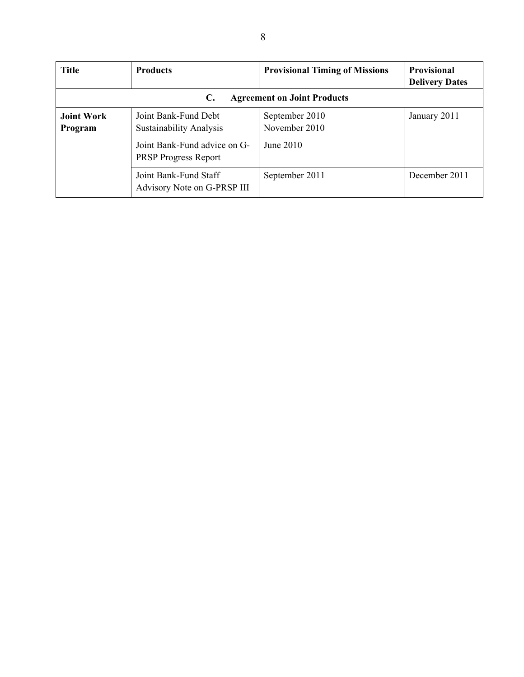| <b>Title</b>                                         | <b>Products</b>                                             | <b>Provisional Timing of Missions</b> | <b>Provisional</b><br><b>Delivery Dates</b> |  |
|------------------------------------------------------|-------------------------------------------------------------|---------------------------------------|---------------------------------------------|--|
| <b>Agreement on Joint Products</b><br>$\mathbf{C}$ . |                                                             |                                       |                                             |  |
| <b>Joint Work</b><br>Program                         | Joint Bank-Fund Debt<br><b>Sustainability Analysis</b>      | September 2010<br>November 2010       | January 2011                                |  |
|                                                      | Joint Bank-Fund advice on G-<br><b>PRSP Progress Report</b> | June 2010                             |                                             |  |
|                                                      | Joint Bank-Fund Staff<br>Advisory Note on G-PRSP III        | September 2011                        | December 2011                               |  |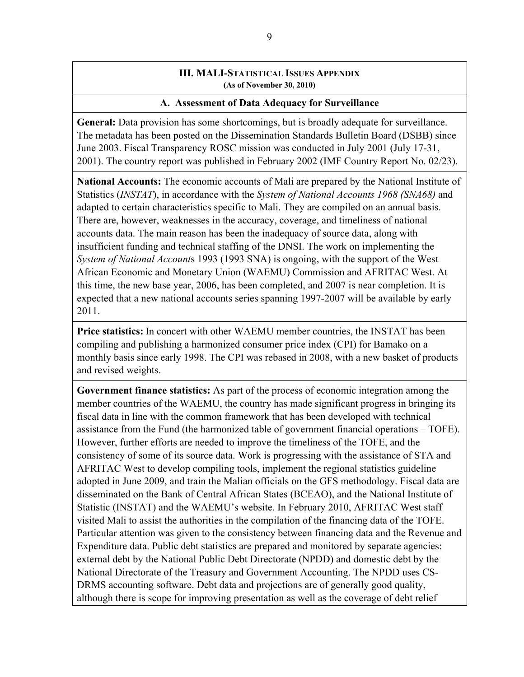#### **III. MALI-STATISTICAL ISSUES APPENDIX (As of November 30, 2010)**

#### **A. Assessment of Data Adequacy for Surveillance**

**General:** Data provision has some shortcomings, but is broadly adequate for surveillance. The metadata has been posted on the Dissemination Standards Bulletin Board (DSBB) since June 2003. Fiscal Transparency ROSC mission was conducted in July 2001 (July 17-31, 2001). The country report was published in February 2002 (IMF Country Report No. 02/23).

**National Accounts:** The economic accounts of Mali are prepared by the National Institute of Statistics (*INSTAT*), in accordance with the *System of National Accounts 1968 (SNA68)* and adapted to certain characteristics specific to Mali. They are compiled on an annual basis. There are, however, weaknesses in the accuracy, coverage, and timeliness of national accounts data. The main reason has been the inadequacy of source data, along with insufficient funding and technical staffing of the DNSI. The work on implementing the *System of National Account*s 1993 (1993 SNA) is ongoing, with the support of the West African Economic and Monetary Union (WAEMU) Commission and AFRITAC West. At this time, the new base year, 2006, has been completed, and 2007 is near completion. It is expected that a new national accounts series spanning 1997-2007 will be available by early 2011.

**Price statistics:** In concert with other WAEMU member countries, the INSTAT has been compiling and publishing a harmonized consumer price index (CPI) for Bamako on a monthly basis since early 1998. The CPI was rebased in 2008, with a new basket of products and revised weights.

**Government finance statistics:** As part of the process of economic integration among the member countries of the WAEMU, the country has made significant progress in bringing its fiscal data in line with the common framework that has been developed with technical assistance from the Fund (the harmonized table of government financial operations – TOFE). However, further efforts are needed to improve the timeliness of the TOFE, and the consistency of some of its source data. Work is progressing with the assistance of STA and AFRITAC West to develop compiling tools, implement the regional statistics guideline adopted in June 2009, and train the Malian officials on the GFS methodology. Fiscal data are disseminated on the Bank of Central African States (BCEAO), and the National Institute of Statistic (INSTAT) and the WAEMU's website. In February 2010, AFRITAC West staff visited Mali to assist the authorities in the compilation of the financing data of the TOFE. Particular attention was given to the consistency between financing data and the Revenue and Expenditure data. Public debt statistics are prepared and monitored by separate agencies: external debt by the National Public Debt Directorate (NPDD) and domestic debt by the National Directorate of the Treasury and Government Accounting. The NPDD uses CS-DRMS accounting software. Debt data and projections are of generally good quality, although there is scope for improving presentation as well as the coverage of debt relief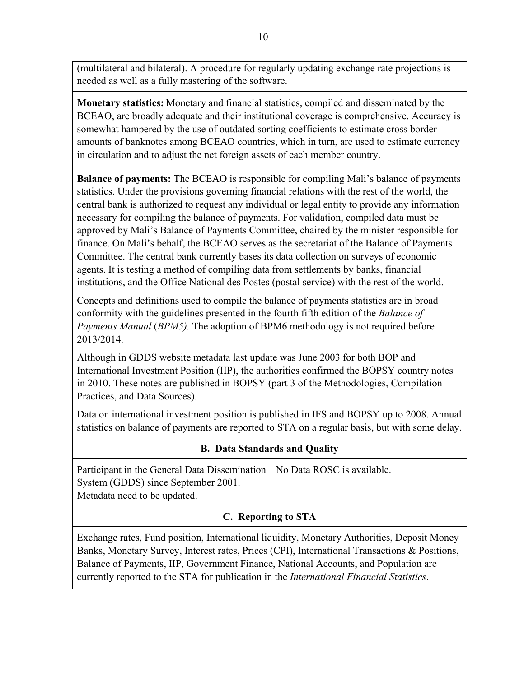(multilateral and bilateral). A procedure for regularly updating exchange rate projections is needed as well as a fully mastering of the software.

**Monetary statistics:** Monetary and financial statistics, compiled and disseminated by the BCEAO, are broadly adequate and their institutional coverage is comprehensive. Accuracy is somewhat hampered by the use of outdated sorting coefficients to estimate cross border amounts of banknotes among BCEAO countries, which in turn, are used to estimate currency in circulation and to adjust the net foreign assets of each member country.

**Balance of payments:** The BCEAO is responsible for compiling Mali's balance of payments statistics. Under the provisions governing financial relations with the rest of the world, the central bank is authorized to request any individual or legal entity to provide any information necessary for compiling the balance of payments. For validation, compiled data must be approved by Mali's Balance of Payments Committee, chaired by the minister responsible for finance. On Mali's behalf, the BCEAO serves as the secretariat of the Balance of Payments Committee. The central bank currently bases its data collection on surveys of economic agents. It is testing a method of compiling data from settlements by banks, financial institutions, and the Office National des Postes (postal service) with the rest of the world.

Concepts and definitions used to compile the balance of payments statistics are in broad conformity with the guidelines presented in the fourth fifth edition of the *Balance of Payments Manual* (*BPM5).* The adoption of BPM6 methodology is not required before 2013/2014.

Although in GDDS website metadata last update was June 2003 for both BOP and International Investment Position (IIP), the authorities confirmed the BOPSY country notes in 2010. These notes are published in BOPSY (part 3 of the Methodologies, Compilation Practices, and Data Sources).

Data on international investment position is published in IFS and BOPSY up to 2008. Annual statistics on balance of payments are reported to STA on a regular basis, but with some delay.

| <b>B.</b> Data Standards and Quality                                                                                                                                                                                                                                                                                                                                            |                            |  |  |  |  |
|---------------------------------------------------------------------------------------------------------------------------------------------------------------------------------------------------------------------------------------------------------------------------------------------------------------------------------------------------------------------------------|----------------------------|--|--|--|--|
| Participant in the General Data Dissemination<br>System (GDDS) since September 2001.<br>Metadata need to be updated.                                                                                                                                                                                                                                                            | No Data ROSC is available. |  |  |  |  |
| C. Reporting to STA                                                                                                                                                                                                                                                                                                                                                             |                            |  |  |  |  |
| Exchange rates, Fund position, International liquidity, Monetary Authorities, Deposit Money<br>Banks, Monetary Survey, Interest rates, Prices (CPI), International Transactions & Positions,<br>Balance of Payments, IIP, Government Finance, National Accounts, and Population are<br>currently reported to the STA for publication in the International Financial Statistics. |                            |  |  |  |  |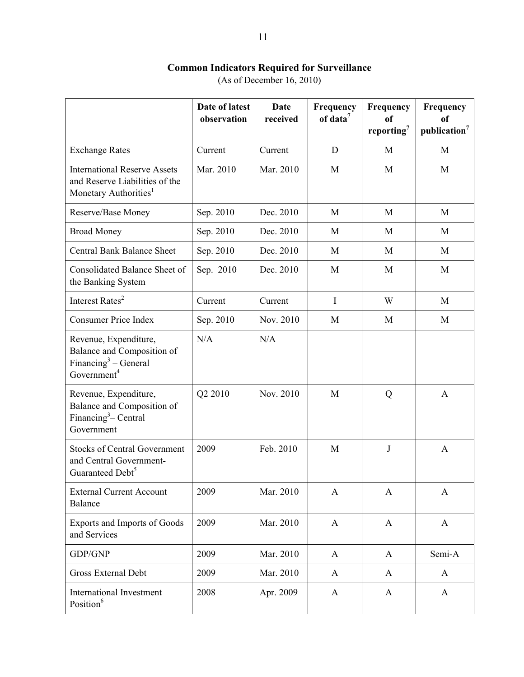#### **Common Indicators Required for Surveillance**

(As of December 16, 2010)

|                                                                                                                    | Date of latest<br>observation | Date<br>received | Frequency<br>of data <sup>7</sup> | Frequency<br>of<br>reporting <sup>7</sup> | Frequency<br>of<br>publication <sup>7</sup> |
|--------------------------------------------------------------------------------------------------------------------|-------------------------------|------------------|-----------------------------------|-------------------------------------------|---------------------------------------------|
| <b>Exchange Rates</b>                                                                                              | Current                       | Current          | D                                 | M                                         | M                                           |
| <b>International Reserve Assets</b><br>and Reserve Liabilities of the<br>Monetary Authorities <sup>1</sup>         | Mar. 2010                     | Mar. 2010        | M                                 | M                                         | M                                           |
| Reserve/Base Money                                                                                                 | Sep. 2010                     | Dec. 2010        | M                                 | M                                         | M                                           |
| <b>Broad Money</b>                                                                                                 | Sep. 2010                     | Dec. 2010        | M                                 | M                                         | M                                           |
| <b>Central Bank Balance Sheet</b>                                                                                  | Sep. 2010                     | Dec. 2010        | M                                 | M                                         | M                                           |
| Consolidated Balance Sheet of<br>the Banking System                                                                | Sep. 2010                     | Dec. 2010        | M                                 | M                                         | M                                           |
| Interest Rates <sup>2</sup>                                                                                        | Current                       | Current          | I                                 | W                                         | M                                           |
| <b>Consumer Price Index</b>                                                                                        | Sep. 2010                     | Nov. 2010        | M                                 | M                                         | M                                           |
| Revenue, Expenditure,<br>Balance and Composition of<br>Financing <sup>3</sup> – General<br>Government <sup>4</sup> | N/A                           | N/A              |                                   |                                           |                                             |
| Revenue, Expenditure,<br>Balance and Composition of<br>Financing <sup>3</sup> – Central<br>Government              | Q2 2010                       | Nov. 2010        | M                                 | Q                                         | A                                           |
| <b>Stocks of Central Government</b><br>and Central Government-<br>Guaranteed Debt <sup>5</sup>                     | 2009                          | Feb. 2010        | M                                 | J                                         | A                                           |
| <b>External Current Account</b><br><b>Balance</b>                                                                  | 2009                          | Mar. 2010        | $\mathbf{A}$                      | $\mathbf{A}$                              | $\mathbf{A}$                                |
| Exports and Imports of Goods<br>and Services                                                                       | 2009                          | Mar. 2010        | $\mathbf{A}$                      | $\mathbf{A}$                              | $\mathbf{A}$                                |
| GDP/GNP                                                                                                            | 2009                          | Mar. 2010        | $\mathbf{A}$                      | $\mathbf{A}$                              | Semi-A                                      |
| <b>Gross External Debt</b>                                                                                         | 2009                          | Mar. 2010        | $\mathbf{A}$                      | $\mathbf{A}$                              | $\bf{A}$                                    |
| <b>International Investment</b><br>Position <sup>6</sup>                                                           | 2008                          | Apr. 2009        | $\mathbf{A}$                      | $\mathbf{A}$                              | $\bf{A}$                                    |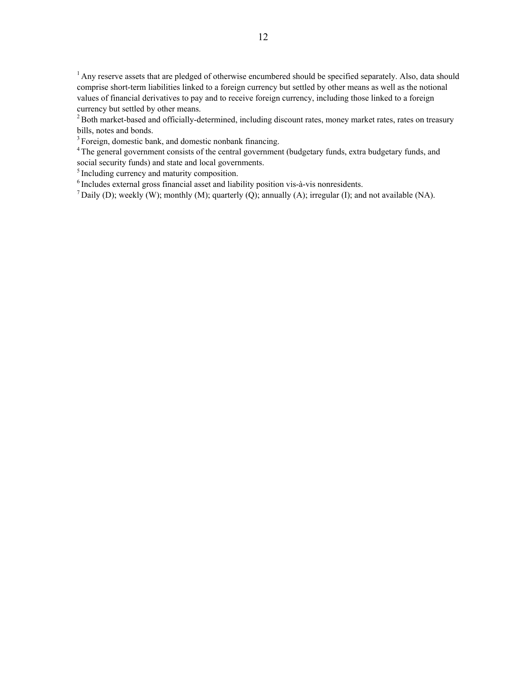$<sup>1</sup>$  Any reserve assets that are pledged of otherwise encumbered should be specified separately. Also, data should</sup> comprise short-term liabilities linked to a foreign currency but settled by other means as well as the notional values of financial derivatives to pay and to receive foreign currency, including those linked to a foreign currency but settled by other means.

 $2$  Both market-based and officially-determined, including discount rates, money market rates, rates on treasury bills, notes and bonds.

<sup>3</sup> Foreign, domestic bank, and domestic nonbank financing.

<sup>4</sup> The general government consists of the central government (budgetary funds, extra budgetary funds, and social security funds) and state and local governments.

<sup>5</sup> Including currency and maturity composition.

6 Includes external gross financial asset and liability position vis-à-vis nonresidents.

 $^7$  Daily (D); weekly (W); monthly (M); quarterly (Q); annually (A); irregular (I); and not available (NA).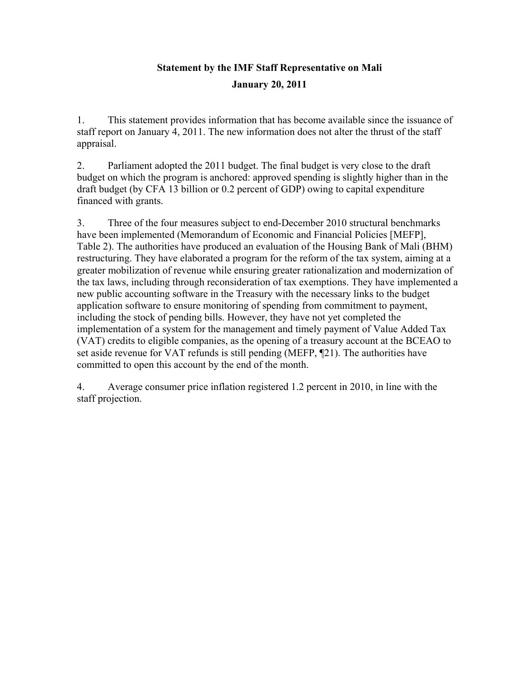# **Statement by the IMF Staff Representative on Mali January 20, 2011**

1. This statement provides information that has become available since the issuance of staff report on January 4, 2011. The new information does not alter the thrust of the staff appraisal.

2. Parliament adopted the 2011 budget. The final budget is very close to the draft budget on which the program is anchored: approved spending is slightly higher than in the draft budget (by CFA 13 billion or 0.2 percent of GDP) owing to capital expenditure financed with grants.

3. Three of the four measures subject to end-December 2010 structural benchmarks have been implemented (Memorandum of Economic and Financial Policies [MEFP], Table 2). The authorities have produced an evaluation of the Housing Bank of Mali (BHM) restructuring. They have elaborated a program for the reform of the tax system, aiming at a greater mobilization of revenue while ensuring greater rationalization and modernization of the tax laws, including through reconsideration of tax exemptions. They have implemented a new public accounting software in the Treasury with the necessary links to the budget application software to ensure monitoring of spending from commitment to payment, including the stock of pending bills. However, they have not yet completed the implementation of a system for the management and timely payment of Value Added Tax (VAT) credits to eligible companies, as the opening of a treasury account at the BCEAO to set aside revenue for VAT refunds is still pending (MEFP, ¶21). The authorities have committed to open this account by the end of the month.

4. Average consumer price inflation registered 1.2 percent in 2010, in line with the staff projection.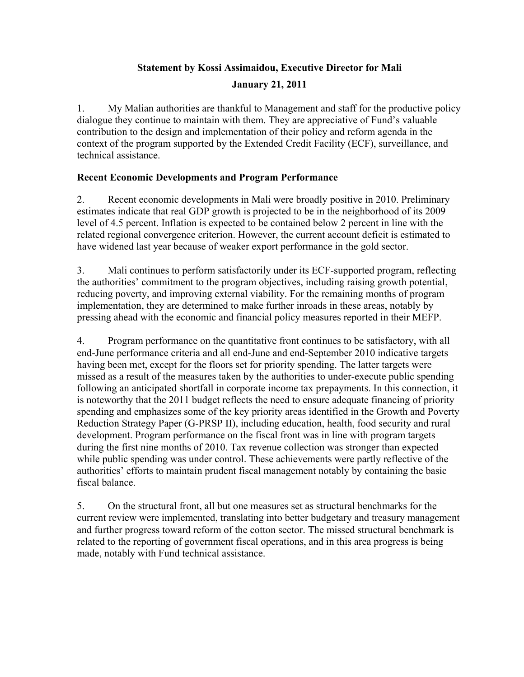# **Statement by Kossi Assimaidou, Executive Director for Mali January 21, 2011**

1. My Malian authorities are thankful to Management and staff for the productive policy dialogue they continue to maintain with them. They are appreciative of Fund's valuable contribution to the design and implementation of their policy and reform agenda in the context of the program supported by the Extended Credit Facility (ECF), surveillance, and technical assistance.

## **Recent Economic Developments and Program Performance**

2. Recent economic developments in Mali were broadly positive in 2010. Preliminary estimates indicate that real GDP growth is projected to be in the neighborhood of its 2009 level of 4.5 percent. Inflation is expected to be contained below 2 percent in line with the related regional convergence criterion. However, the current account deficit is estimated to have widened last year because of weaker export performance in the gold sector.

3. Mali continues to perform satisfactorily under its ECF-supported program, reflecting the authorities' commitment to the program objectives, including raising growth potential, reducing poverty, and improving external viability. For the remaining months of program implementation, they are determined to make further inroads in these areas, notably by pressing ahead with the economic and financial policy measures reported in their MEFP.

4. Program performance on the quantitative front continues to be satisfactory, with all end-June performance criteria and all end-June and end-September 2010 indicative targets having been met, except for the floors set for priority spending. The latter targets were missed as a result of the measures taken by the authorities to under-execute public spending following an anticipated shortfall in corporate income tax prepayments. In this connection, it is noteworthy that the 2011 budget reflects the need to ensure adequate financing of priority spending and emphasizes some of the key priority areas identified in the Growth and Poverty Reduction Strategy Paper (G-PRSP II), including education, health, food security and rural development. Program performance on the fiscal front was in line with program targets during the first nine months of 2010. Tax revenue collection was stronger than expected while public spending was under control. These achievements were partly reflective of the authorities' efforts to maintain prudent fiscal management notably by containing the basic fiscal balance.

5. On the structural front, all but one measures set as structural benchmarks for the current review were implemented, translating into better budgetary and treasury management and further progress toward reform of the cotton sector. The missed structural benchmark is related to the reporting of government fiscal operations, and in this area progress is being made, notably with Fund technical assistance.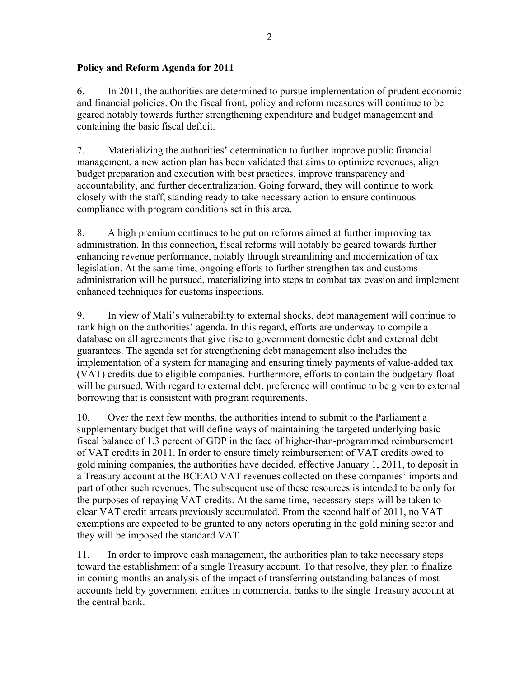### **Policy and Reform Agenda for 2011**

6. In 2011, the authorities are determined to pursue implementation of prudent economic and financial policies. On the fiscal front, policy and reform measures will continue to be geared notably towards further strengthening expenditure and budget management and containing the basic fiscal deficit.

7. Materializing the authorities' determination to further improve public financial management, a new action plan has been validated that aims to optimize revenues, align budget preparation and execution with best practices, improve transparency and accountability, and further decentralization. Going forward, they will continue to work closely with the staff, standing ready to take necessary action to ensure continuous compliance with program conditions set in this area.

8. A high premium continues to be put on reforms aimed at further improving tax administration. In this connection, fiscal reforms will notably be geared towards further enhancing revenue performance, notably through streamlining and modernization of tax legislation. At the same time, ongoing efforts to further strengthen tax and customs administration will be pursued, materializing into steps to combat tax evasion and implement enhanced techniques for customs inspections.

9. In view of Mali's vulnerability to external shocks, debt management will continue to rank high on the authorities' agenda. In this regard, efforts are underway to compile a database on all agreements that give rise to government domestic debt and external debt guarantees. The agenda set for strengthening debt management also includes the implementation of a system for managing and ensuring timely payments of value-added tax (VAT) credits due to eligible companies. Furthermore, efforts to contain the budgetary float will be pursued. With regard to external debt, preference will continue to be given to external borrowing that is consistent with program requirements.

10. Over the next few months, the authorities intend to submit to the Parliament a supplementary budget that will define ways of maintaining the targeted underlying basic fiscal balance of 1.3 percent of GDP in the face of higher-than-programmed reimbursement of VAT credits in 2011. In order to ensure timely reimbursement of VAT credits owed to gold mining companies, the authorities have decided, effective January 1, 2011, to deposit in a Treasury account at the BCEAO VAT revenues collected on these companies' imports and part of other such revenues. The subsequent use of these resources is intended to be only for the purposes of repaying VAT credits. At the same time, necessary steps will be taken to clear VAT credit arrears previously accumulated. From the second half of 2011, no VAT exemptions are expected to be granted to any actors operating in the gold mining sector and they will be imposed the standard VAT.

11. In order to improve cash management, the authorities plan to take necessary steps toward the establishment of a single Treasury account. To that resolve, they plan to finalize in coming months an analysis of the impact of transferring outstanding balances of most accounts held by government entities in commercial banks to the single Treasury account at the central bank.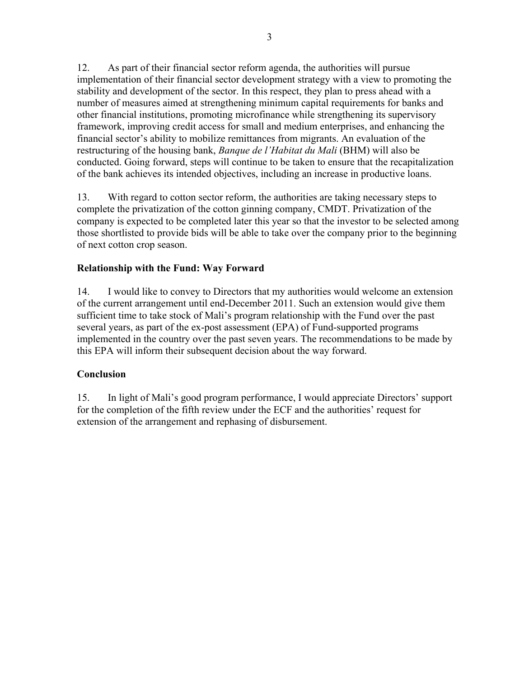12. As part of their financial sector reform agenda, the authorities will pursue implementation of their financial sector development strategy with a view to promoting the stability and development of the sector. In this respect, they plan to press ahead with a number of measures aimed at strengthening minimum capital requirements for banks and other financial institutions, promoting microfinance while strengthening its supervisory framework, improving credit access for small and medium enterprises, and enhancing the financial sector's ability to mobilize remittances from migrants. An evaluation of the restructuring of the housing bank, *Banque de l'Habitat du Mali* (BHM) will also be conducted. Going forward, steps will continue to be taken to ensure that the recapitalization of the bank achieves its intended objectives, including an increase in productive loans.

13. With regard to cotton sector reform, the authorities are taking necessary steps to complete the privatization of the cotton ginning company, CMDT. Privatization of the company is expected to be completed later this year so that the investor to be selected among those shortlisted to provide bids will be able to take over the company prior to the beginning of next cotton crop season.

## **Relationship with the Fund: Way Forward**

14. I would like to convey to Directors that my authorities would welcome an extension of the current arrangement until end-December 2011. Such an extension would give them sufficient time to take stock of Mali's program relationship with the Fund over the past several years, as part of the ex-post assessment (EPA) of Fund-supported programs implemented in the country over the past seven years. The recommendations to be made by this EPA will inform their subsequent decision about the way forward.

### **Conclusion**

15. In light of Mali's good program performance, I would appreciate Directors' support for the completion of the fifth review under the ECF and the authorities' request for extension of the arrangement and rephasing of disbursement.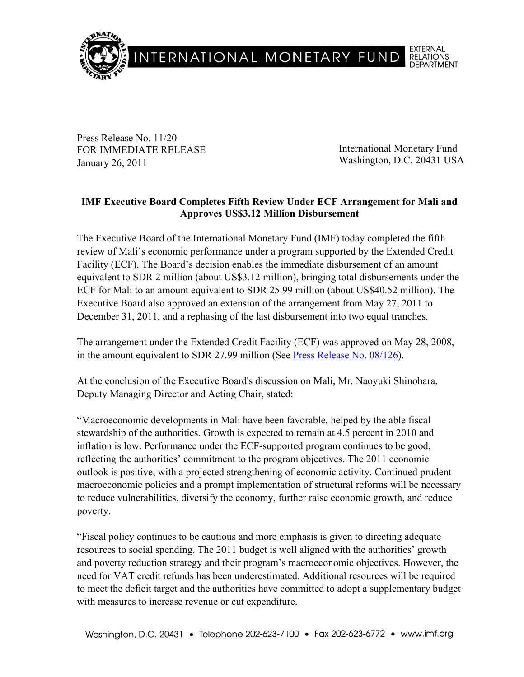

Press Release No. 11/20 FOR IMMEDIATE RELEASE January 26, 2011

International Monetary Fund Washington, D.C. 20431 USA

## **IMF Executive Board Completes Fifth Review Under ECF Arrangement for Mali and Approves US\$3.12 Million Disbursement**

The Executive Board of the International Monetary Fund (IMF) today completed the fifth review of Mali's economic performance under a program supported by the Extended Credit Facility (ECF). The Board's decision enables the immediate disbursement of an amount equivalent to SDR 2 million (about US\$3.12 million), bringing total disbursements under the ECF for Mali to an amount equivalent to SDR 25.99 million (about US\$40.52 million). The Executive Board also approved an extension of the arrangement from May 27, 2011 to December 31, 2011, and a rephasing of the last disbursement into two equal tranches.

The arrangement under the Extended Credit Facility (ECF) was approved on May 28, 2008, in the amount equivalent to SDR 27.99 million (See Press Release No. 08/126).

At the conclusion of the Executive Board's discussion on Mali, Mr. Naoyuki Shinohara, Deputy Managing Director and Acting Chair, stated:

"Macroeconomic developments in Mali have been favorable, helped by the able fiscal stewardship of the authorities. Growth is expected to remain at 4.5 percent in 2010 and inflation is low. Performance under the ECF-supported program continues to be good, reflecting the authorities' commitment to the program objectives. The 2011 economic outlook is positive, with a projected strengthening of economic activity. Continued prudent macroeconomic policies and a prompt implementation of structural reforms will be necessary to reduce vulnerabilities, diversify the economy, further raise economic growth, and reduce poverty.

"Fiscal policy continues to be cautious and more emphasis is given to directing adequate resources to social spending. The 2011 budget is well aligned with the authorities' growth and poverty reduction strategy and their program's macroeconomic objectives. However, the need for VAT credit refunds has been underestimated. Additional resources will be required to meet the deficit target and the authorities have committed to adopt a supplementary budget with measures to increase revenue or cut expenditure.